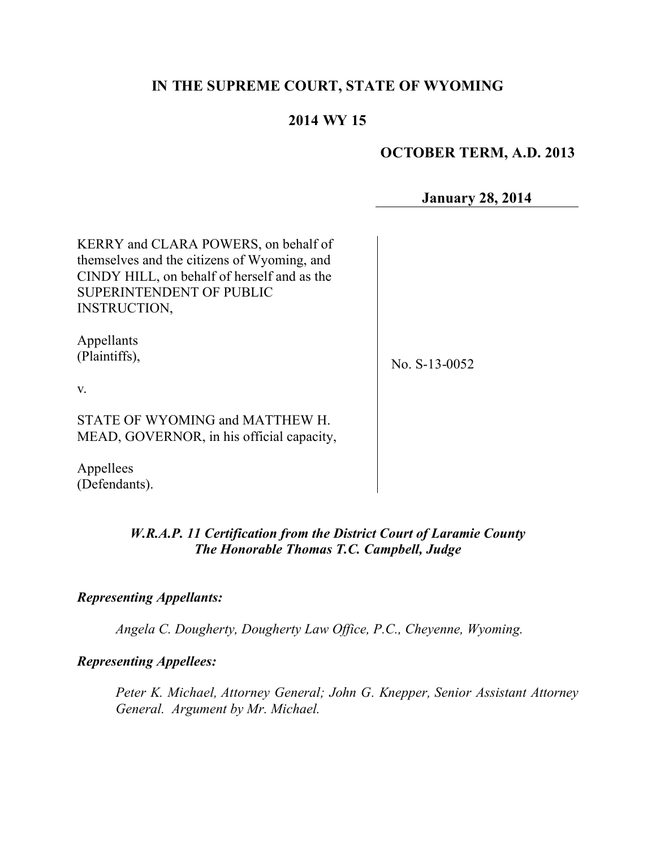# **IN THE SUPREME COURT, STATE OF WYOMING**

# **2014 WY 15**

## **OCTOBER TERM, A.D. 2013**

**January 28, 2014**

KERRY and CLARA POWERS, on behalf of themselves and the citizens of Wyoming, and CINDY HILL, on behalf of herself and as the SUPERINTENDENT OF PUBLIC INSTRUCTION,

Appellants (Plaintiffs),

No. S-13-0052

v.

STATE OF WYOMING and MATTHEW H. MEAD, GOVERNOR, in his official capacity,

Appellees (Defendants).

## *W.R.A.P. 11 Certification from the District Court of Laramie County The Honorable Thomas T.C. Campbell, Judge*

### *Representing Appellants:*

*Angela C. Dougherty, Dougherty Law Office, P.C., Cheyenne, Wyoming.*

### *Representing Appellees:*

*Peter K. Michael, Attorney General; John G. Knepper, Senior Assistant Attorney General. Argument by Mr. Michael.*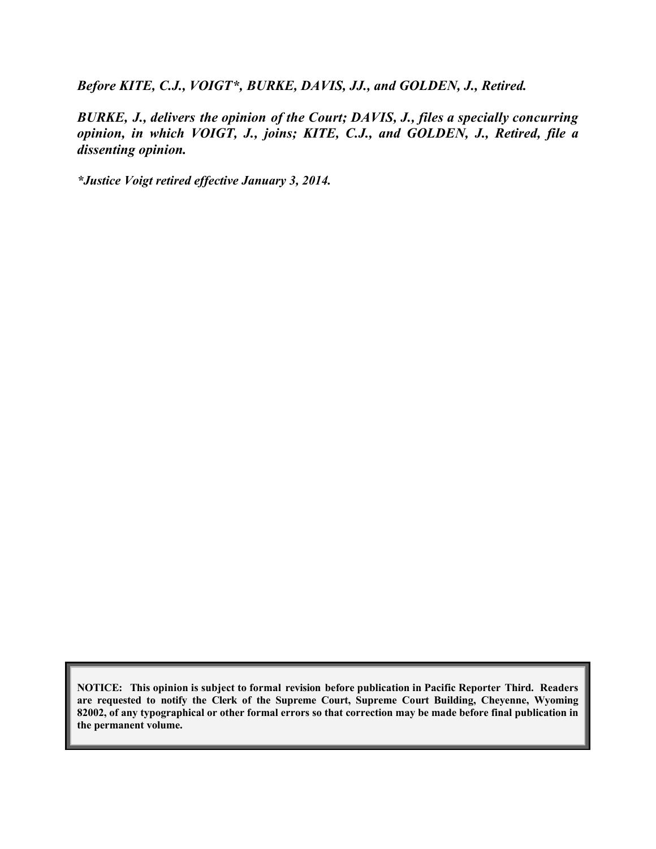*Before KITE, C.J., VOIGT\*, BURKE, DAVIS, JJ., and GOLDEN, J., Retired.*

*BURKE, J., delivers the opinion of the Court; DAVIS, J., files a specially concurring opinion, in which VOIGT, J., joins; KITE, C.J., and GOLDEN, J., Retired, file a dissenting opinion.*

*\*Justice Voigt retired effective January 3, 2014.*

**NOTICE: This opinion is subject to formal revision before publication in Pacific Reporter Third. Readers are requested to notify the Clerk of the Supreme Court, Supreme Court Building, Cheyenne, Wyoming 82002, of any typographical or other formal errors so that correction may be made before final publication in the permanent volume.**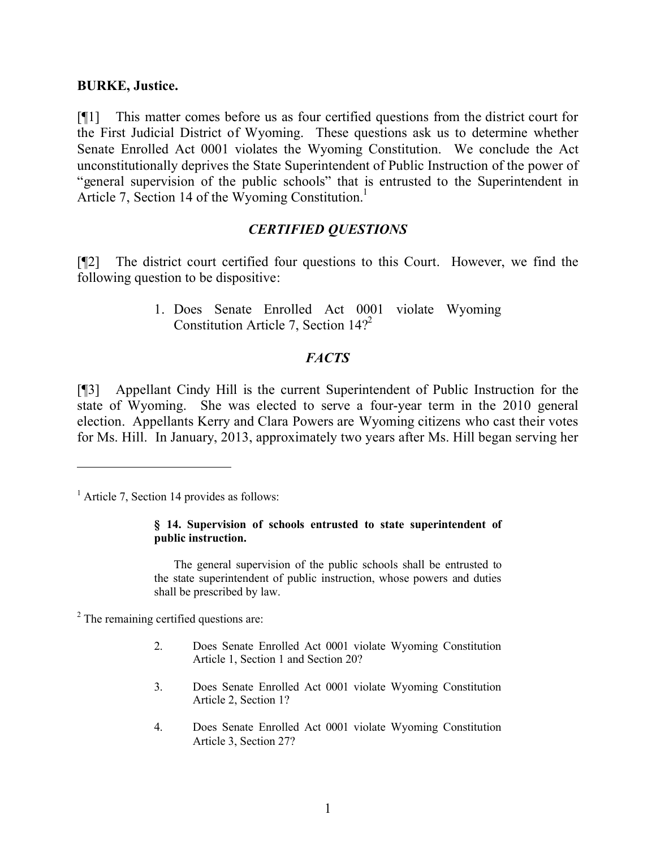### **BURKE, Justice.**

[¶1] This matter comes before us as four certified questions from the district court for the First Judicial District of Wyoming. These questions ask us to determine whether Senate Enrolled Act 0001 violates the Wyoming Constitution. We conclude the Act unconstitutionally deprives the State Superintendent of Public Instruction of the power of "general supervision of the public schools" that is entrusted to the Superintendent in Article 7, Section 14 of the Wyoming Constitution.<sup>1</sup>

### *CERTIFIED QUESTIONS*

[¶2] The district court certified four questions to this Court. However, we find the following question to be dispositive:

> 1. Does Senate Enrolled Act 0001 violate Wyoming Constitution Article 7, Section  $14$ <sup>2</sup>

## *FACTS*

[¶3] Appellant Cindy Hill is the current Superintendent of Public Instruction for the state of Wyoming. She was elected to serve a four-year term in the 2010 general election. Appellants Kerry and Clara Powers are Wyoming citizens who cast their votes for Ms. Hill. In January, 2013, approximately two years after Ms. Hill began serving her

 $<sup>1</sup>$  Article 7, Section 14 provides as follows:</sup>

 $\overline{a}$ 

#### **§ 14. Supervision of schools entrusted to state superintendent of public instruction.**

The general supervision of the public schools shall be entrusted to the state superintendent of public instruction, whose powers and duties shall be prescribed by law.

<sup>2</sup> The remaining certified questions are:

- 2. Does Senate Enrolled Act 0001 violate Wyoming Constitution Article 1, Section 1 and Section 20?
- 3. Does Senate Enrolled Act 0001 violate Wyoming Constitution Article 2, Section 1?
- 4. Does Senate Enrolled Act 0001 violate Wyoming Constitution Article 3, Section 27?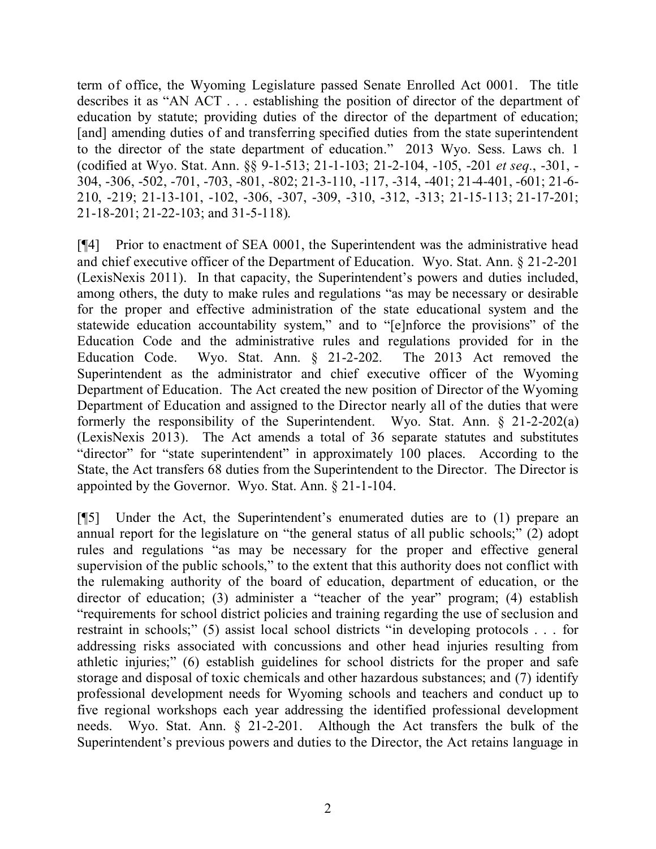term of office, the Wyoming Legislature passed Senate Enrolled Act 0001. The title describes it as "AN ACT . . . establishing the position of director of the department of education by statute; providing duties of the director of the department of education; [and] amending duties of and transferring specified duties from the state superintendent to the director of the state department of education." 2013 Wyo. Sess. Laws ch. 1 (codified at Wyo. Stat. Ann. §§ 9-1-513; 21-1-103; 21-2-104, -105, -201 *et seq.*, -301, - 304, -306, -502, -701, -703, -801, -802; 21-3-110, -117, -314, -401; 21-4-401, -601; 21-6- 210, -219; 21-13-101, -102, -306, -307, -309, -310, -312, -313; 21-15-113; 21-17-201; 21-18-201; 21-22-103; and 31-5-118).

[¶4] Prior to enactment of SEA 0001, the Superintendent was the administrative head and chief executive officer of the Department of Education. Wyo. Stat. Ann. § 21-2-201 (LexisNexis 2011). In that capacity, the Superintendent's powers and duties included, among others, the duty to make rules and regulations "as may be necessary or desirable for the proper and effective administration of the state educational system and the statewide education accountability system," and to "[e]nforce the provisions" of the Education Code and the administrative rules and regulations provided for in the Education Code. Wyo. Stat. Ann. § 21-2-202. The 2013 Act removed the Superintendent as the administrator and chief executive officer of the Wyoming Department of Education. The Act created the new position of Director of the Wyoming Department of Education and assigned to the Director nearly all of the duties that were formerly the responsibility of the Superintendent. Wyo. Stat. Ann. § 21-2-202(a) (LexisNexis 2013). The Act amends a total of 36 separate statutes and substitutes "director" for "state superintendent" in approximately 100 places. According to the State, the Act transfers 68 duties from the Superintendent to the Director. The Director is appointed by the Governor. Wyo. Stat. Ann. § 21-1-104.

[¶5] Under the Act, the Superintendent's enumerated duties are to (1) prepare an annual report for the legislature on "the general status of all public schools;" (2) adopt rules and regulations "as may be necessary for the proper and effective general supervision of the public schools," to the extent that this authority does not conflict with the rulemaking authority of the board of education, department of education, or the director of education; (3) administer a "teacher of the year" program; (4) establish "requirements for school district policies and training regarding the use of seclusion and restraint in schools;" (5) assist local school districts "in developing protocols . . . for addressing risks associated with concussions and other head injuries resulting from athletic injuries;" (6) establish guidelines for school districts for the proper and safe storage and disposal of toxic chemicals and other hazardous substances; and (7) identify professional development needs for Wyoming schools and teachers and conduct up to five regional workshops each year addressing the identified professional development needs. Wyo. Stat. Ann. § 21-2-201. Although the Act transfers the bulk of the Superintendent's previous powers and duties to the Director, the Act retains language in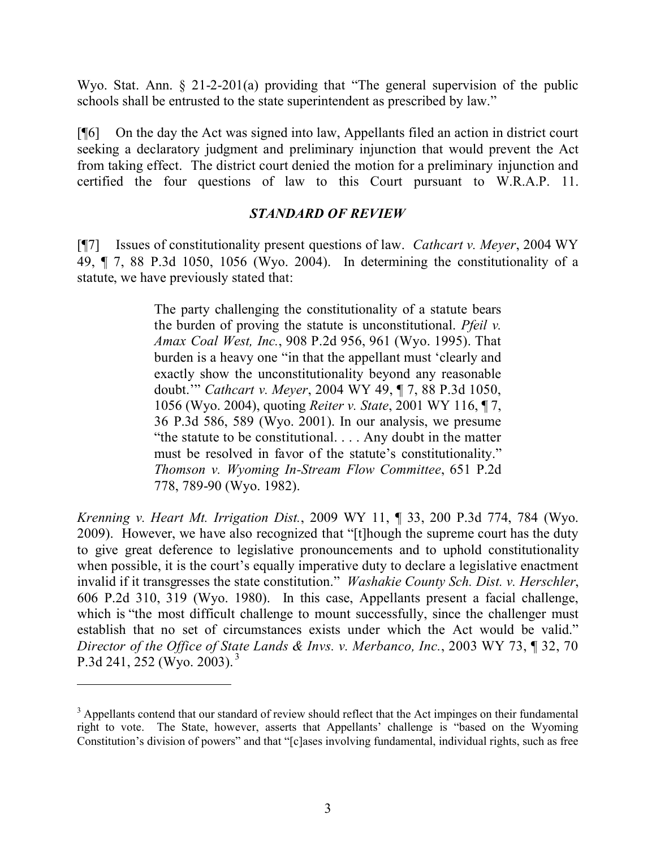Wyo. Stat. Ann. § 21-2-201(a) providing that "The general supervision of the public schools shall be entrusted to the state superintendent as prescribed by law."

[¶6] On the day the Act was signed into law, Appellants filed an action in district court seeking a declaratory judgment and preliminary injunction that would prevent the Act from taking effect. The district court denied the motion for a preliminary injunction and certified the four questions of law to this Court pursuant to W.R.A.P. 11.

## *STANDARD OF REVIEW*

[¶7] Issues of constitutionality present questions of law. *Cathcart v. Meyer*, 2004 WY 49, ¶ 7, 88 P.3d 1050, 1056 (Wyo. 2004). In determining the constitutionality of a statute, we have previously stated that:

> The party challenging the constitutionality of a statute bears the burden of proving the statute is unconstitutional. *Pfeil v. Amax Coal West, Inc.*, 908 P.2d 956, 961 (Wyo. 1995). That burden is a heavy one "in that the appellant must 'clearly and exactly show the unconstitutionality beyond any reasonable doubt.'" *Cathcart v. Meyer*, 2004 WY 49, ¶ 7, 88 P.3d 1050, 1056 (Wyo. 2004), quoting *Reiter v. State*, 2001 WY 116, ¶ 7, 36 P.3d 586, 589 (Wyo. 2001). In our analysis, we presume "the statute to be constitutional. . . . Any doubt in the matter must be resolved in favor of the statute's constitutionality." *Thomson v. Wyoming In-Stream Flow Committee*, 651 P.2d 778, 789-90 (Wyo. 1982).

*Krenning v. Heart Mt. Irrigation Dist.*, 2009 WY 11, ¶ 33, 200 P.3d 774, 784 (Wyo. 2009). However, we have also recognized that "[t]hough the supreme court has the duty to give great deference to legislative pronouncements and to uphold constitutionality when possible, it is the court's equally imperative duty to declare a legislative enactment invalid if it transgresses the state constitution." *Washakie County Sch. Dist. v. Herschler*, 606 P.2d 310, 319 (Wyo. 1980). In this case, Appellants present a facial challenge, which is "the most difficult challenge to mount successfully, since the challenger must establish that no set of circumstances exists under which the Act would be valid." *Director of the Office of State Lands & Invs. v. Merbanco, Inc.*, 2003 WY 73, ¶ 32, 70 P.3d 241, 252 (Wyo. 2003). <sup>3</sup>

<sup>&</sup>lt;sup>3</sup> Appellants contend that our standard of review should reflect that the Act impinges on their fundamental right to vote. The State, however, asserts that Appellants' challenge is "based on the Wyoming Constitution's division of powers" and that "[c]ases involving fundamental, individual rights, such as free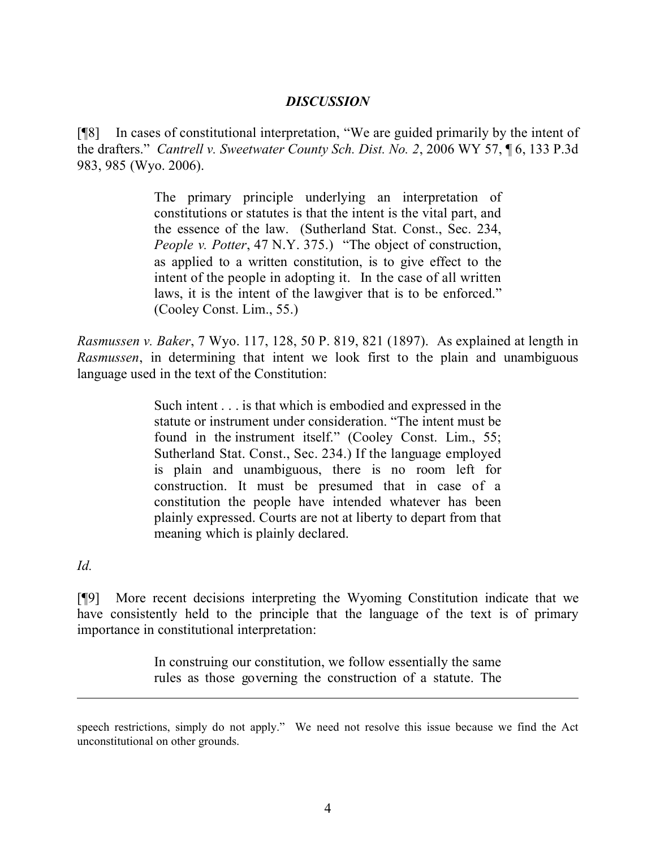### *DISCUSSION*

[¶8] In cases of constitutional interpretation, "We are guided primarily by the intent of the drafters." *Cantrell v. Sweetwater County Sch. Dist. No. 2*, 2006 WY 57, ¶ 6, 133 P.3d 983, 985 (Wyo. 2006).

> The primary principle underlying an interpretation of constitutions or statutes is that the intent is the vital part, and the essence of the law. (Sutherland Stat. Const., Sec. 234, *People v. Potter*, 47 N.Y. 375.) "The object of construction, as applied to a written constitution, is to give effect to the intent of the people in adopting it. In the case of all written laws, it is the intent of the lawgiver that is to be enforced." (Cooley Const. Lim., 55.)

*Rasmussen v. Baker*, 7 Wyo. 117, 128, 50 P. 819, 821 (1897). As explained at length in *Rasmussen*, in determining that intent we look first to the plain and unambiguous language used in the text of the Constitution:

> Such intent . . . is that which is embodied and expressed in the statute or instrument under consideration. "The intent must be found in the instrument itself." (Cooley Const. Lim., 55; Sutherland Stat. Const., Sec. 234.) If the language employed is plain and unambiguous, there is no room left for construction. It must be presumed that in case of a constitution the people have intended whatever has been plainly expressed. Courts are not at liberty to depart from that meaning which is plainly declared.

*Id.*

[¶9] More recent decisions interpreting the Wyoming Constitution indicate that we have consistently held to the principle that the language of the text is of primary importance in constitutional interpretation:

> In construing our constitution, we follow essentially the same rules as those governing the construction of a statute. The

speech restrictions, simply do not apply." We need not resolve this issue because we find the Act unconstitutional on other grounds.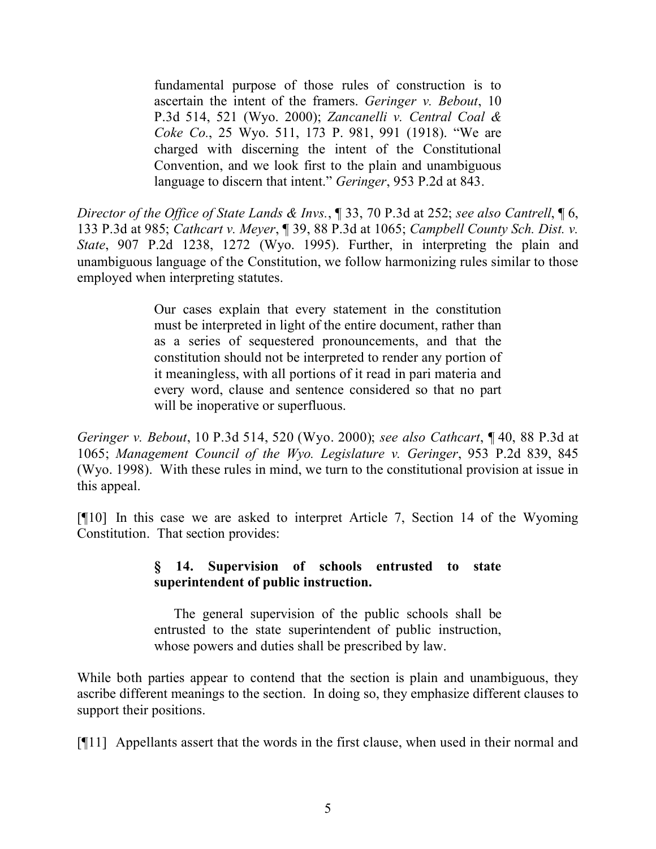fundamental purpose of those rules of construction is to ascertain the intent of the framers. *Geringer v. Bebout*, 10 P.3d 514, 521 (Wyo. 2000); *Zancanelli v. Central Coal & Coke Co.*, 25 Wyo. 511, 173 P. 981, 991 (1918). "We are charged with discerning the intent of the Constitutional Convention, and we look first to the plain and unambiguous language to discern that intent." *Geringer*, 953 P.2d at 843.

*Director of the Office of State Lands & Invs.*, ¶ 33, 70 P.3d at 252; *see also Cantrell*, ¶ 6, 133 P.3d at 985; *Cathcart v. Meyer*, ¶ 39, 88 P.3d at 1065; *Campbell County Sch. Dist. v. State*, 907 P.2d 1238, 1272 (Wyo. 1995). Further, in interpreting the plain and unambiguous language of the Constitution, we follow harmonizing rules similar to those employed when interpreting statutes.

> Our cases explain that every statement in the constitution must be interpreted in light of the entire document, rather than as a series of sequestered pronouncements, and that the constitution should not be interpreted to render any portion of it meaningless, with all portions of it read in pari materia and every word, clause and sentence considered so that no part will be inoperative or superfluous.

*Geringer v. Bebout*, 10 P.3d 514, 520 (Wyo. 2000); *see also Cathcart*, ¶ 40, 88 P.3d at 1065; *Management Council of the Wyo. Legislature v. Geringer*, 953 P.2d 839, 845 (Wyo. 1998). With these rules in mind, we turn to the constitutional provision at issue in this appeal.

[¶10] In this case we are asked to interpret Article 7, Section 14 of the Wyoming Constitution. That section provides:

## **§ 14. Supervision of schools entrusted to state superintendent of public instruction.**

The general supervision of the public schools shall be entrusted to the state superintendent of public instruction, whose powers and duties shall be prescribed by law.

While both parties appear to contend that the section is plain and unambiguous, they ascribe different meanings to the section. In doing so, they emphasize different clauses to support their positions.

[¶11] Appellants assert that the words in the first clause, when used in their normal and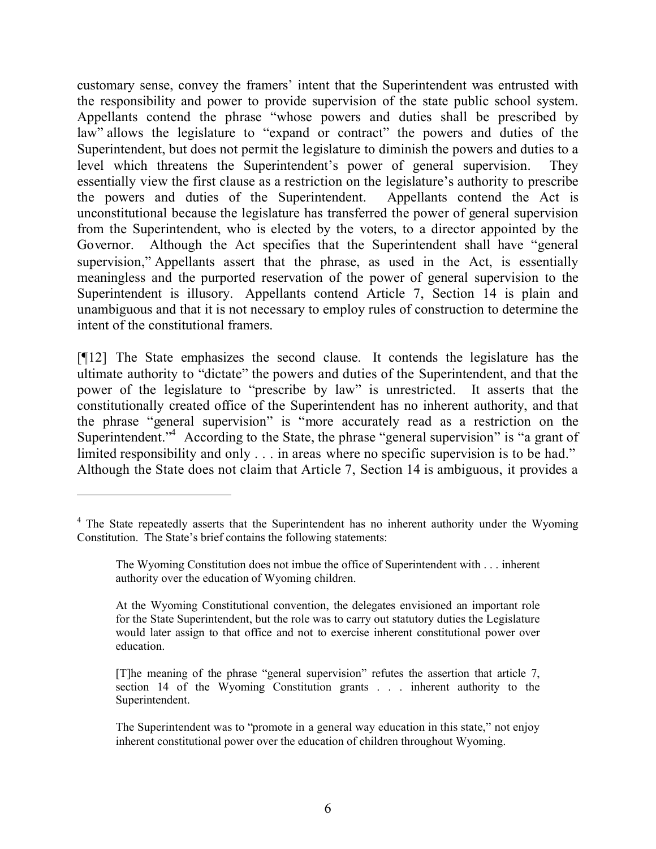customary sense, convey the framers' intent that the Superintendent was entrusted with the responsibility and power to provide supervision of the state public school system. Appellants contend the phrase "whose powers and duties shall be prescribed by law" allows the legislature to "expand or contract" the powers and duties of the Superintendent, but does not permit the legislature to diminish the powers and duties to a level which threatens the Superintendent's power of general supervision. They essentially view the first clause as a restriction on the legislature's authority to prescribe the powers and duties of the Superintendent. Appellants contend the Act is unconstitutional because the legislature has transferred the power of general supervision from the Superintendent, who is elected by the voters, to a director appointed by the Governor. Although the Act specifies that the Superintendent shall have "general supervision," Appellants assert that the phrase, as used in the Act, is essentially meaningless and the purported reservation of the power of general supervision to the Superintendent is illusory. Appellants contend Article 7, Section 14 is plain and unambiguous and that it is not necessary to employ rules of construction to determine the intent of the constitutional framers.

[¶12] The State emphasizes the second clause. It contends the legislature has the ultimate authority to "dictate" the powers and duties of the Superintendent, and that the power of the legislature to "prescribe by law" is unrestricted. It asserts that the constitutionally created office of the Superintendent has no inherent authority, and that the phrase "general supervision" is "more accurately read as a restriction on the Superintendent.<sup>4</sup> According to the State, the phrase "general supervision" is "a grant of limited responsibility and only . . . in areas where no specific supervision is to be had." Although the State does not claim that Article 7, Section 14 is ambiguous, it provides a

 $\overline{a}$ 

<sup>&</sup>lt;sup>4</sup> The State repeatedly asserts that the Superintendent has no inherent authority under the Wyoming Constitution. The State's brief contains the following statements:

The Wyoming Constitution does not imbue the office of Superintendent with . . . inherent authority over the education of Wyoming children.

At the Wyoming Constitutional convention, the delegates envisioned an important role for the State Superintendent, but the role was to carry out statutory duties the Legislature would later assign to that office and not to exercise inherent constitutional power over education.

<sup>[</sup>T]he meaning of the phrase "general supervision" refutes the assertion that article 7, section 14 of the Wyoming Constitution grants . . . inherent authority to the Superintendent.

The Superintendent was to "promote in a general way education in this state," not enjoy inherent constitutional power over the education of children throughout Wyoming.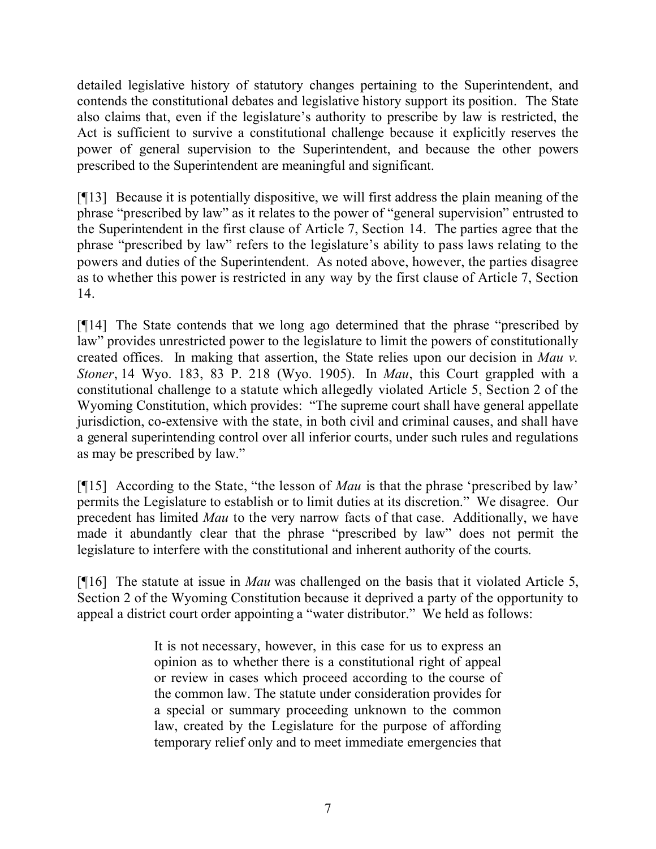detailed legislative history of statutory changes pertaining to the Superintendent, and contends the constitutional debates and legislative history support its position. The State also claims that, even if the legislature's authority to prescribe by law is restricted, the Act is sufficient to survive a constitutional challenge because it explicitly reserves the power of general supervision to the Superintendent, and because the other powers prescribed to the Superintendent are meaningful and significant.

[¶13] Because it is potentially dispositive, we will first address the plain meaning of the phrase "prescribed by law" as it relates to the power of "general supervision" entrusted to the Superintendent in the first clause of Article 7, Section 14. The parties agree that the phrase "prescribed by law" refers to the legislature's ability to pass laws relating to the powers and duties of the Superintendent. As noted above, however, the parties disagree as to whether this power is restricted in any way by the first clause of Article 7, Section 14.

[¶14] The State contends that we long ago determined that the phrase "prescribed by law" provides unrestricted power to the legislature to limit the powers of constitutionally created offices. In making that assertion, the State relies upon our decision in *Mau v. Stoner*, 14 Wyo. 183, 83 P. 218 (Wyo. 1905). In *Mau*, this Court grappled with a constitutional challenge to a statute which allegedly violated Article 5, Section 2 of the Wyoming Constitution, which provides: "The supreme court shall have general appellate jurisdiction, co-extensive with the state, in both civil and criminal causes, and shall have a general superintending control over all inferior courts, under such rules and regulations as may be prescribed by law."

[¶15] According to the State, "the lesson of *Mau* is that the phrase 'prescribed by law' permits the Legislature to establish or to limit duties at its discretion." We disagree. Our precedent has limited *Mau* to the very narrow facts of that case. Additionally, we have made it abundantly clear that the phrase "prescribed by law" does not permit the legislature to interfere with the constitutional and inherent authority of the courts.

[¶16] The statute at issue in *Mau* was challenged on the basis that it violated Article 5, Section 2 of the Wyoming Constitution because it deprived a party of the opportunity to appeal a district court order appointing a "water distributor." We held as follows:

> It is not necessary, however, in this case for us to express an opinion as to whether there is a constitutional right of appeal or review in cases which proceed according to the course of the common law. The statute under consideration provides for a special or summary proceeding unknown to the common law, created by the Legislature for the purpose of affording temporary relief only and to meet immediate emergencies that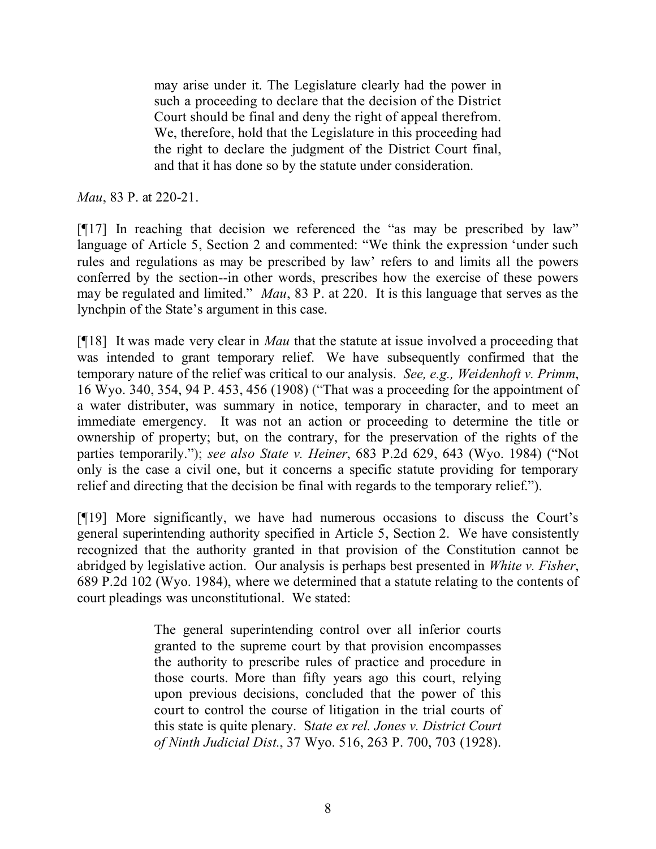may arise under it. The Legislature clearly had the power in such a proceeding to declare that the decision of the District Court should be final and deny the right of appeal therefrom. We, therefore, hold that the Legislature in this proceeding had the right to declare the judgment of the District Court final, and that it has done so by the statute under consideration.

*Mau*, 83 P. at 220-21.

[¶17] In reaching that decision we referenced the "as may be prescribed by law" language of Article 5, Section 2 and commented: "We think the expression 'under such rules and regulations as may be prescribed by law' refers to and limits all the powers conferred by the section--in other words, prescribes how the exercise of these powers may be regulated and limited." *Mau*, 83 P. at 220. It is this language that serves as the lynchpin of the State's argument in this case.

[¶18] It was made very clear in *Mau* that the statute at issue involved a proceeding that was intended to grant temporary relief. We have subsequently confirmed that the temporary nature of the relief was critical to our analysis. *See, e.g., Weidenhoft v. Primm*, 16 Wyo. 340, 354, 94 P. 453, 456 (1908) ("That was a proceeding for the appointment of a water distributer, was summary in notice, temporary in character, and to meet an immediate emergency. It was not an action or proceeding to determine the title or ownership of property; but, on the contrary, for the preservation of the rights of the parties temporarily."); *see also State v. Heiner*, 683 P.2d 629, 643 (Wyo. 1984) ("Not only is the case a civil one, but it concerns a specific statute providing for temporary relief and directing that the decision be final with regards to the temporary relief.").

[¶19] More significantly, we have had numerous occasions to discuss the Court's general superintending authority specified in Article 5, Section 2. We have consistently recognized that the authority granted in that provision of the Constitution cannot be abridged by legislative action. Our analysis is perhaps best presented in *White v. Fisher*, 689 P.2d 102 (Wyo. 1984), where we determined that a statute relating to the contents of court pleadings was unconstitutional. We stated:

> The general superintending control over all inferior courts granted to the supreme court by that provision encompasses the authority to prescribe rules of practice and procedure in those courts. More than fifty years ago this court, relying upon previous decisions, concluded that the power of this court to control the course of litigation in the trial courts of this state is quite plenary. S*tate ex rel. Jones v. District Court of Ninth Judicial Dist.*, 37 Wyo. 516, 263 P. 700, 703 (1928).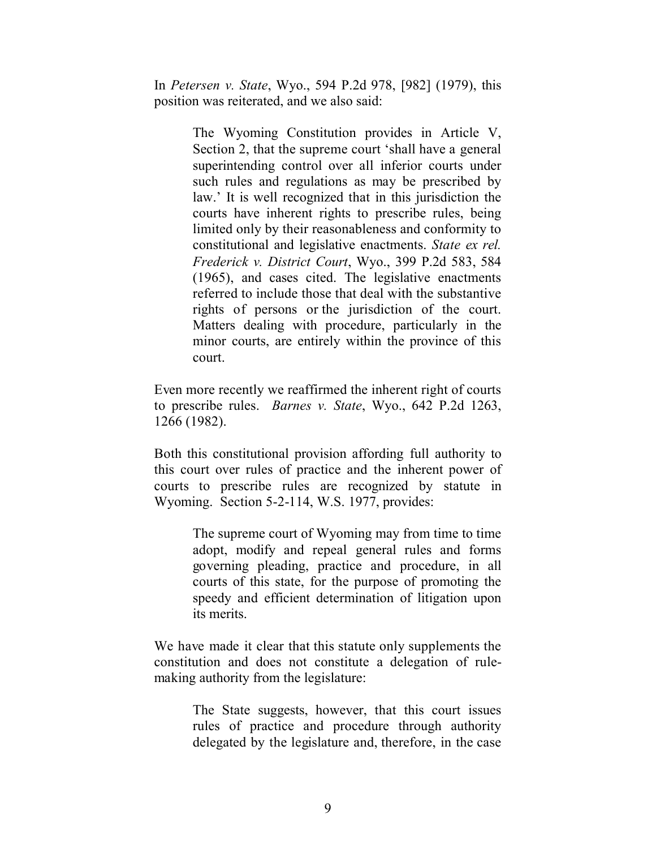In *Petersen v. State*, Wyo., 594 P.2d 978, [982] (1979), this position was reiterated, and we also said:

> The Wyoming Constitution provides in Article V, Section 2, that the supreme court 'shall have a general superintending control over all inferior courts under such rules and regulations as may be prescribed by law.' It is well recognized that in this jurisdiction the courts have inherent rights to prescribe rules, being limited only by their reasonableness and conformity to constitutional and legislative enactments. *State ex rel. Frederick v. District Court*, Wyo., 399 P.2d 583, 584 (1965), and cases cited. The legislative enactments referred to include those that deal with the substantive rights of persons or the jurisdiction of the court. Matters dealing with procedure, particularly in the minor courts, are entirely within the province of this court.

Even more recently we reaffirmed the inherent right of courts to prescribe rules. *Barnes v. State*, Wyo., 642 P.2d 1263, 1266 (1982).

Both this constitutional provision affording full authority to this court over rules of practice and the inherent power of courts to prescribe rules are recognized by statute in Wyoming. Section 5-2-114, W.S. 1977, provides:

> The supreme court of Wyoming may from time to time adopt, modify and repeal general rules and forms governing pleading, practice and procedure, in all courts of this state, for the purpose of promoting the speedy and efficient determination of litigation upon its merits.

We have made it clear that this statute only supplements the constitution and does not constitute a delegation of rulemaking authority from the legislature:

> The State suggests, however, that this court issues rules of practice and procedure through authority delegated by the legislature and, therefore, in the case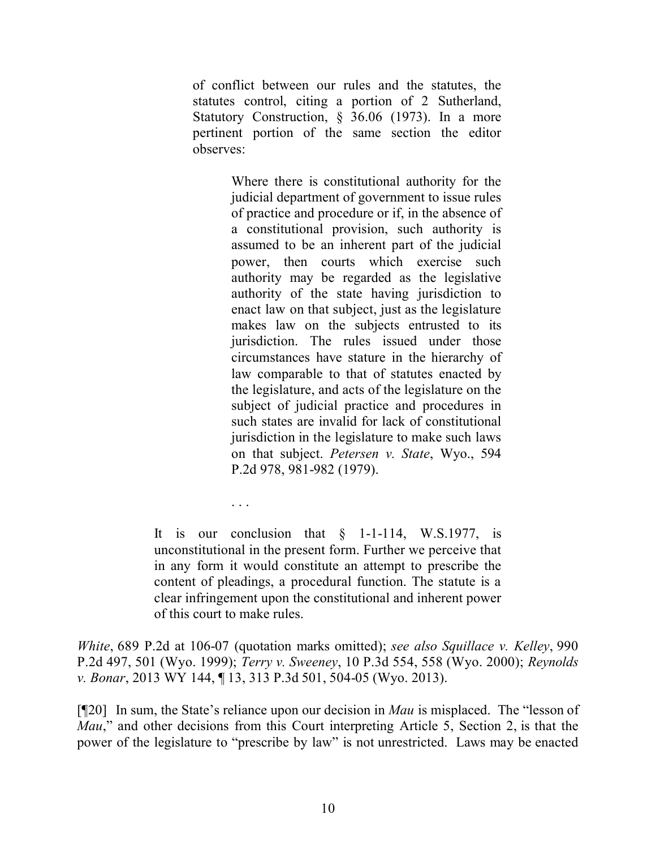of conflict between our rules and the statutes, the statutes control, citing a portion of 2 Sutherland, Statutory Construction, § 36.06 (1973). In a more pertinent portion of the same section the editor observes:

> Where there is constitutional authority for the judicial department of government to issue rules of practice and procedure or if, in the absence of a constitutional provision, such authority is assumed to be an inherent part of the judicial power, then courts which exercise such authority may be regarded as the legislative authority of the state having jurisdiction to enact law on that subject, just as the legislature makes law on the subjects entrusted to its jurisdiction. The rules issued under those circumstances have stature in the hierarchy of law comparable to that of statutes enacted by the legislature, and acts of the legislature on the subject of judicial practice and procedures in such states are invalid for lack of constitutional jurisdiction in the legislature to make such laws on that subject. *Petersen v. State*, Wyo., 594 P.2d 978, 981-982 (1979).

It is our conclusion that  $\delta$  1-1-114, W.S.1977, is unconstitutional in the present form. Further we perceive that in any form it would constitute an attempt to prescribe the content of pleadings, a procedural function. The statute is a clear infringement upon the constitutional and inherent power of this court to make rules.

. . .

*White*, 689 P.2d at 106-07 (quotation marks omitted); *see also Squillace v. Kelley*, 990 P.2d 497, 501 (Wyo. 1999); *Terry v. Sweeney*, 10 P.3d 554, 558 (Wyo. 2000); *Reynolds v. Bonar*, 2013 WY 144, ¶ 13, 313 P.3d 501, 504-05 (Wyo. 2013).

[¶20] In sum, the State's reliance upon our decision in *Mau* is misplaced. The "lesson of *Mau*," and other decisions from this Court interpreting Article 5, Section 2, is that the power of the legislature to "prescribe by law" is not unrestricted. Laws may be enacted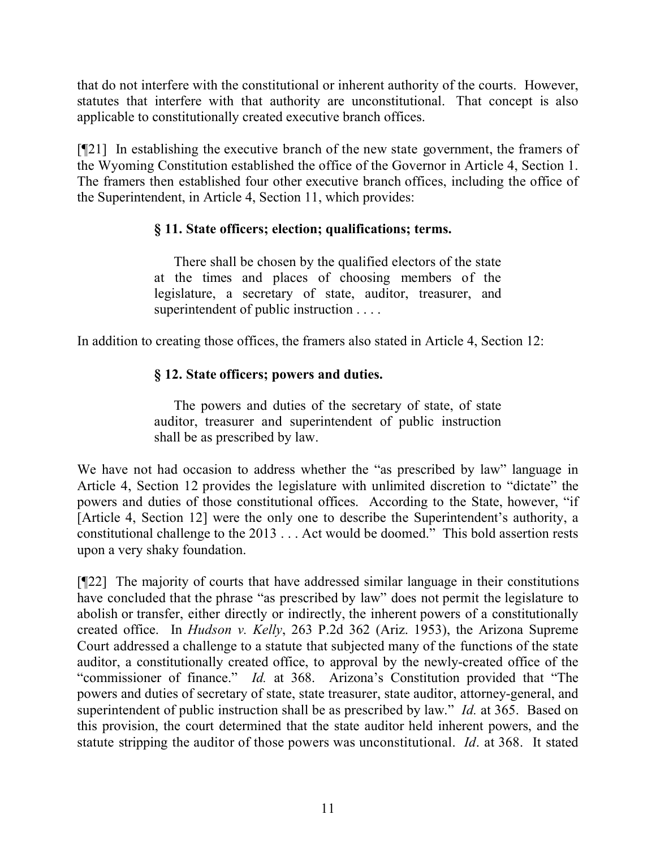that do not interfere with the constitutional or inherent authority of the courts. However, statutes that interfere with that authority are unconstitutional. That concept is also applicable to constitutionally created executive branch offices.

[¶21] In establishing the executive branch of the new state government, the framers of the Wyoming Constitution established the office of the Governor in Article 4, Section 1. The framers then established four other executive branch offices, including the office of the Superintendent, in Article 4, Section 11, which provides:

## **§ 11. State officers; election; qualifications; terms.**

There shall be chosen by the qualified electors of the state at the times and places of choosing members of the legislature, a secretary of state, auditor, treasurer, and superintendent of public instruction . . . .

In addition to creating those offices, the framers also stated in Article 4, Section 12:

# **§ 12. State officers; powers and duties.**

The powers and duties of the secretary of state, of state auditor, treasurer and superintendent of public instruction shall be as prescribed by law.

We have not had occasion to address whether the "as prescribed by law" language in Article 4, Section 12 provides the legislature with unlimited discretion to "dictate" the powers and duties of those constitutional offices. According to the State, however, "if [Article 4, Section 12] were the only one to describe the Superintendent's authority, a constitutional challenge to the 2013 . . . Act would be doomed." This bold assertion rests upon a very shaky foundation.

[¶22] The majority of courts that have addressed similar language in their constitutions have concluded that the phrase "as prescribed by law" does not permit the legislature to abolish or transfer, either directly or indirectly, the inherent powers of a constitutionally created office. In *Hudson v. Kelly*, 263 P.2d 362 (Ariz. 1953), the Arizona Supreme Court addressed a challenge to a statute that subjected many of the functions of the state auditor, a constitutionally created office, to approval by the newly-created office of the "commissioner of finance." *Id.* at 368. Arizona's Constitution provided that "The powers and duties of secretary of state, state treasurer, state auditor, attorney-general, and superintendent of public instruction shall be as prescribed by law." *Id.* at 365. Based on this provision, the court determined that the state auditor held inherent powers, and the statute stripping the auditor of those powers was unconstitutional. *Id*. at 368. It stated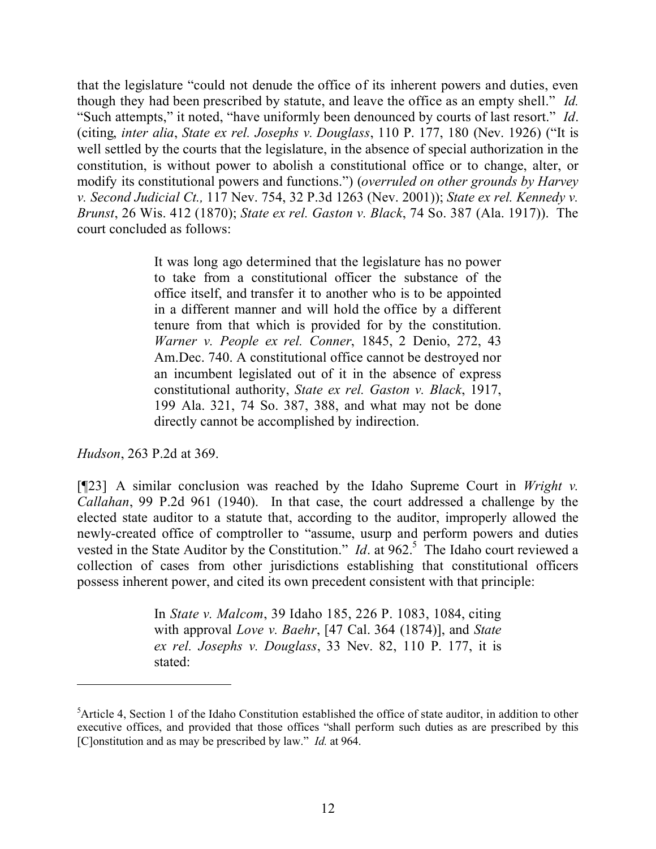that the legislature "could not denude the office of its inherent powers and duties, even though they had been prescribed by statute, and leave the office as an empty shell." *Id.* "Such attempts," it noted, "have uniformly been denounced by courts of last resort." *Id*. (citing, *inter alia*, *State ex rel. Josephs v. Douglass*, 110 P. 177, 180 (Nev. 1926) ("It is well settled by the courts that the legislature, in the absence of special authorization in the constitution, is without power to abolish a constitutional office or to change, alter, or modify its constitutional powers and functions.") (*overruled on other grounds by Harvey v. Second Judicial Ct.,* 117 Nev. 754, 32 P.3d 1263 (Nev. 2001)); *State ex rel. Kennedy v. Brunst*, 26 Wis. 412 (1870); *State ex rel. Gaston v. Black*, 74 So. 387 (Ala. 1917)). The court concluded as follows:

> It was long ago determined that the legislature has no power to take from a constitutional officer the substance of the office itself, and transfer it to another who is to be appointed in a different manner and will hold the office by a different tenure from that which is provided for by the constitution. *Warner v. People ex rel. Conner*, 1845, 2 Denio, 272, 43 Am.Dec. 740. A constitutional office cannot be destroyed nor an incumbent legislated out of it in the absence of express constitutional authority, *State ex rel. Gaston v. Black*, 1917, 199 Ala. 321, 74 So. 387, 388, and what may not be done directly cannot be accomplished by indirection.

*Hudson*, 263 P.2d at 369.

[¶23] A similar conclusion was reached by the Idaho Supreme Court in *Wright v. Callahan*, 99 P.2d 961 (1940). In that case, the court addressed a challenge by the elected state auditor to a statute that, according to the auditor, improperly allowed the newly-created office of comptroller to "assume, usurp and perform powers and duties vested in the State Auditor by the Constitution." *Id.* at 962.<sup>5</sup> The Idaho court reviewed a collection of cases from other jurisdictions establishing that constitutional officers possess inherent power, and cited its own precedent consistent with that principle:

> In *State v. Malcom*, 39 Idaho 185, 226 P. 1083, 1084, citing with approval *Love v. Baehr*, [47 Cal. 364 (1874)], and *State ex rel. Josephs v. Douglass*, 33 Nev. 82, 110 P. 177, it is stated:

<sup>5</sup>Article 4, Section 1 of the Idaho Constitution established the office of state auditor, in addition to other executive offices, and provided that those offices "shall perform such duties as are prescribed by this [C]onstitution and as may be prescribed by law." *Id.* at 964.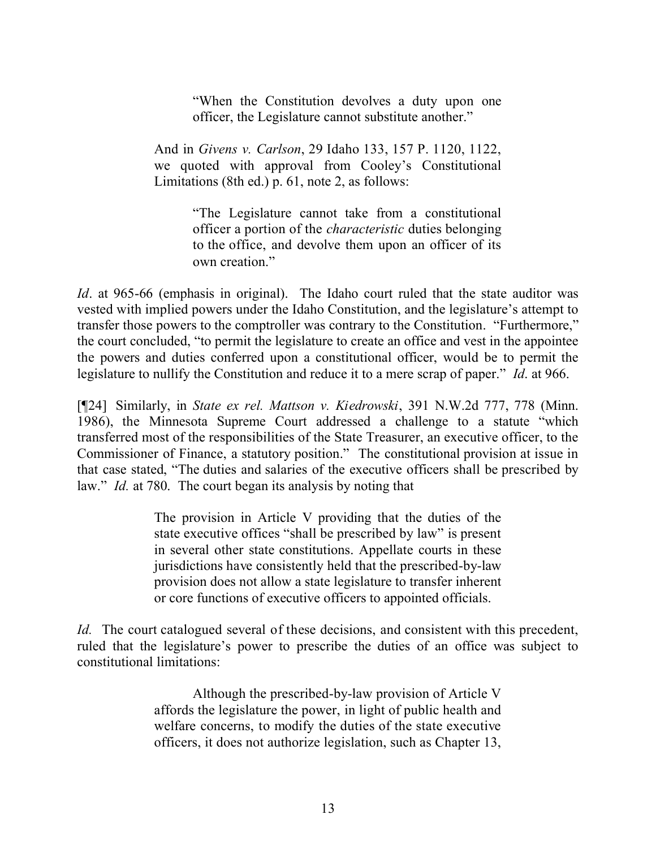"When the Constitution devolves a duty upon one officer, the Legislature cannot substitute another."

And in *Givens v. Carlson*, 29 Idaho 133, 157 P. 1120, 1122, we quoted with approval from Cooley's Constitutional Limitations (8th ed.) p. 61, note 2, as follows:

> "The Legislature cannot take from a constitutional officer a portion of the *characteristic* duties belonging to the office, and devolve them upon an officer of its own creation."

*Id*. at 965-66 (emphasis in original). The Idaho court ruled that the state auditor was vested with implied powers under the Idaho Constitution, and the legislature's attempt to transfer those powers to the comptroller was contrary to the Constitution. "Furthermore," the court concluded, "to permit the legislature to create an office and vest in the appointee the powers and duties conferred upon a constitutional officer, would be to permit the legislature to nullify the Constitution and reduce it to a mere scrap of paper." *Id*. at 966.

[¶24] Similarly, in *State ex rel. Mattson v. Kiedrowski*, 391 N.W.2d 777, 778 (Minn. 1986), the Minnesota Supreme Court addressed a challenge to a statute "which transferred most of the responsibilities of the State Treasurer, an executive officer, to the Commissioner of Finance, a statutory position." The constitutional provision at issue in that case stated, "The duties and salaries of the executive officers shall be prescribed by law." *Id.* at 780. The court began its analysis by noting that

> The provision in Article V providing that the duties of the state executive offices "shall be prescribed by law" is present in several other state constitutions. Appellate courts in these jurisdictions have consistently held that the prescribed-by-law provision does not allow a state legislature to transfer inherent or core functions of executive officers to appointed officials.

*Id.* The court catalogued several of these decisions, and consistent with this precedent, ruled that the legislature's power to prescribe the duties of an office was subject to constitutional limitations:

> Although the prescribed-by-law provision of Article V affords the legislature the power, in light of public health and welfare concerns, to modify the duties of the state executive officers, it does not authorize legislation, such as Chapter 13,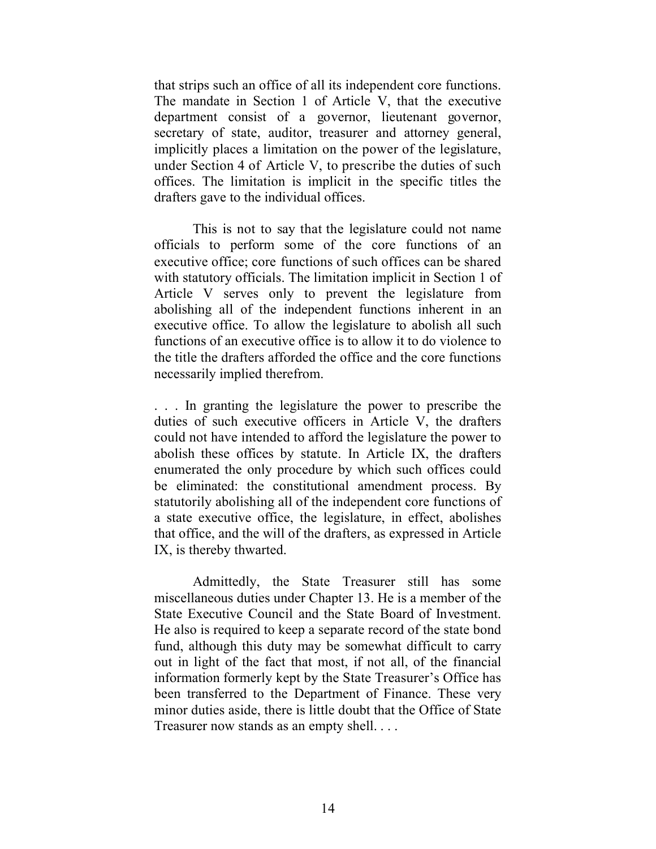that strips such an office of all its independent core functions. The mandate in Section 1 of Article V, that the executive department consist of a governor, lieutenant governor, secretary of state, auditor, treasurer and attorney general, implicitly places a limitation on the power of the legislature, under Section 4 of Article V, to prescribe the duties of such offices. The limitation is implicit in the specific titles the drafters gave to the individual offices.

This is not to say that the legislature could not name officials to perform some of the core functions of an executive office; core functions of such offices can be shared with statutory officials. The limitation implicit in Section 1 of Article V serves only to prevent the legislature from abolishing all of the independent functions inherent in an executive office. To allow the legislature to abolish all such functions of an executive office is to allow it to do violence to the title the drafters afforded the office and the core functions necessarily implied therefrom.

. . . In granting the legislature the power to prescribe the duties of such executive officers in Article V, the drafters could not have intended to afford the legislature the power to abolish these offices by statute. In Article IX, the drafters enumerated the only procedure by which such offices could be eliminated: the constitutional amendment process. By statutorily abolishing all of the independent core functions of a state executive office, the legislature, in effect, abolishes that office, and the will of the drafters, as expressed in Article IX, is thereby thwarted.

Admittedly, the State Treasurer still has some miscellaneous duties under Chapter 13. He is a member of the State Executive Council and the State Board of Investment. He also is required to keep a separate record of the state bond fund, although this duty may be somewhat difficult to carry out in light of the fact that most, if not all, of the financial information formerly kept by the State Treasurer's Office has been transferred to the Department of Finance. These very minor duties aside, there is little doubt that the Office of State Treasurer now stands as an empty shell. . . .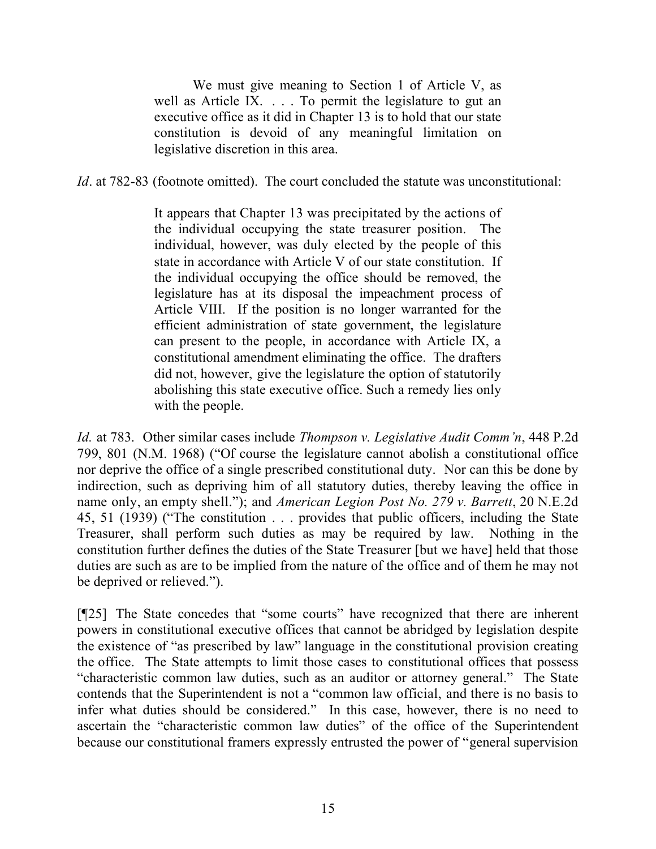We must give meaning to Section 1 of Article V, as well as Article IX. . . . To permit the legislature to gut an executive office as it did in Chapter 13 is to hold that our state constitution is devoid of any meaningful limitation on legislative discretion in this area.

*Id*. at 782-83 (footnote omitted). The court concluded the statute was unconstitutional:

It appears that Chapter 13 was precipitated by the actions of the individual occupying the state treasurer position. The individual, however, was duly elected by the people of this state in accordance with Article V of our state constitution. If the individual occupying the office should be removed, the legislature has at its disposal the impeachment process of Article VIII. If the position is no longer warranted for the efficient administration of state government, the legislature can present to the people, in accordance with Article IX, a constitutional amendment eliminating the office. The drafters did not, however, give the legislature the option of statutorily abolishing this state executive office. Such a remedy lies only with the people.

*Id.* at 783. Other similar cases include *Thompson v. Legislative Audit Comm'n*, 448 P.2d 799, 801 (N.M. 1968) ("Of course the legislature cannot abolish a constitutional office nor deprive the office of a single prescribed constitutional duty. Nor can this be done by indirection, such as depriving him of all statutory duties, thereby leaving the office in name only, an empty shell."); and *American Legion Post No. 279 v. Barrett*, 20 N.E.2d 45, 51 (1939) ("The constitution . . . provides that public officers, including the State Treasurer, shall perform such duties as may be required by law. Nothing in the constitution further defines the duties of the State Treasurer [but we have] held that those duties are such as are to be implied from the nature of the office and of them he may not be deprived or relieved.").

[¶25] The State concedes that "some courts" have recognized that there are inherent powers in constitutional executive offices that cannot be abridged by legislation despite the existence of "as prescribed by law" language in the constitutional provision creating the office. The State attempts to limit those cases to constitutional offices that possess "characteristic common law duties, such as an auditor or attorney general." The State contends that the Superintendent is not a "common law official, and there is no basis to infer what duties should be considered." In this case, however, there is no need to ascertain the "characteristic common law duties" of the office of the Superintendent because our constitutional framers expressly entrusted the power of "general supervision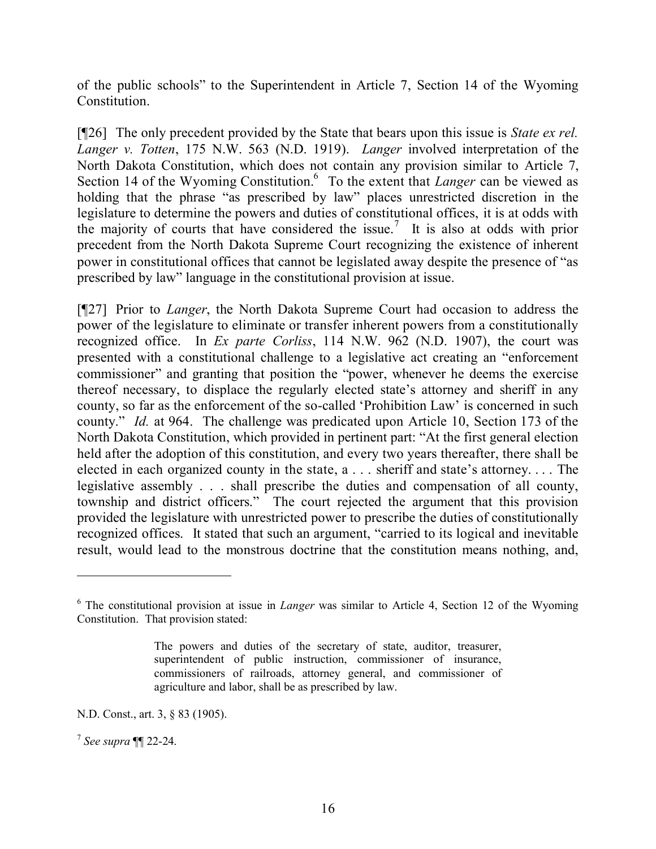of the public schools" to the Superintendent in Article 7, Section 14 of the Wyoming Constitution.

[¶26] The only precedent provided by the State that bears upon this issue is *State ex rel. Langer v. Totten*, 175 N.W. 563 (N.D. 1919). *Langer* involved interpretation of the North Dakota Constitution, which does not contain any provision similar to Article 7, Section 14 of the Wyoming Constitution.<sup>6</sup> To the extent that *Langer* can be viewed as holding that the phrase "as prescribed by law" places unrestricted discretion in the legislature to determine the powers and duties of constitutional offices, it is at odds with the majority of courts that have considered the issue. 7 It is also at odds with prior precedent from the North Dakota Supreme Court recognizing the existence of inherent power in constitutional offices that cannot be legislated away despite the presence of "as prescribed by law" language in the constitutional provision at issue.

[¶27] Prior to *Langer*, the North Dakota Supreme Court had occasion to address the power of the legislature to eliminate or transfer inherent powers from a constitutionally recognized office. In *Ex parte Corliss*, 114 N.W. 962 (N.D. 1907), the court was presented with a constitutional challenge to a legislative act creating an "enforcement commissioner" and granting that position the "power, whenever he deems the exercise thereof necessary, to displace the regularly elected state's attorney and sheriff in any county, so far as the enforcement of the so-called 'Prohibition Law' is concerned in such county." *Id.* at 964. The challenge was predicated upon Article 10, Section 173 of the North Dakota Constitution, which provided in pertinent part: "At the first general election held after the adoption of this constitution, and every two years thereafter, there shall be elected in each organized county in the state, a . . . sheriff and state's attorney. . . . The legislative assembly . . . shall prescribe the duties and compensation of all county, township and district officers." The court rejected the argument that this provision provided the legislature with unrestricted power to prescribe the duties of constitutionally recognized offices. It stated that such an argument, "carried to its logical and inevitable result, would lead to the monstrous doctrine that the constitution means nothing, and,

<sup>6</sup> The constitutional provision at issue in *Langer* was similar to Article 4, Section 12 of the Wyoming Constitution. That provision stated:

The powers and duties of the secretary of state, auditor, treasurer, superintendent of public instruction, commissioner of insurance, commissioners of railroads, attorney general, and commissioner of agriculture and labor, shall be as prescribed by law.

N.D. Const., art. 3, § 83 (1905).

<sup>7</sup> *See supra* ¶¶ 22-24.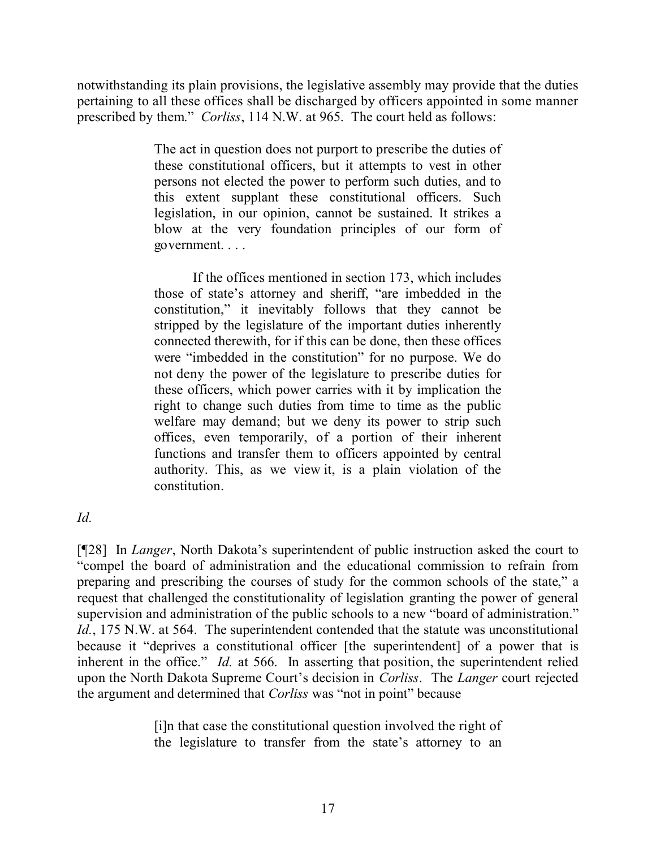notwithstanding its plain provisions, the legislative assembly may provide that the duties pertaining to all these offices shall be discharged by officers appointed in some manner prescribed by them." *Corliss*, 114 N.W. at 965. The court held as follows:

> The act in question does not purport to prescribe the duties of these constitutional officers, but it attempts to vest in other persons not elected the power to perform such duties, and to this extent supplant these constitutional officers. Such legislation, in our opinion, cannot be sustained. It strikes a blow at the very foundation principles of our form of government. . . .

> If the offices mentioned in section 173, which includes those of state's attorney and sheriff, "are imbedded in the constitution," it inevitably follows that they cannot be stripped by the legislature of the important duties inherently connected therewith, for if this can be done, then these offices were "imbedded in the constitution" for no purpose. We do not deny the power of the legislature to prescribe duties for these officers, which power carries with it by implication the right to change such duties from time to time as the public welfare may demand; but we deny its power to strip such offices, even temporarily, of a portion of their inherent functions and transfer them to officers appointed by central authority. This, as we view it, is a plain violation of the constitution.

## *Id.*

[¶28] In *Langer*, North Dakota's superintendent of public instruction asked the court to "compel the board of administration and the educational commission to refrain from preparing and prescribing the courses of study for the common schools of the state," a request that challenged the constitutionality of legislation granting the power of general supervision and administration of the public schools to a new "board of administration." *Id.*, 175 N.W. at 564. The superintendent contended that the statute was unconstitutional because it "deprives a constitutional officer [the superintendent] of a power that is inherent in the office." *Id.* at 566. In asserting that position, the superintendent relied upon the North Dakota Supreme Court's decision in *Corliss*. The *Langer* court rejected the argument and determined that *Corliss* was "not in point" because

> [i]n that case the constitutional question involved the right of the legislature to transfer from the state's attorney to an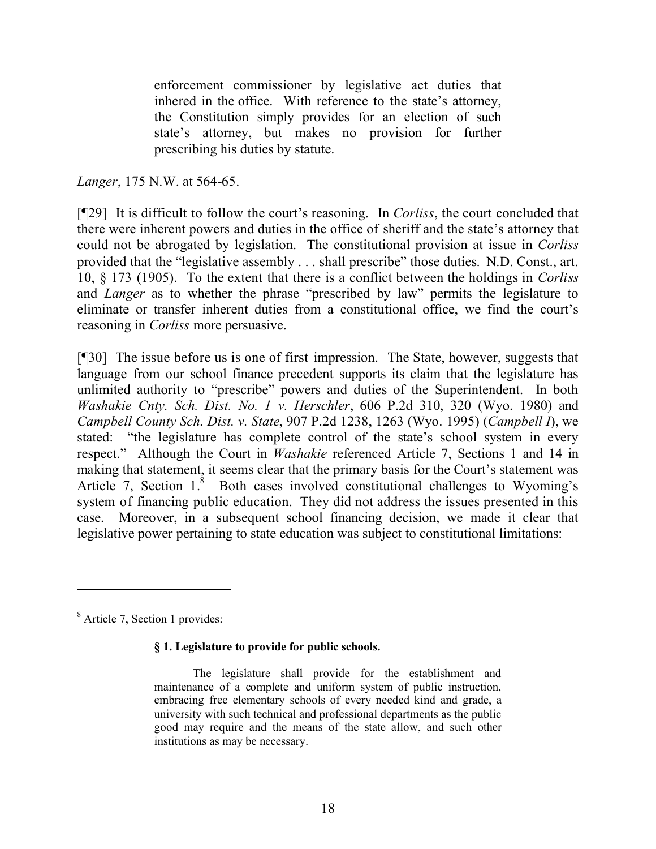enforcement commissioner by legislative act duties that inhered in the office. With reference to the state's attorney, the Constitution simply provides for an election of such state's attorney, but makes no provision for further prescribing his duties by statute.

*Langer*, 175 N.W. at 564-65.

[¶29] It is difficult to follow the court's reasoning. In *Corliss*, the court concluded that there were inherent powers and duties in the office of sheriff and the state's attorney that could not be abrogated by legislation. The constitutional provision at issue in *Corliss* provided that the "legislative assembly . . . shall prescribe" those duties. N.D. Const., art. 10, § 173 (1905). To the extent that there is a conflict between the holdings in *Corliss* and *Langer* as to whether the phrase "prescribed by law" permits the legislature to eliminate or transfer inherent duties from a constitutional office, we find the court's reasoning in *Corliss* more persuasive.

[¶30] The issue before us is one of first impression. The State, however, suggests that language from our school finance precedent supports its claim that the legislature has unlimited authority to "prescribe" powers and duties of the Superintendent. In both *Washakie Cnty. Sch. Dist. No. 1 v. Herschler*, 606 P.2d 310, 320 (Wyo. 1980) and *Campbell County Sch. Dist. v. State*, 907 P.2d 1238, 1263 (Wyo. 1995) (*Campbell I*), we stated: "the legislature has complete control of the state's school system in every respect." Although the Court in *Washakie* referenced Article 7, Sections 1 and 14 in making that statement, it seems clear that the primary basis for the Court's statement was Article 7, Section  $1^8$  Both cases involved constitutional challenges to Wyoming's system of financing public education. They did not address the issues presented in this case. Moreover, in a subsequent school financing decision, we made it clear that legislative power pertaining to state education was subject to constitutional limitations:

<sup>8</sup> Article 7, Section 1 provides:

#### **§ 1. Legislature to provide for public schools.**

The legislature shall provide for the establishment and maintenance of a complete and uniform system of public instruction, embracing free elementary schools of every needed kind and grade, a university with such technical and professional departments as the public good may require and the means of the state allow, and such other institutions as may be necessary.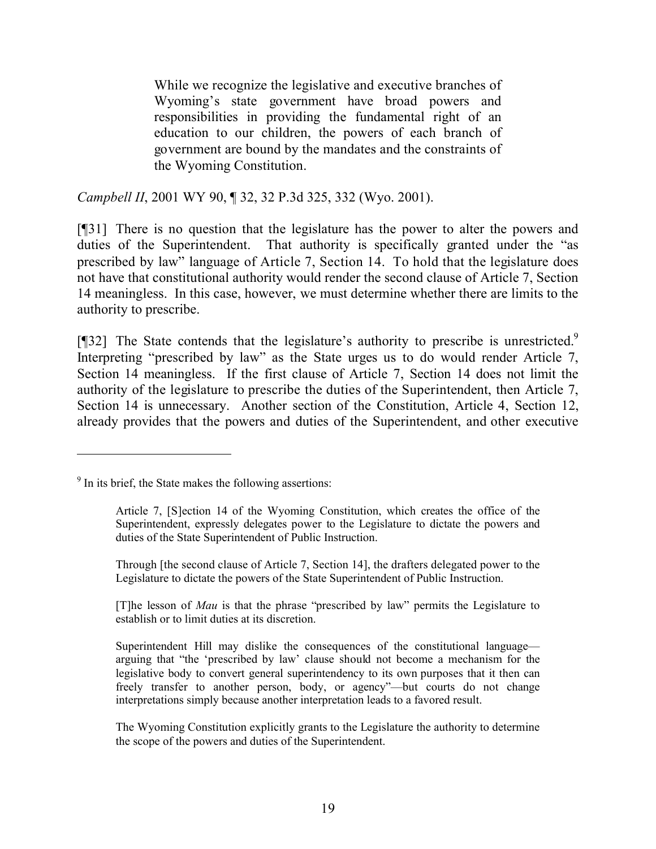While we recognize the legislative and executive branches of Wyoming's state government have broad powers and responsibilities in providing the fundamental right of an education to our children, the powers of each branch of government are bound by the mandates and the constraints of the Wyoming Constitution.

*Campbell II*, 2001 WY 90, ¶ 32, 32 P.3d 325, 332 (Wyo. 2001).

[¶31] There is no question that the legislature has the power to alter the powers and duties of the Superintendent. That authority is specifically granted under the "as prescribed by law" language of Article 7, Section 14. To hold that the legislature does not have that constitutional authority would render the second clause of Article 7, Section 14 meaningless. In this case, however, we must determine whether there are limits to the authority to prescribe.

[ $[$ ]32] The State contends that the legislature's authority to prescribe is unrestricted.<sup>9</sup> Interpreting "prescribed by law" as the State urges us to do would render Article 7, Section 14 meaningless. If the first clause of Article 7, Section 14 does not limit the authority of the legislature to prescribe the duties of the Superintendent, then Article 7, Section 14 is unnecessary. Another section of the Constitution, Article 4, Section 12, already provides that the powers and duties of the Superintendent, and other executive

 $\overline{a}$ 

Through [the second clause of Article 7, Section 14], the drafters delegated power to the Legislature to dictate the powers of the State Superintendent of Public Instruction.

[T]he lesson of *Mau* is that the phrase "prescribed by law" permits the Legislature to establish or to limit duties at its discretion.

The Wyoming Constitution explicitly grants to the Legislature the authority to determine the scope of the powers and duties of the Superintendent.

 $9$  In its brief, the State makes the following assertions:

Article 7, [S]ection 14 of the Wyoming Constitution, which creates the office of the Superintendent, expressly delegates power to the Legislature to dictate the powers and duties of the State Superintendent of Public Instruction.

Superintendent Hill may dislike the consequences of the constitutional language arguing that "the 'prescribed by law' clause should not become a mechanism for the legislative body to convert general superintendency to its own purposes that it then can freely transfer to another person, body, or agency"—but courts do not change interpretations simply because another interpretation leads to a favored result.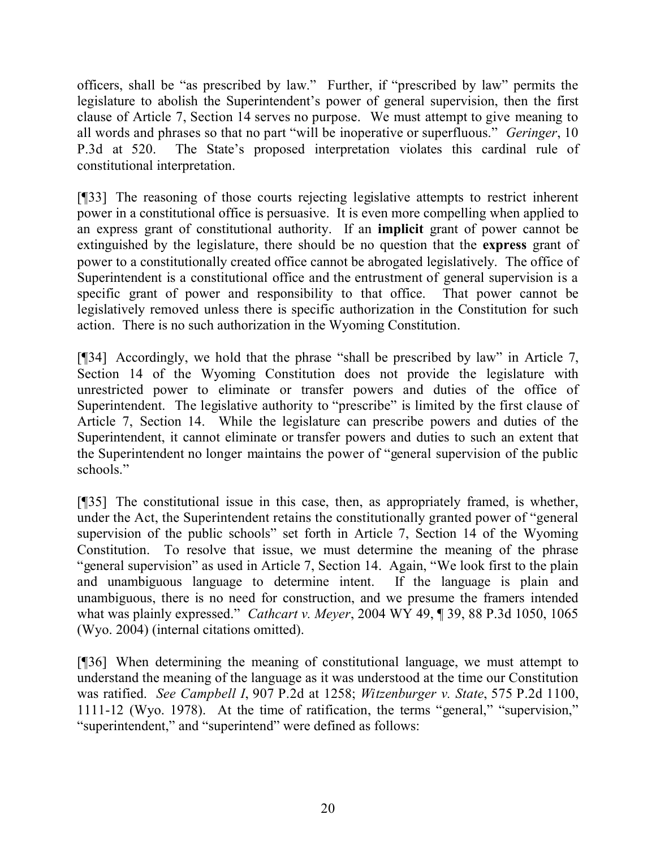officers, shall be "as prescribed by law." Further, if "prescribed by law" permits the legislature to abolish the Superintendent's power of general supervision, then the first clause of Article 7, Section 14 serves no purpose. We must attempt to give meaning to all words and phrases so that no part "will be inoperative or superfluous." *Geringer*, 10 P.3d at 520. The State's proposed interpretation violates this cardinal rule of constitutional interpretation.

[¶33] The reasoning of those courts rejecting legislative attempts to restrict inherent power in a constitutional office is persuasive. It is even more compelling when applied to an express grant of constitutional authority. If an **implicit** grant of power cannot be extinguished by the legislature, there should be no question that the **express** grant of power to a constitutionally created office cannot be abrogated legislatively. The office of Superintendent is a constitutional office and the entrustment of general supervision is a specific grant of power and responsibility to that office. That power cannot be legislatively removed unless there is specific authorization in the Constitution for such action. There is no such authorization in the Wyoming Constitution.

[¶34] Accordingly, we hold that the phrase "shall be prescribed by law" in Article 7, Section 14 of the Wyoming Constitution does not provide the legislature with unrestricted power to eliminate or transfer powers and duties of the office of Superintendent. The legislative authority to "prescribe" is limited by the first clause of Article 7, Section 14. While the legislature can prescribe powers and duties of the Superintendent, it cannot eliminate or transfer powers and duties to such an extent that the Superintendent no longer maintains the power of "general supervision of the public schools."

[¶35] The constitutional issue in this case, then, as appropriately framed, is whether, under the Act, the Superintendent retains the constitutionally granted power of "general supervision of the public schools" set forth in Article 7, Section 14 of the Wyoming Constitution. To resolve that issue, we must determine the meaning of the phrase "general supervision" as used in Article 7, Section 14. Again, "We look first to the plain and unambiguous language to determine intent. If the language is plain and unambiguous, there is no need for construction, and we presume the framers intended what was plainly expressed." *Cathcart v. Meyer*, 2004 WY 49, ¶ 39, 88 P.3d 1050, 1065 (Wyo. 2004) (internal citations omitted).

[¶36] When determining the meaning of constitutional language, we must attempt to understand the meaning of the language as it was understood at the time our Constitution was ratified. *See Campbell I*, 907 P.2d at 1258; *Witzenburger v. State*, 575 P.2d 1100, 1111-12 (Wyo. 1978). At the time of ratification, the terms "general," "supervision," "superintendent," and "superintend" were defined as follows: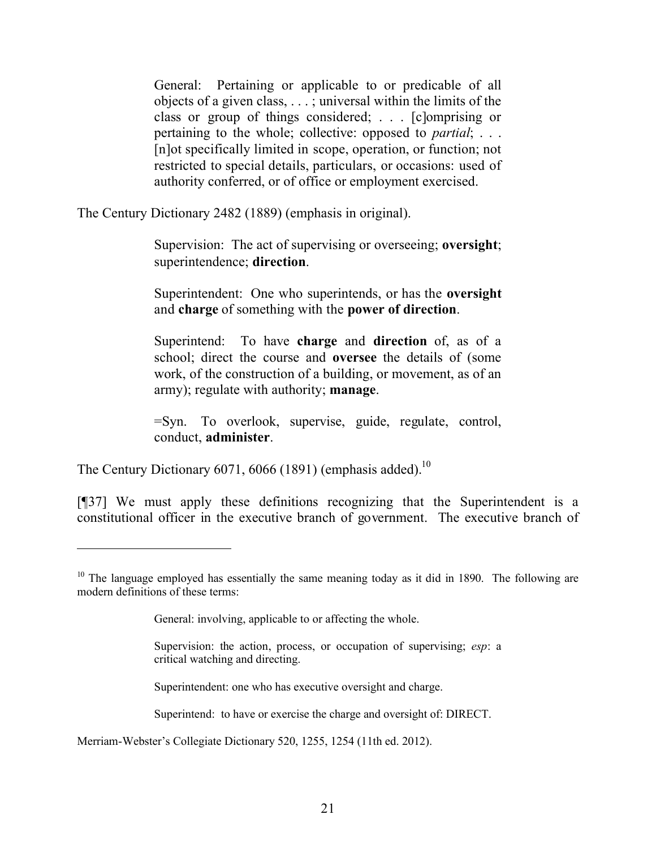General: Pertaining or applicable to or predicable of all objects of a given class, . . . ; universal within the limits of the class or group of things considered; . . . [c]omprising or pertaining to the whole; collective: opposed to *partial*; . . . [n]ot specifically limited in scope, operation, or function; not restricted to special details, particulars, or occasions: used of authority conferred, or of office or employment exercised.

The Century Dictionary 2482 (1889) (emphasis in original).

Supervision: The act of supervising or overseeing; **oversight**; superintendence; **direction**.

Superintendent: One who superintends, or has the **oversight** and **charge** of something with the **power of direction**.

Superintend: To have **charge** and **direction** of, as of a school; direct the course and **oversee** the details of (some work, of the construction of a building, or movement, as of an army); regulate with authority; **manage**.

=Syn. To overlook, supervise, guide, regulate, control, conduct, **administer**.

The Century Dictionary 6071, 6066 (1891) (emphasis added).<sup>10</sup>

[¶37] We must apply these definitions recognizing that the Superintendent is a constitutional officer in the executive branch of government. The executive branch of

Superintendent: one who has executive oversight and charge.

Superintend: to have or exercise the charge and oversight of: DIRECT.

Merriam-Webster's Collegiate Dictionary 520, 1255, 1254 (11th ed. 2012).

 $10$  The language employed has essentially the same meaning today as it did in 1890. The following are modern definitions of these terms:

General: involving, applicable to or affecting the whole.

Supervision: the action, process, or occupation of supervising; *esp*: a critical watching and directing.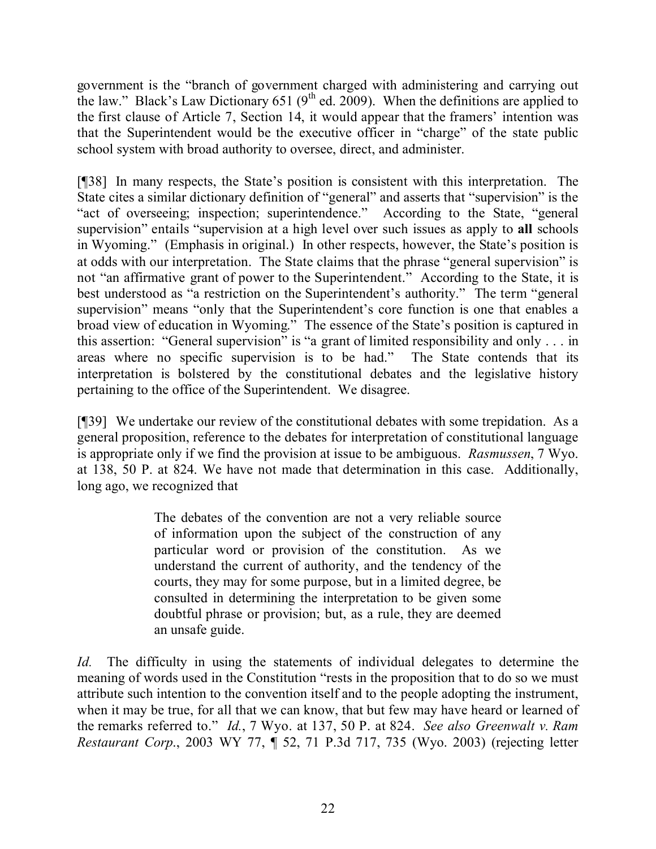government is the "branch of government charged with administering and carrying out the law." Black's Law Dictionary 651 ( $9<sup>th</sup>$  ed. 2009). When the definitions are applied to the first clause of Article 7, Section 14, it would appear that the framers' intention was that the Superintendent would be the executive officer in "charge" of the state public school system with broad authority to oversee, direct, and administer.

[¶38] In many respects, the State's position is consistent with this interpretation. The State cites a similar dictionary definition of "general" and asserts that "supervision" is the "act of overseeing; inspection; superintendence." According to the State, "general supervision" entails "supervision at a high level over such issues as apply to **all** schools in Wyoming." (Emphasis in original.) In other respects, however, the State's position is at odds with our interpretation. The State claims that the phrase "general supervision" is not "an affirmative grant of power to the Superintendent." According to the State, it is best understood as "a restriction on the Superintendent's authority." The term "general supervision" means "only that the Superintendent's core function is one that enables a broad view of education in Wyoming." The essence of the State's position is captured in this assertion: "General supervision" is "a grant of limited responsibility and only . . . in areas where no specific supervision is to be had." The State contends that its interpretation is bolstered by the constitutional debates and the legislative history pertaining to the office of the Superintendent. We disagree.

[¶39] We undertake our review of the constitutional debates with some trepidation. As a general proposition, reference to the debates for interpretation of constitutional language is appropriate only if we find the provision at issue to be ambiguous. *Rasmussen*, 7 Wyo. at 138, 50 P. at 824. We have not made that determination in this case. Additionally, long ago, we recognized that

> The debates of the convention are not a very reliable source of information upon the subject of the construction of any particular word or provision of the constitution. As we understand the current of authority, and the tendency of the courts, they may for some purpose, but in a limited degree, be consulted in determining the interpretation to be given some doubtful phrase or provision; but, as a rule, they are deemed an unsafe guide.

*Id.* The difficulty in using the statements of individual delegates to determine the meaning of words used in the Constitution "rests in the proposition that to do so we must attribute such intention to the convention itself and to the people adopting the instrument, when it may be true, for all that we can know, that but few may have heard or learned of the remarks referred to." *Id.*, 7 Wyo. at 137, 50 P. at 824. *See also Greenwalt v. Ram Restaurant Corp*., 2003 WY 77, ¶ 52, 71 P.3d 717, 735 (Wyo. 2003) (rejecting letter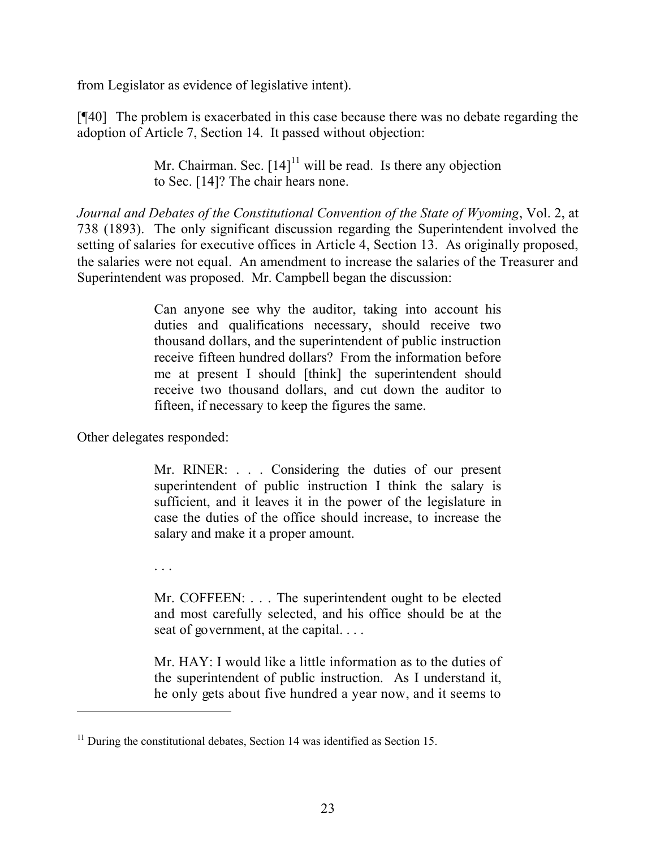from Legislator as evidence of legislative intent).

[¶40] The problem is exacerbated in this case because there was no debate regarding the adoption of Article 7, Section 14. It passed without objection:

> Mr. Chairman. Sec.  $[14]$ <sup>11</sup> will be read. Is there any objection to Sec. [14]? The chair hears none.

*Journal and Debates of the Constitutional Convention of the State of Wyoming*, Vol. 2, at 738 (1893). The only significant discussion regarding the Superintendent involved the setting of salaries for executive offices in Article 4, Section 13. As originally proposed, the salaries were not equal. An amendment to increase the salaries of the Treasurer and Superintendent was proposed. Mr. Campbell began the discussion:

> Can anyone see why the auditor, taking into account his duties and qualifications necessary, should receive two thousand dollars, and the superintendent of public instruction receive fifteen hundred dollars? From the information before me at present I should [think] the superintendent should receive two thousand dollars, and cut down the auditor to fifteen, if necessary to keep the figures the same.

Other delegates responded:

Mr. RINER: . . . Considering the duties of our present superintendent of public instruction I think the salary is sufficient, and it leaves it in the power of the legislature in case the duties of the office should increase, to increase the salary and make it a proper amount.

. . .

 $\overline{a}$ 

Mr. COFFEEN: . . . The superintendent ought to be elected and most carefully selected, and his office should be at the seat of government, at the capital. . . .

Mr. HAY: I would like a little information as to the duties of the superintendent of public instruction. As I understand it, he only gets about five hundred a year now, and it seems to

 $11$  During the constitutional debates, Section 14 was identified as Section 15.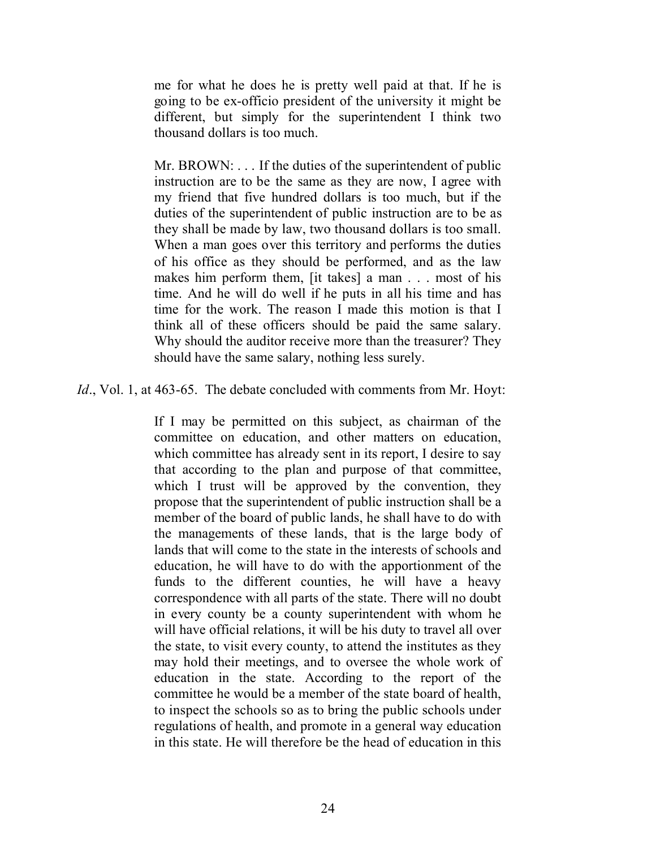me for what he does he is pretty well paid at that. If he is going to be ex-officio president of the university it might be different, but simply for the superintendent I think two thousand dollars is too much.

Mr. BROWN: ... If the duties of the superintendent of public instruction are to be the same as they are now, I agree with my friend that five hundred dollars is too much, but if the duties of the superintendent of public instruction are to be as they shall be made by law, two thousand dollars is too small. When a man goes over this territory and performs the duties of his office as they should be performed, and as the law makes him perform them, [it takes] a man . . . most of his time. And he will do well if he puts in all his time and has time for the work. The reason I made this motion is that I think all of these officers should be paid the same salary. Why should the auditor receive more than the treasurer? They should have the same salary, nothing less surely.

*Id.*, Vol. 1, at 463-65. The debate concluded with comments from Mr. Hoyt:

If I may be permitted on this subject, as chairman of the committee on education, and other matters on education, which committee has already sent in its report, I desire to say that according to the plan and purpose of that committee, which I trust will be approved by the convention, they propose that the superintendent of public instruction shall be a member of the board of public lands, he shall have to do with the managements of these lands, that is the large body of lands that will come to the state in the interests of schools and education, he will have to do with the apportionment of the funds to the different counties, he will have a heavy correspondence with all parts of the state. There will no doubt in every county be a county superintendent with whom he will have official relations, it will be his duty to travel all over the state, to visit every county, to attend the institutes as they may hold their meetings, and to oversee the whole work of education in the state. According to the report of the committee he would be a member of the state board of health, to inspect the schools so as to bring the public schools under regulations of health, and promote in a general way education in this state. He will therefore be the head of education in this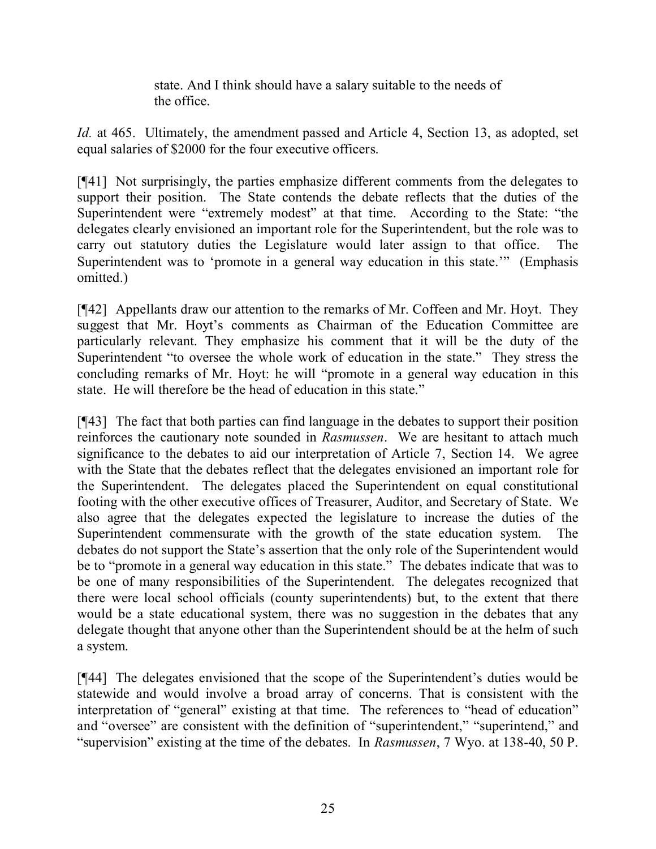state. And I think should have a salary suitable to the needs of the office.

*Id.* at 465. Ultimately, the amendment passed and Article 4, Section 13, as adopted, set equal salaries of \$2000 for the four executive officers.

[¶41] Not surprisingly, the parties emphasize different comments from the delegates to support their position. The State contends the debate reflects that the duties of the Superintendent were "extremely modest" at that time. According to the State: "the delegates clearly envisioned an important role for the Superintendent, but the role was to carry out statutory duties the Legislature would later assign to that office. The Superintendent was to 'promote in a general way education in this state.'" (Emphasis omitted.)

[¶42] Appellants draw our attention to the remarks of Mr. Coffeen and Mr. Hoyt. They suggest that Mr. Hoyt's comments as Chairman of the Education Committee are particularly relevant. They emphasize his comment that it will be the duty of the Superintendent "to oversee the whole work of education in the state." They stress the concluding remarks of Mr. Hoyt: he will "promote in a general way education in this state. He will therefore be the head of education in this state."

[¶43] The fact that both parties can find language in the debates to support their position reinforces the cautionary note sounded in *Rasmussen*. We are hesitant to attach much significance to the debates to aid our interpretation of Article 7, Section 14. We agree with the State that the debates reflect that the delegates envisioned an important role for the Superintendent. The delegates placed the Superintendent on equal constitutional footing with the other executive offices of Treasurer, Auditor, and Secretary of State. We also agree that the delegates expected the legislature to increase the duties of the Superintendent commensurate with the growth of the state education system. The debates do not support the State's assertion that the only role of the Superintendent would be to "promote in a general way education in this state." The debates indicate that was to be one of many responsibilities of the Superintendent. The delegates recognized that there were local school officials (county superintendents) but, to the extent that there would be a state educational system, there was no suggestion in the debates that any delegate thought that anyone other than the Superintendent should be at the helm of such a system.

[¶44] The delegates envisioned that the scope of the Superintendent's duties would be statewide and would involve a broad array of concerns. That is consistent with the interpretation of "general" existing at that time. The references to "head of education" and "oversee" are consistent with the definition of "superintendent," "superintend," and "supervision" existing at the time of the debates. In *Rasmussen*, 7 Wyo. at 138-40, 50 P.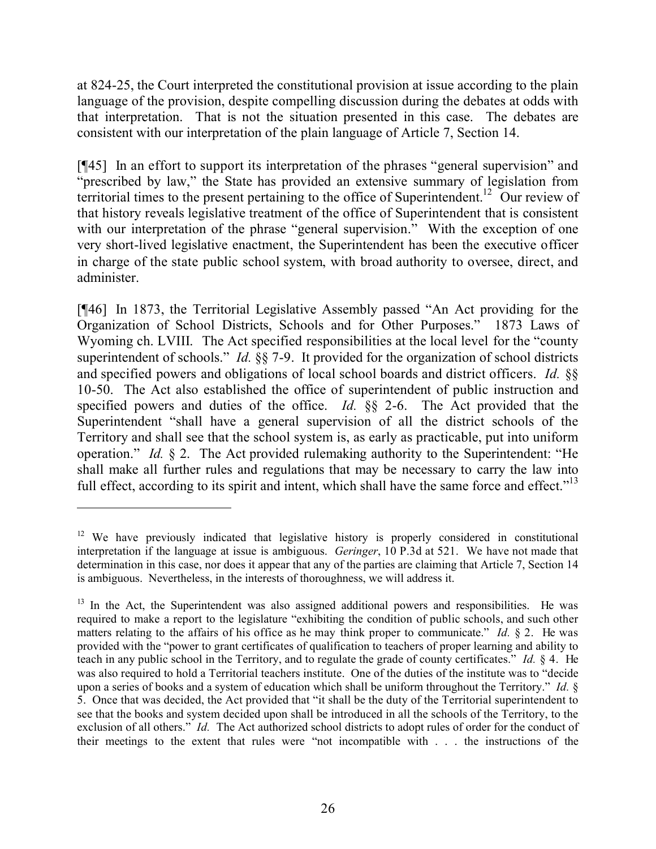at 824-25, the Court interpreted the constitutional provision at issue according to the plain language of the provision, despite compelling discussion during the debates at odds with that interpretation. That is not the situation presented in this case. The debates are consistent with our interpretation of the plain language of Article 7, Section 14.

[¶45] In an effort to support its interpretation of the phrases "general supervision" and "prescribed by law," the State has provided an extensive summary of legislation from territorial times to the present pertaining to the office of Superintendent.<sup>12</sup> Our review of that history reveals legislative treatment of the office of Superintendent that is consistent with our interpretation of the phrase "general supervision." With the exception of one very short-lived legislative enactment, the Superintendent has been the executive officer in charge of the state public school system, with broad authority to oversee, direct, and administer.

[¶46] In 1873, the Territorial Legislative Assembly passed "An Act providing for the Organization of School Districts, Schools and for Other Purposes." 1873 Laws of Wyoming ch. LVIII. The Act specified responsibilities at the local level for the "county superintendent of schools." *Id.* §§ 7-9. It provided for the organization of school districts and specified powers and obligations of local school boards and district officers. *Id.* §§ 10-50. The Act also established the office of superintendent of public instruction and specified powers and duties of the office. *Id.* §§ 2-6. The Act provided that the Superintendent "shall have a general supervision of all the district schools of the Territory and shall see that the school system is, as early as practicable, put into uniform operation." *Id.* § 2. The Act provided rulemaking authority to the Superintendent: "He shall make all further rules and regulations that may be necessary to carry the law into full effect, according to its spirit and intent, which shall have the same force and effect."<sup>13</sup>

<sup>&</sup>lt;sup>12</sup> We have previously indicated that legislative history is properly considered in constitutional interpretation if the language at issue is ambiguous. *Geringer*, 10 P.3d at 521. We have not made that determination in this case, nor does it appear that any of the parties are claiming that Article 7, Section 14 is ambiguous. Nevertheless, in the interests of thoroughness, we will address it.

 $13$  In the Act, the Superintendent was also assigned additional powers and responsibilities. He was required to make a report to the legislature "exhibiting the condition of public schools, and such other matters relating to the affairs of his office as he may think proper to communicate." *Id.* § 2. He was provided with the "power to grant certificates of qualification to teachers of proper learning and ability to teach in any public school in the Territory, and to regulate the grade of county certificates." *Id.* § 4. He was also required to hold a Territorial teachers institute. One of the duties of the institute was to "decide upon a series of books and a system of education which shall be uniform throughout the Territory." *Id.* § 5. Once that was decided, the Act provided that "it shall be the duty of the Territorial superintendent to see that the books and system decided upon shall be introduced in all the schools of the Territory, to the exclusion of all others." *Id.* The Act authorized school districts to adopt rules of order for the conduct of their meetings to the extent that rules were "not incompatible with . . . the instructions of the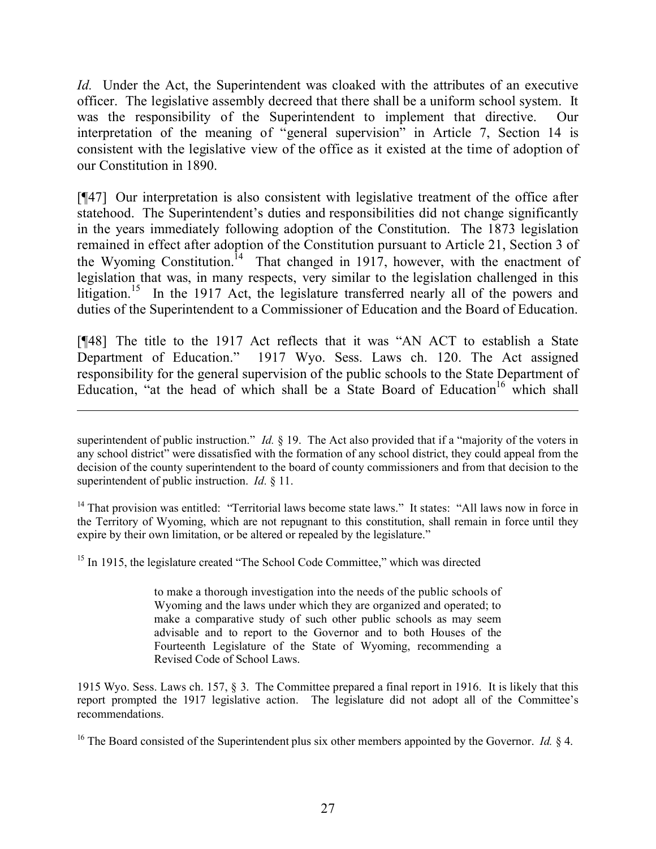*Id.* Under the Act, the Superintendent was cloaked with the attributes of an executive officer. The legislative assembly decreed that there shall be a uniform school system. It was the responsibility of the Superintendent to implement that directive. Our interpretation of the meaning of "general supervision" in Article 7, Section 14 is consistent with the legislative view of the office as it existed at the time of adoption of our Constitution in 1890.

[¶47] Our interpretation is also consistent with legislative treatment of the office after statehood. The Superintendent's duties and responsibilities did not change significantly in the years immediately following adoption of the Constitution. The 1873 legislation remained in effect after adoption of the Constitution pursuant to Article 21, Section 3 of the Wyoming Constitution.<sup>14</sup> That changed in 1917, however, with the enactment of legislation that was, in many respects, very similar to the legislation challenged in this litigation.<sup>15</sup> In the 1917 Act, the legislature transferred nearly all of the powers and duties of the Superintendent to a Commissioner of Education and the Board of Education.

[¶48] The title to the 1917 Act reflects that it was "AN ACT to establish a State Department of Education." 1917 Wyo. Sess. Laws ch. 120. The Act assigned responsibility for the general supervision of the public schools to the State Department of Education, "at the head of which shall be a State Board of Education<sup>16</sup> which shall

<sup>14</sup> That provision was entitled: "Territorial laws become state laws." It states: "All laws now in force in the Territory of Wyoming, which are not repugnant to this constitution, shall remain in force until they expire by their own limitation, or be altered or repealed by the legislature."

<sup>15</sup> In 1915, the legislature created "The School Code Committee," which was directed

to make a thorough investigation into the needs of the public schools of Wyoming and the laws under which they are organized and operated; to make a comparative study of such other public schools as may seem advisable and to report to the Governor and to both Houses of the Fourteenth Legislature of the State of Wyoming, recommending a Revised Code of School Laws.

1915 Wyo. Sess. Laws ch. 157, § 3. The Committee prepared a final report in 1916. It is likely that this report prompted the 1917 legislative action. The legislature did not adopt all of the Committee's recommendations.

<sup>16</sup> The Board consisted of the Superintendent plus six other members appointed by the Governor. *Id.* § 4.

superintendent of public instruction." *Id.* § 19. The Act also provided that if a "majority of the voters in any school district" were dissatisfied with the formation of any school district, they could appeal from the decision of the county superintendent to the board of county commissioners and from that decision to the superintendent of public instruction. *Id.* § 11.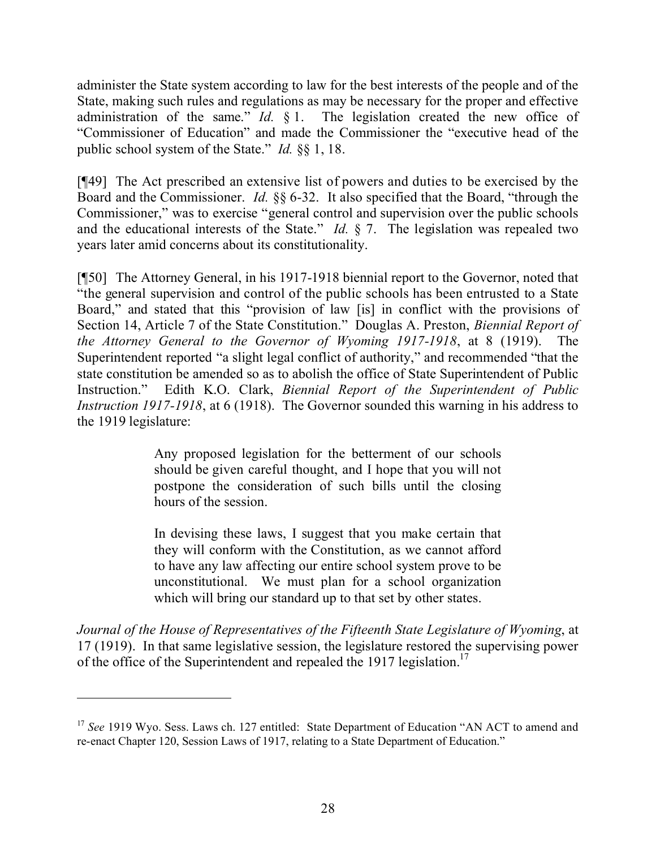administer the State system according to law for the best interests of the people and of the State, making such rules and regulations as may be necessary for the proper and effective administration of the same." *Id.* § 1. The legislation created the new office of "Commissioner of Education" and made the Commissioner the "executive head of the public school system of the State." *Id.* §§ 1, 18.

[¶49] The Act prescribed an extensive list of powers and duties to be exercised by the Board and the Commissioner. *Id.* §§ 6-32. It also specified that the Board, "through the Commissioner," was to exercise "general control and supervision over the public schools and the educational interests of the State." *Id.* § 7. The legislation was repealed two years later amid concerns about its constitutionality.

[¶50] The Attorney General, in his 1917-1918 biennial report to the Governor, noted that "the general supervision and control of the public schools has been entrusted to a State Board," and stated that this "provision of law [is] in conflict with the provisions of Section 14, Article 7 of the State Constitution." Douglas A. Preston, *Biennial Report of the Attorney General to the Governor of Wyoming 1917-1918*, at 8 (1919). The Superintendent reported "a slight legal conflict of authority," and recommended "that the state constitution be amended so as to abolish the office of State Superintendent of Public Instruction." Edith K.O. Clark, *Biennial Report of the Superintendent of Public Instruction 1917-1918*, at 6 (1918). The Governor sounded this warning in his address to the 1919 legislature:

> Any proposed legislation for the betterment of our schools should be given careful thought, and I hope that you will not postpone the consideration of such bills until the closing hours of the session.

> In devising these laws, I suggest that you make certain that they will conform with the Constitution, as we cannot afford to have any law affecting our entire school system prove to be unconstitutional. We must plan for a school organization which will bring our standard up to that set by other states.

*Journal of the House of Representatives of the Fifteenth State Legislature of Wyoming*, at 17 (1919). In that same legislative session, the legislature restored the supervising power of the office of the Superintendent and repealed the 1917 legislation.<sup>17</sup>

<sup>&</sup>lt;sup>17</sup> See 1919 Wyo. Sess. Laws ch. 127 entitled: State Department of Education "AN ACT to amend and re-enact Chapter 120, Session Laws of 1917, relating to a State Department of Education."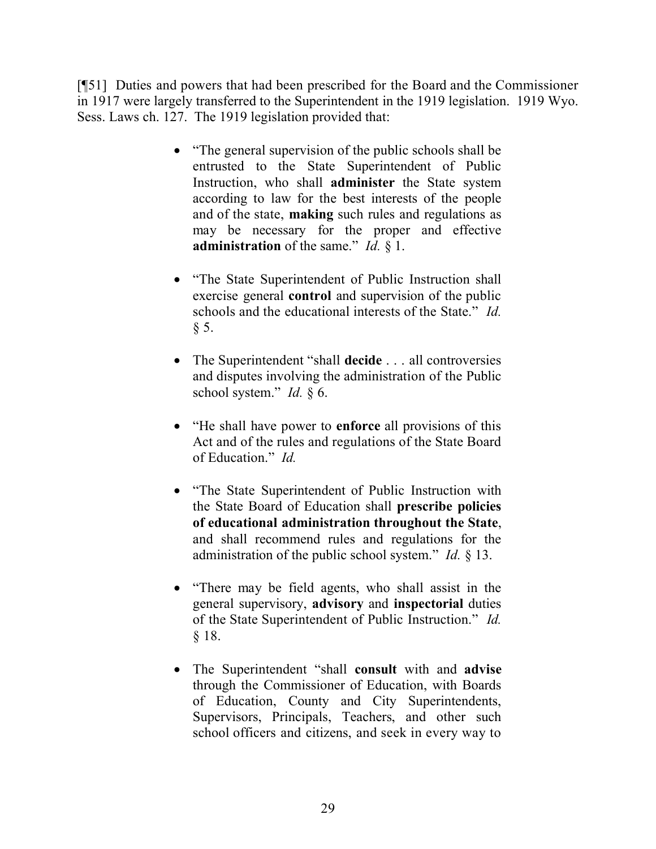[¶51] Duties and powers that had been prescribed for the Board and the Commissioner in 1917 were largely transferred to the Superintendent in the 1919 legislation. 1919 Wyo. Sess. Laws ch. 127. The 1919 legislation provided that:

- "The general supervision of the public schools shall be entrusted to the State Superintendent of Public Instruction, who shall **administer** the State system according to law for the best interests of the people and of the state, **making** such rules and regulations as may be necessary for the proper and effective **administration** of the same." *Id.* § 1.
- "The State Superintendent of Public Instruction shall exercise general **control** and supervision of the public schools and the educational interests of the State." *Id.*  $§ 5.$
- The Superintendent "shall **decide** . . . all controversies and disputes involving the administration of the Public school system." *Id.* § 6.
- "He shall have power to **enforce** all provisions of this Act and of the rules and regulations of the State Board of Education." *Id.*
- "The State Superintendent of Public Instruction with the State Board of Education shall **prescribe policies of educational administration throughout the State**, and shall recommend rules and regulations for the administration of the public school system." *Id.* § 13.
- "There may be field agents, who shall assist in the general supervisory, **advisory** and **inspectorial** duties of the State Superintendent of Public Instruction." *Id.*  § 18.
- The Superintendent "shall **consult** with and **advise** through the Commissioner of Education, with Boards of Education, County and City Superintendents, Supervisors, Principals, Teachers, and other such school officers and citizens, and seek in every way to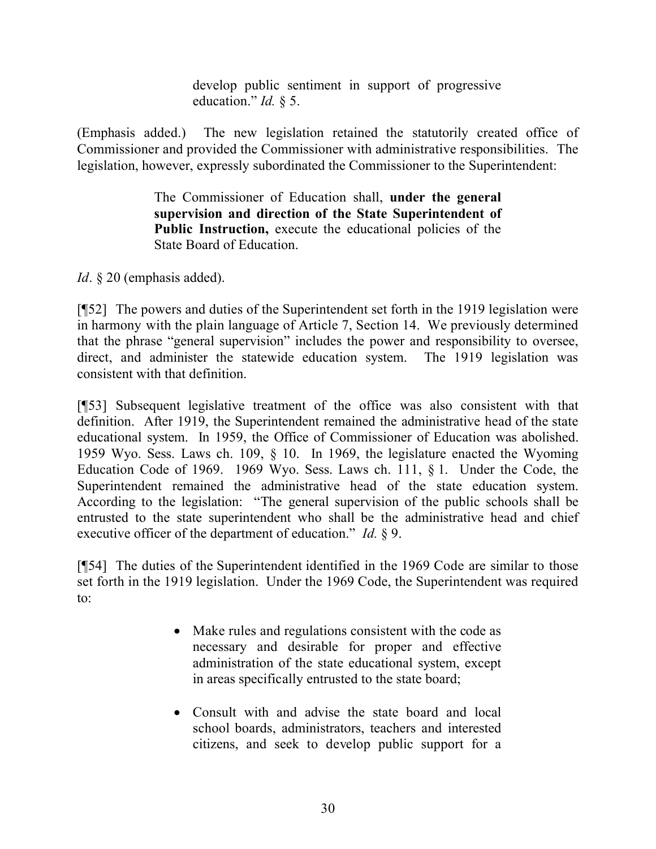develop public sentiment in support of progressive education." *Id.* § 5.

(Emphasis added.) The new legislation retained the statutorily created office of Commissioner and provided the Commissioner with administrative responsibilities. The legislation, however, expressly subordinated the Commissioner to the Superintendent:

> The Commissioner of Education shall, **under the general supervision and direction of the State Superintendent of Public Instruction,** execute the educational policies of the State Board of Education.

*Id*. § 20 (emphasis added).

[¶52] The powers and duties of the Superintendent set forth in the 1919 legislation were in harmony with the plain language of Article 7, Section 14. We previously determined that the phrase "general supervision" includes the power and responsibility to oversee, direct, and administer the statewide education system. The 1919 legislation was consistent with that definition.

[¶53] Subsequent legislative treatment of the office was also consistent with that definition. After 1919, the Superintendent remained the administrative head of the state educational system. In 1959, the Office of Commissioner of Education was abolished. 1959 Wyo. Sess. Laws ch. 109, § 10. In 1969, the legislature enacted the Wyoming Education Code of 1969. 1969 Wyo. Sess. Laws ch. 111, § 1. Under the Code, the Superintendent remained the administrative head of the state education system. According to the legislation: "The general supervision of the public schools shall be entrusted to the state superintendent who shall be the administrative head and chief executive officer of the department of education." *Id.* § 9.

[¶54] The duties of the Superintendent identified in the 1969 Code are similar to those set forth in the 1919 legislation. Under the 1969 Code, the Superintendent was required to:

- Make rules and regulations consistent with the code as necessary and desirable for proper and effective administration of the state educational system, except in areas specifically entrusted to the state board;
- Consult with and advise the state board and local school boards, administrators, teachers and interested citizens, and seek to develop public support for a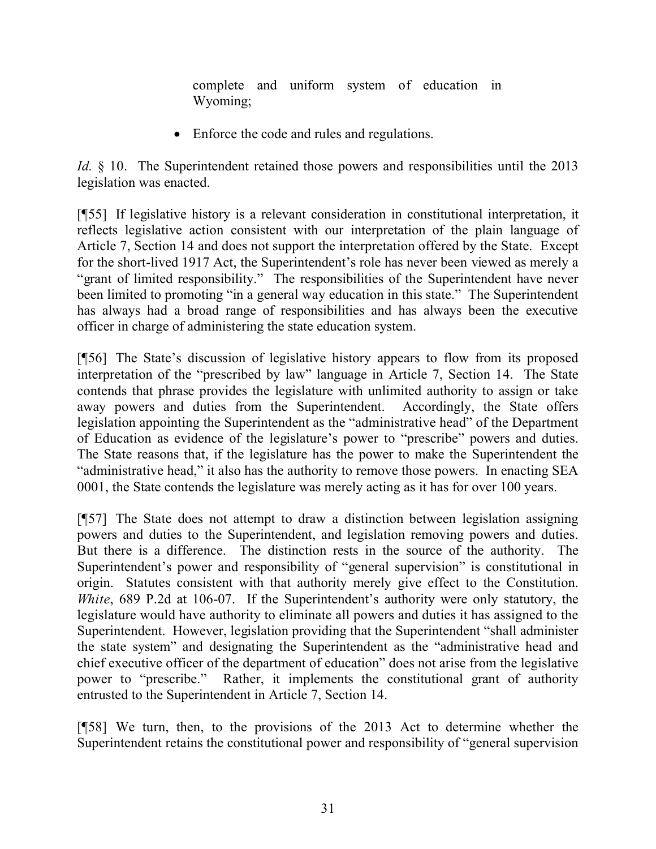complete and uniform system of education in Wyoming;

• Enforce the code and rules and regulations.

*Id.*  $\&$  10. The Superintendent retained those powers and responsibilities until the 2013 legislation was enacted.

[¶55] If legislative history is a relevant consideration in constitutional interpretation, it reflects legislative action consistent with our interpretation of the plain language of Article 7, Section 14 and does not support the interpretation offered by the State. Except for the short-lived 1917 Act, the Superintendent's role has never been viewed as merely a "grant of limited responsibility." The responsibilities of the Superintendent have never been limited to promoting "in a general way education in this state." The Superintendent has always had a broad range of responsibilities and has always been the executive officer in charge of administering the state education system.

[¶56] The State's discussion of legislative history appears to flow from its proposed interpretation of the "prescribed by law" language in Article 7, Section 14. The State contends that phrase provides the legislature with unlimited authority to assign or take away powers and duties from the Superintendent. Accordingly, the State offers legislation appointing the Superintendent as the "administrative head" of the Department of Education as evidence of the legislature's power to "prescribe" powers and duties. The State reasons that, if the legislature has the power to make the Superintendent the "administrative head," it also has the authority to remove those powers. In enacting SEA 0001, the State contends the legislature was merely acting as it has for over 100 years.

[¶57] The State does not attempt to draw a distinction between legislation assigning powers and duties to the Superintendent, and legislation removing powers and duties. But there is a difference. The distinction rests in the source of the authority. The Superintendent's power and responsibility of "general supervision" is constitutional in origin. Statutes consistent with that authority merely give effect to the Constitution. *White*, 689 P.2d at 106-07. If the Superintendent's authority were only statutory, the legislature would have authority to eliminate all powers and duties it has assigned to the Superintendent. However, legislation providing that the Superintendent "shall administer the state system" and designating the Superintendent as the "administrative head and chief executive officer of the department of education" does not arise from the legislative power to "prescribe." Rather, it implements the constitutional grant of authority entrusted to the Superintendent in Article 7, Section 14.

[¶58] We turn, then, to the provisions of the 2013 Act to determine whether the Superintendent retains the constitutional power and responsibility of "general supervision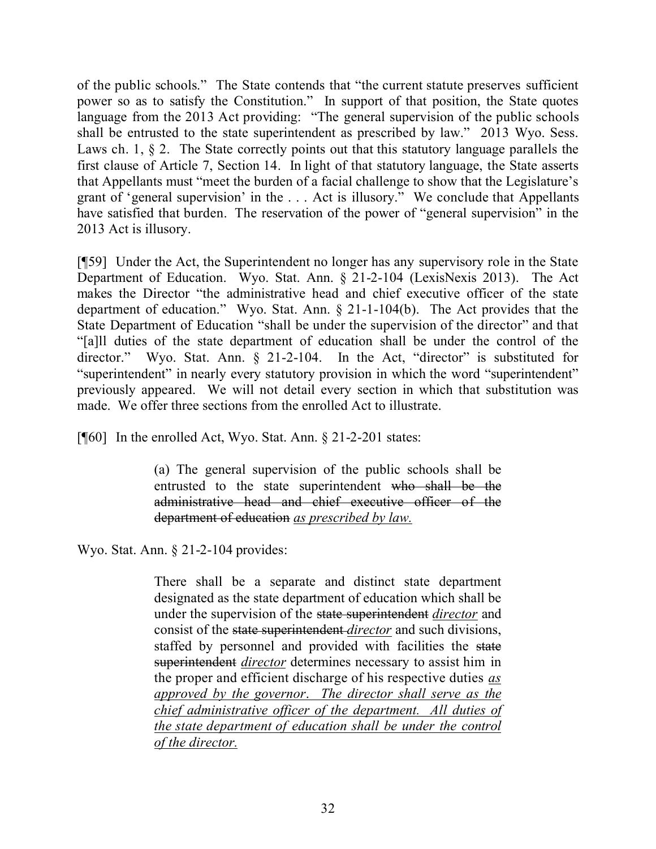of the public schools." The State contends that "the current statute preserves sufficient power so as to satisfy the Constitution." In support of that position, the State quotes language from the 2013 Act providing: "The general supervision of the public schools shall be entrusted to the state superintendent as prescribed by law." 2013 Wyo. Sess. Laws ch. 1,  $\S 2$ . The State correctly points out that this statutory language parallels the first clause of Article 7, Section 14. In light of that statutory language, the State asserts that Appellants must "meet the burden of a facial challenge to show that the Legislature's grant of 'general supervision' in the . . . Act is illusory." We conclude that Appellants have satisfied that burden. The reservation of the power of "general supervision" in the 2013 Act is illusory.

[¶59] Under the Act, the Superintendent no longer has any supervisory role in the State Department of Education. Wyo. Stat. Ann. § 21-2-104 (LexisNexis 2013). The Act makes the Director "the administrative head and chief executive officer of the state department of education." Wyo. Stat. Ann. § 21-1-104(b). The Act provides that the State Department of Education "shall be under the supervision of the director" and that "[a]ll duties of the state department of education shall be under the control of the director." Wyo. Stat. Ann. § 21-2-104. In the Act, "director" is substituted for "superintendent" in nearly every statutory provision in which the word "superintendent" previously appeared. We will not detail every section in which that substitution was made. We offer three sections from the enrolled Act to illustrate.

[ $[$ [60] In the enrolled Act, Wyo. Stat. Ann.  $\S$  21-2-201 states:

(a) The general supervision of the public schools shall be entrusted to the state superintendent who shall be the administrative head and chief executive officer of the department of education *as prescribed by law.*

Wyo. Stat. Ann. § 21-2-104 provides:

There shall be a separate and distinct state department designated as the state department of education which shall be under the supervision of the state superintendent *director* and consist of the state superintendent *director* and such divisions, staffed by personnel and provided with facilities the state superintendent *director* determines necessary to assist him in the proper and efficient discharge of his respective duties *as approved by the governor*. *The director shall serve as the chief administrative officer of the department. All duties of the state department of education shall be under the control of the director.*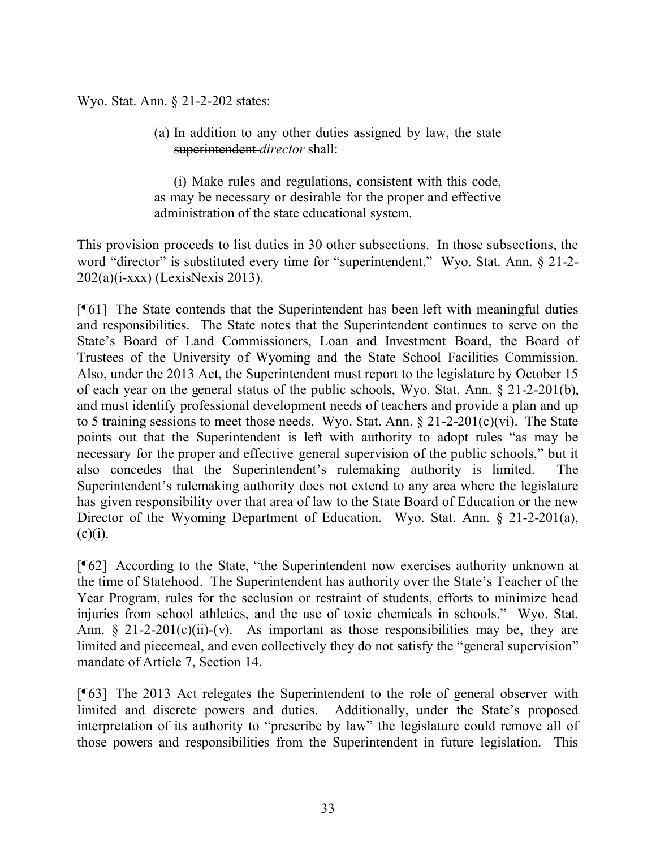Wyo. Stat. Ann. § 21-2-202 states:

(a) In addition to any other duties assigned by law, the state superintendent *director* shall:

(i) Make rules and regulations, consistent with this code, as may be necessary or desirable for the proper and effective administration of the state educational system.

This provision proceeds to list duties in 30 other subsections. In those subsections, the word "director" is substituted every time for "superintendent." Wyo. Stat. Ann. § 21-2-202(a)(i-xxx) (LexisNexis 2013).

[¶61] The State contends that the Superintendent has been left with meaningful duties and responsibilities. The State notes that the Superintendent continues to serve on the State's Board of Land Commissioners, Loan and Investment Board, the Board of Trustees of the University of Wyoming and the State School Facilities Commission. Also, under the 2013 Act, the Superintendent must report to the legislature by October 15 of each year on the general status of the public schools, Wyo. Stat. Ann. § 21-2-201(b), and must identify professional development needs of teachers and provide a plan and up to 5 training sessions to meet those needs. Wyo. Stat. Ann.  $\S 21-2-201(c)(vi)$ . The State points out that the Superintendent is left with authority to adopt rules "as may be necessary for the proper and effective general supervision of the public schools," but it also concedes that the Superintendent's rulemaking authority is limited. The Superintendent's rulemaking authority does not extend to any area where the legislature has given responsibility over that area of law to the State Board of Education or the new Director of the Wyoming Department of Education. Wyo. Stat. Ann. § 21-2-201(a),  $(c)(i)$ .

[¶62] According to the State, "the Superintendent now exercises authority unknown at the time of Statehood. The Superintendent has authority over the State's Teacher of the Year Program, rules for the seclusion or restraint of students, efforts to minimize head injuries from school athletics, and the use of toxic chemicals in schools." Wyo. Stat. Ann.  $\S$  21-2-201(c)(ii)-(v). As important as those responsibilities may be, they are limited and piecemeal, and even collectively they do not satisfy the "general supervision" mandate of Article 7, Section 14.

[¶63] The 2013 Act relegates the Superintendent to the role of general observer with limited and discrete powers and duties. Additionally, under the State's proposed interpretation of its authority to "prescribe by law" the legislature could remove all of those powers and responsibilities from the Superintendent in future legislation. This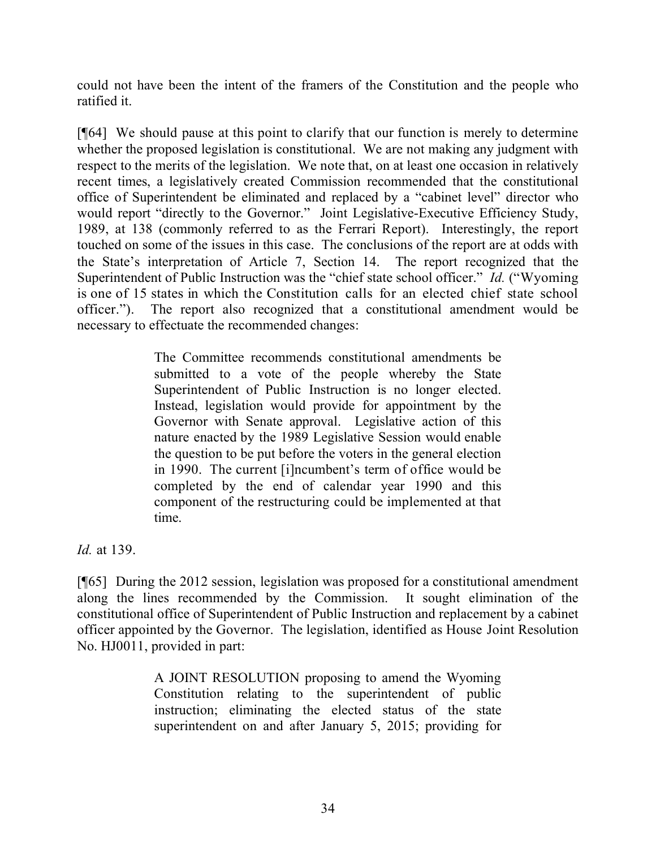could not have been the intent of the framers of the Constitution and the people who ratified it.

[¶64] We should pause at this point to clarify that our function is merely to determine whether the proposed legislation is constitutional. We are not making any judgment with respect to the merits of the legislation. We note that, on at least one occasion in relatively recent times, a legislatively created Commission recommended that the constitutional office of Superintendent be eliminated and replaced by a "cabinet level" director who would report "directly to the Governor." Joint Legislative-Executive Efficiency Study, 1989, at 138 (commonly referred to as the Ferrari Report). Interestingly, the report touched on some of the issues in this case. The conclusions of the report are at odds with the State's interpretation of Article 7, Section 14. The report recognized that the Superintendent of Public Instruction was the "chief state school officer." *Id.* ("Wyoming is one of 15 states in which the Constitution calls for an elected chief state school officer."). The report also recognized that a constitutional amendment would be necessary to effectuate the recommended changes:

> The Committee recommends constitutional amendments be submitted to a vote of the people whereby the State Superintendent of Public Instruction is no longer elected. Instead, legislation would provide for appointment by the Governor with Senate approval. Legislative action of this nature enacted by the 1989 Legislative Session would enable the question to be put before the voters in the general election in 1990. The current [i]ncumbent's term of office would be completed by the end of calendar year 1990 and this component of the restructuring could be implemented at that time.

*Id.* at 139.

[¶65] During the 2012 session, legislation was proposed for a constitutional amendment along the lines recommended by the Commission. It sought elimination of the constitutional office of Superintendent of Public Instruction and replacement by a cabinet officer appointed by the Governor. The legislation, identified as House Joint Resolution No. HJ0011, provided in part:

> A JOINT RESOLUTION proposing to amend the Wyoming Constitution relating to the superintendent of public instruction; eliminating the elected status of the state superintendent on and after January 5, 2015; providing for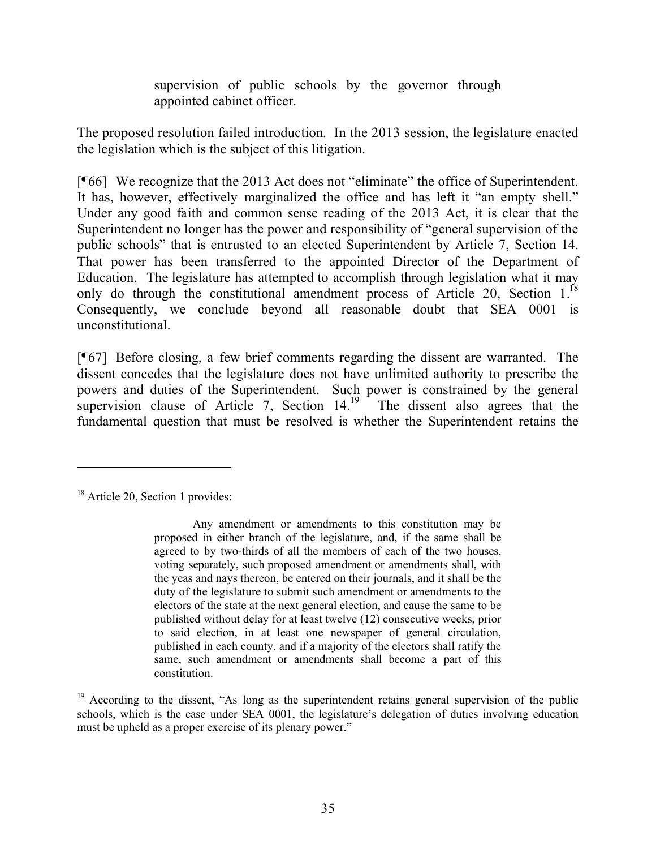supervision of public schools by the governor through appointed cabinet officer.

The proposed resolution failed introduction. In the 2013 session, the legislature enacted the legislation which is the subject of this litigation.

[¶66] We recognize that the 2013 Act does not "eliminate" the office of Superintendent. It has, however, effectively marginalized the office and has left it "an empty shell." Under any good faith and common sense reading of the 2013 Act, it is clear that the Superintendent no longer has the power and responsibility of "general supervision of the public schools" that is entrusted to an elected Superintendent by Article 7, Section 14. That power has been transferred to the appointed Director of the Department of Education. The legislature has attempted to accomplish through legislation what it may only do through the constitutional amendment process of Article 20, Section 1.<sup>18</sup> Consequently, we conclude beyond all reasonable doubt that SEA 0001 is unconstitutional.

[¶67] Before closing, a few brief comments regarding the dissent are warranted. The dissent concedes that the legislature does not have unlimited authority to prescribe the powers and duties of the Superintendent. Such power is constrained by the general supervision clause of Article 7, Section  $14^{19}$  The dissent also agrees that the fundamental question that must be resolved is whether the Superintendent retains the

<sup>&</sup>lt;sup>18</sup> Article 20, Section 1 provides:

Any amendment or amendments to this constitution may be proposed in either branch of the legislature, and, if the same shall be agreed to by two-thirds of all the members of each of the two houses, voting separately, such proposed amendment or amendments shall, with the yeas and nays thereon, be entered on their journals, and it shall be the duty of the legislature to submit such amendment or amendments to the electors of the state at the next general election, and cause the same to be published without delay for at least twelve (12) consecutive weeks, prior to said election, in at least one newspaper of general circulation, published in each county, and if a majority of the electors shall ratify the same, such amendment or amendments shall become a part of this constitution.

 $19$  According to the dissent, "As long as the superintendent retains general supervision of the public schools, which is the case under SEA 0001, the legislature's delegation of duties involving education must be upheld as a proper exercise of its plenary power."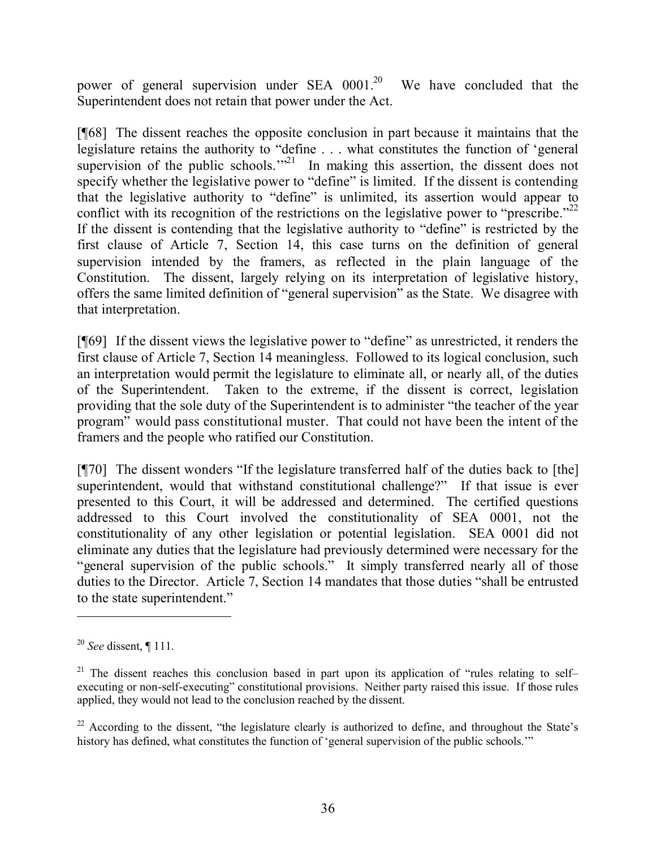power of general supervision under SEA  $0001$ <sup>20</sup> We have concluded that the Superintendent does not retain that power under the Act.

[¶68] The dissent reaches the opposite conclusion in part because it maintains that the legislature retains the authority to "define . . . what constitutes the function of 'general supervision of the public schools." $2<sup>1</sup>$  In making this assertion, the dissent does not specify whether the legislative power to "define" is limited. If the dissent is contending that the legislative authority to "define" is unlimited, its assertion would appear to conflict with its recognition of the restrictions on the legislative power to "prescribe."<sup>22</sup> If the dissent is contending that the legislative authority to "define" is restricted by the first clause of Article 7, Section 14, this case turns on the definition of general supervision intended by the framers, as reflected in the plain language of the Constitution. The dissent, largely relying on its interpretation of legislative history, offers the same limited definition of "general supervision" as the State. We disagree with that interpretation.

[¶69] If the dissent views the legislative power to "define" as unrestricted, it renders the first clause of Article 7, Section 14 meaningless. Followed to its logical conclusion, such an interpretation would permit the legislature to eliminate all, or nearly all, of the duties of the Superintendent. Taken to the extreme, if the dissent is correct, legislation providing that the sole duty of the Superintendent is to administer "the teacher of the year program" would pass constitutional muster. That could not have been the intent of the framers and the people who ratified our Constitution.

[¶70] The dissent wonders "If the legislature transferred half of the duties back to [the] superintendent, would that withstand constitutional challenge?" If that issue is ever presented to this Court, it will be addressed and determined. The certified questions addressed to this Court involved the constitutionality of SEA 0001, not the constitutionality of any other legislation or potential legislation. SEA 0001 did not eliminate any duties that the legislature had previously determined were necessary for the "general supervision of the public schools." It simply transferred nearly all of those duties to the Director. Article 7, Section 14 mandates that those duties "shall be entrusted to the state superintendent."

<sup>20</sup> *See* dissent, ¶ 111.

<sup>&</sup>lt;sup>21</sup> The dissent reaches this conclusion based in part upon its application of "rules relating to selfexecuting or non-self-executing" constitutional provisions. Neither party raised this issue. If those rules applied, they would not lead to the conclusion reached by the dissent.

 $22$  According to the dissent, "the legislature clearly is authorized to define, and throughout the State's history has defined, what constitutes the function of 'general supervision of the public schools.'"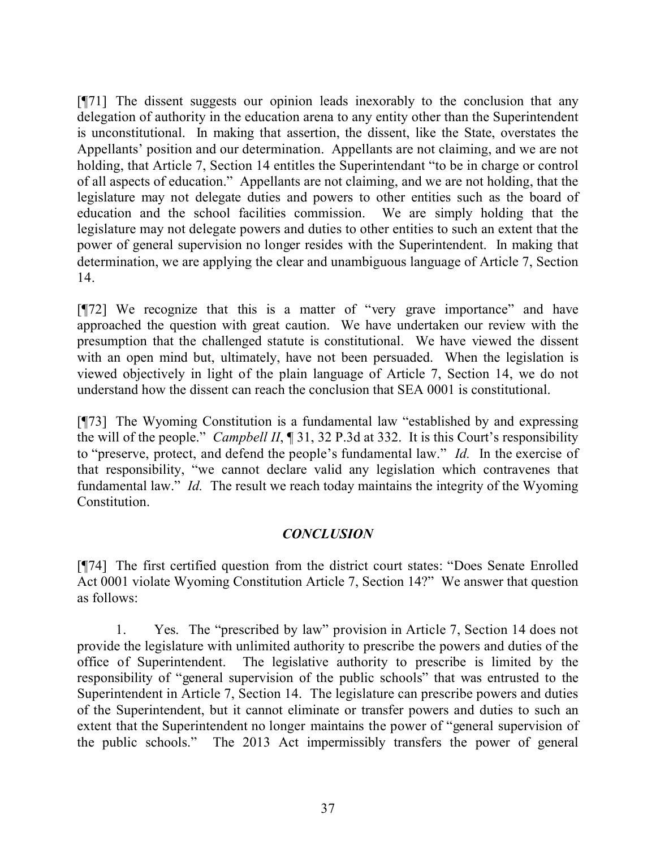[¶71] The dissent suggests our opinion leads inexorably to the conclusion that any delegation of authority in the education arena to any entity other than the Superintendent is unconstitutional. In making that assertion, the dissent, like the State, overstates the Appellants' position and our determination. Appellants are not claiming, and we are not holding, that Article 7, Section 14 entitles the Superintendant "to be in charge or control of all aspects of education." Appellants are not claiming, and we are not holding, that the legislature may not delegate duties and powers to other entities such as the board of education and the school facilities commission. We are simply holding that the legislature may not delegate powers and duties to other entities to such an extent that the power of general supervision no longer resides with the Superintendent. In making that determination, we are applying the clear and unambiguous language of Article 7, Section 14.

[¶72] We recognize that this is a matter of "very grave importance" and have approached the question with great caution. We have undertaken our review with the presumption that the challenged statute is constitutional. We have viewed the dissent with an open mind but, ultimately, have not been persuaded. When the legislation is viewed objectively in light of the plain language of Article 7, Section 14, we do not understand how the dissent can reach the conclusion that SEA 0001 is constitutional.

[¶73] The Wyoming Constitution is a fundamental law "established by and expressing the will of the people." *Campbell II*, ¶ 31, 32 P.3d at 332. It is this Court's responsibility to "preserve, protect, and defend the people's fundamental law." *Id.* In the exercise of that responsibility, "we cannot declare valid any legislation which contravenes that fundamental law." *Id.* The result we reach today maintains the integrity of the Wyoming Constitution.

### *CONCLUSION*

[¶74] The first certified question from the district court states: "Does Senate Enrolled Act 0001 violate Wyoming Constitution Article 7, Section 14?" We answer that question as follows:

1. Yes. The "prescribed by law" provision in Article 7, Section 14 does not provide the legislature with unlimited authority to prescribe the powers and duties of the office of Superintendent. The legislative authority to prescribe is limited by the responsibility of "general supervision of the public schools" that was entrusted to the Superintendent in Article 7, Section 14. The legislature can prescribe powers and duties of the Superintendent, but it cannot eliminate or transfer powers and duties to such an extent that the Superintendent no longer maintains the power of "general supervision of the public schools." The 2013 Act impermissibly transfers the power of general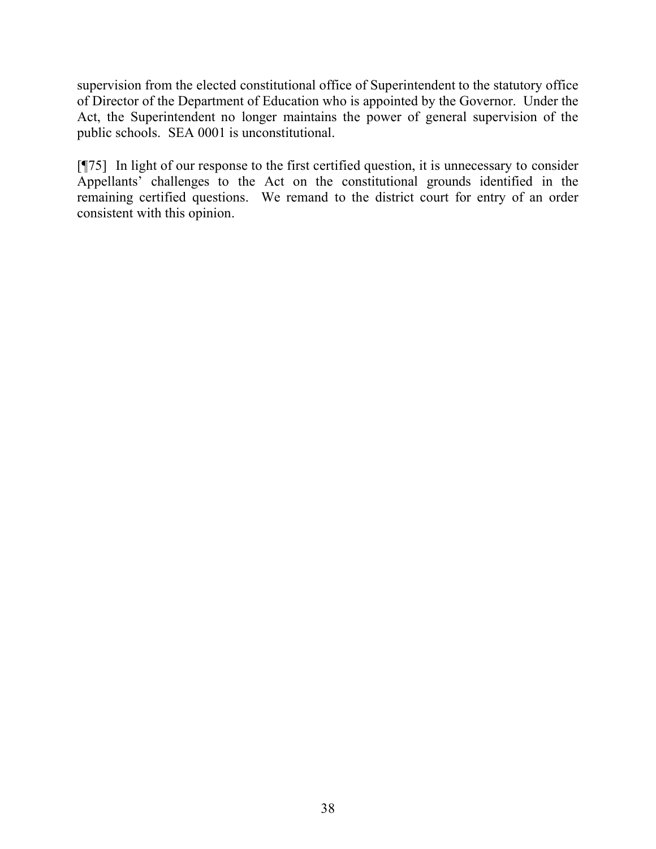supervision from the elected constitutional office of Superintendent to the statutory office of Director of the Department of Education who is appointed by the Governor. Under the Act, the Superintendent no longer maintains the power of general supervision of the public schools. SEA 0001 is unconstitutional.

[¶75] In light of our response to the first certified question, it is unnecessary to consider Appellants' challenges to the Act on the constitutional grounds identified in the remaining certified questions. We remand to the district court for entry of an order consistent with this opinion.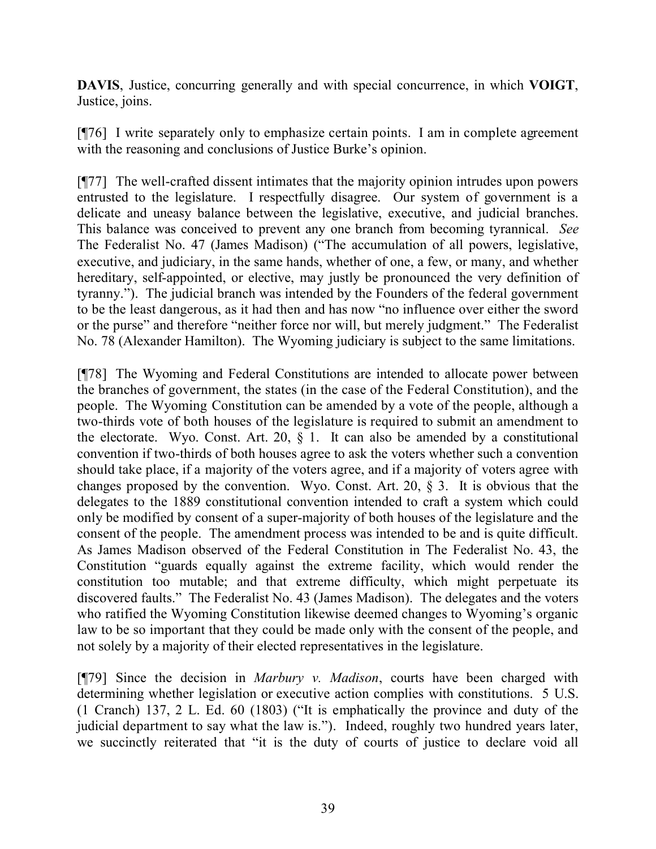**DAVIS**, Justice, concurring generally and with special concurrence, in which **VOIGT**, Justice, joins.

[¶76] I write separately only to emphasize certain points. I am in complete agreement with the reasoning and conclusions of Justice Burke's opinion.

[¶77] The well-crafted dissent intimates that the majority opinion intrudes upon powers entrusted to the legislature. I respectfully disagree. Our system of government is a delicate and uneasy balance between the legislative, executive, and judicial branches. This balance was conceived to prevent any one branch from becoming tyrannical. *See* The Federalist No. 47 (James Madison) ("The accumulation of all powers, legislative, executive, and judiciary, in the same hands, whether of one, a few, or many, and whether hereditary, self-appointed, or elective, may justly be pronounced the very definition of tyranny."). The judicial branch was intended by the Founders of the federal government to be the least dangerous, as it had then and has now "no influence over either the sword or the purse" and therefore "neither force nor will, but merely judgment." The Federalist No. 78 (Alexander Hamilton). The Wyoming judiciary is subject to the same limitations.

[¶78] The Wyoming and Federal Constitutions are intended to allocate power between the branches of government, the states (in the case of the Federal Constitution), and the people. The Wyoming Constitution can be amended by a vote of the people, although a two-thirds vote of both houses of the legislature is required to submit an amendment to the electorate. Wyo. Const. Art. 20,  $\S$  1. It can also be amended by a constitutional convention if two-thirds of both houses agree to ask the voters whether such a convention should take place, if a majority of the voters agree, and if a majority of voters agree with changes proposed by the convention. Wyo. Const. Art. 20, § 3. It is obvious that the delegates to the 1889 constitutional convention intended to craft a system which could only be modified by consent of a super-majority of both houses of the legislature and the consent of the people. The amendment process was intended to be and is quite difficult. As James Madison observed of the Federal Constitution in The Federalist No. 43, the Constitution "guards equally against the extreme facility, which would render the constitution too mutable; and that extreme difficulty, which might perpetuate its discovered faults." The Federalist No. 43 (James Madison). The delegates and the voters who ratified the Wyoming Constitution likewise deemed changes to Wyoming's organic law to be so important that they could be made only with the consent of the people, and not solely by a majority of their elected representatives in the legislature.

[¶79] Since the decision in *Marbury v. Madison*, courts have been charged with determining whether legislation or executive action complies with constitutions. 5 U.S. (1 Cranch) 137, 2 L. Ed. 60 (1803) ("It is emphatically the province and duty of the judicial department to say what the law is."). Indeed, roughly two hundred years later, we succinctly reiterated that "it is the duty of courts of justice to declare void all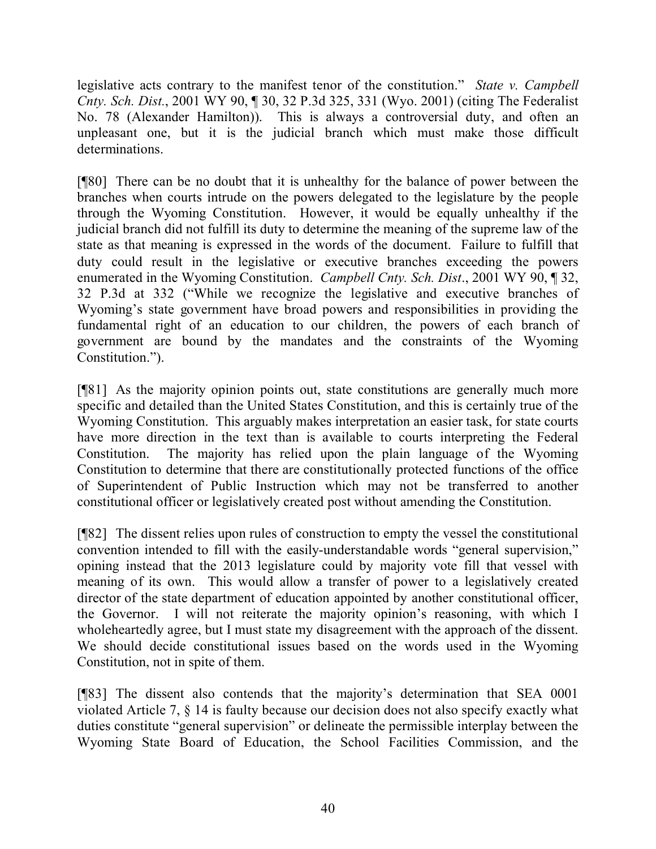legislative acts contrary to the manifest tenor of the constitution." *State v. Campbell Cnty. Sch. Dist.*, 2001 WY 90, ¶ 30, 32 P.3d 325, 331 (Wyo. 2001) (citing The Federalist No. 78 (Alexander Hamilton)). This is always a controversial duty, and often an unpleasant one, but it is the judicial branch which must make those difficult determinations.

[¶80] There can be no doubt that it is unhealthy for the balance of power between the branches when courts intrude on the powers delegated to the legislature by the people through the Wyoming Constitution. However, it would be equally unhealthy if the judicial branch did not fulfill its duty to determine the meaning of the supreme law of the state as that meaning is expressed in the words of the document. Failure to fulfill that duty could result in the legislative or executive branches exceeding the powers enumerated in the Wyoming Constitution. *Campbell Cnty. Sch. Dist*., 2001 WY 90, ¶ 32, 32 P.3d at 332 ("While we recognize the legislative and executive branches of Wyoming's state government have broad powers and responsibilities in providing the fundamental right of an education to our children, the powers of each branch of government are bound by the mandates and the constraints of the Wyoming Constitution.").

[¶81] As the majority opinion points out, state constitutions are generally much more specific and detailed than the United States Constitution, and this is certainly true of the Wyoming Constitution. This arguably makes interpretation an easier task, for state courts have more direction in the text than is available to courts interpreting the Federal Constitution. The majority has relied upon the plain language of the Wyoming Constitution to determine that there are constitutionally protected functions of the office of Superintendent of Public Instruction which may not be transferred to another constitutional officer or legislatively created post without amending the Constitution.

[¶82] The dissent relies upon rules of construction to empty the vessel the constitutional convention intended to fill with the easily-understandable words "general supervision," opining instead that the 2013 legislature could by majority vote fill that vessel with meaning of its own. This would allow a transfer of power to a legislatively created director of the state department of education appointed by another constitutional officer, the Governor. I will not reiterate the majority opinion's reasoning, with which I wholeheartedly agree, but I must state my disagreement with the approach of the dissent. We should decide constitutional issues based on the words used in the Wyoming Constitution, not in spite of them.

[¶83] The dissent also contends that the majority's determination that SEA 0001 violated Article 7, § 14 is faulty because our decision does not also specify exactly what duties constitute "general supervision" or delineate the permissible interplay between the Wyoming State Board of Education, the School Facilities Commission, and the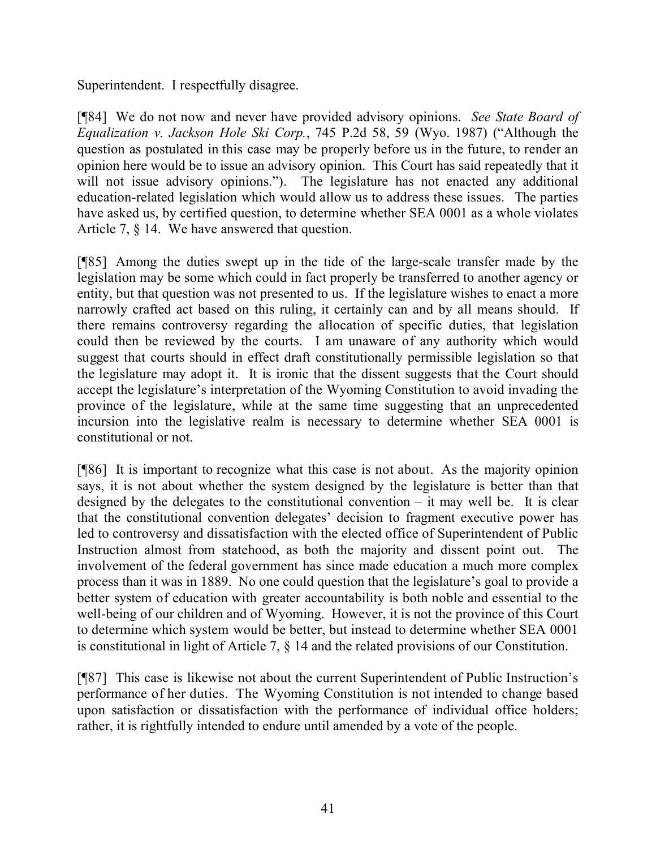Superintendent. I respectfully disagree.

[¶84] We do not now and never have provided advisory opinions. *See State Board of Equalization v. Jackson Hole Ski Corp.*, 745 P.2d 58, 59 (Wyo. 1987) ("Although the question as postulated in this case may be properly before us in the future, to render an opinion here would be to issue an advisory opinion. This Court has said repeatedly that it will not issue advisory opinions."). The legislature has not enacted any additional education-related legislation which would allow us to address these issues. The parties have asked us, by certified question, to determine whether SEA 0001 as a whole violates Article 7, § 14. We have answered that question.

[¶85] Among the duties swept up in the tide of the large-scale transfer made by the legislation may be some which could in fact properly be transferred to another agency or entity, but that question was not presented to us. If the legislature wishes to enact a more narrowly crafted act based on this ruling, it certainly can and by all means should. If there remains controversy regarding the allocation of specific duties, that legislation could then be reviewed by the courts. I am unaware of any authority which would suggest that courts should in effect draft constitutionally permissible legislation so that the legislature may adopt it. It is ironic that the dissent suggests that the Court should accept the legislature's interpretation of the Wyoming Constitution to avoid invading the province of the legislature, while at the same time suggesting that an unprecedented incursion into the legislative realm is necessary to determine whether SEA 0001 is constitutional or not.

[¶86] It is important to recognize what this case is not about. As the majority opinion says, it is not about whether the system designed by the legislature is better than that designed by the delegates to the constitutional convention  $-$  it may well be. It is clear that the constitutional convention delegates' decision to fragment executive power has led to controversy and dissatisfaction with the elected office of Superintendent of Public Instruction almost from statehood, as both the majority and dissent point out. The involvement of the federal government has since made education a much more complex process than it was in 1889. No one could question that the legislature's goal to provide a better system of education with greater accountability is both noble and essential to the well-being of our children and of Wyoming. However, it is not the province of this Court to determine which system would be better, but instead to determine whether SEA 0001 is constitutional in light of Article 7, § 14 and the related provisions of our Constitution.

[¶87] This case is likewise not about the current Superintendent of Public Instruction's performance of her duties. The Wyoming Constitution is not intended to change based upon satisfaction or dissatisfaction with the performance of individual office holders; rather, it is rightfully intended to endure until amended by a vote of the people.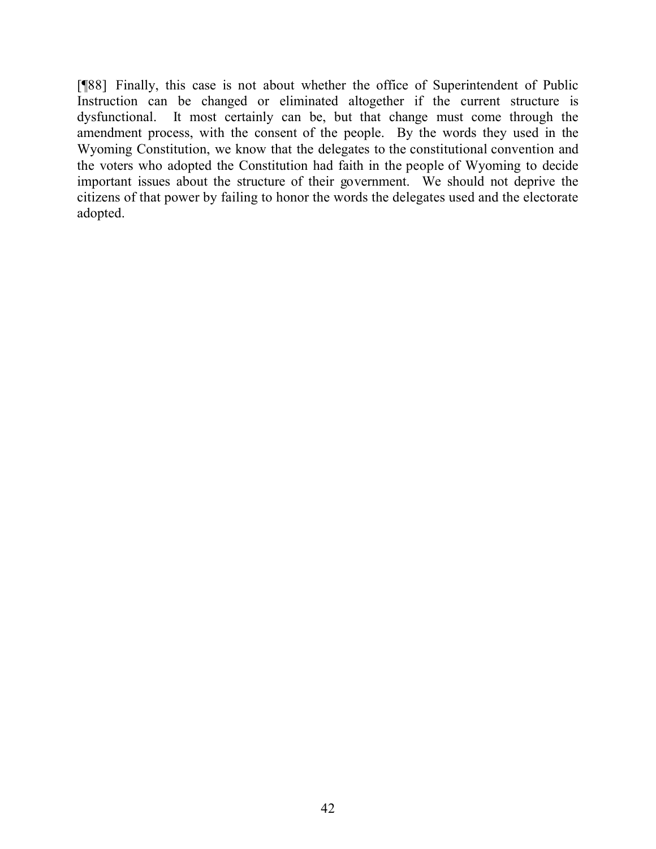[¶88] Finally, this case is not about whether the office of Superintendent of Public Instruction can be changed or eliminated altogether if the current structure is dysfunctional. It most certainly can be, but that change must come through the amendment process, with the consent of the people. By the words they used in the Wyoming Constitution, we know that the delegates to the constitutional convention and the voters who adopted the Constitution had faith in the people of Wyoming to decide important issues about the structure of their government. We should not deprive the citizens of that power by failing to honor the words the delegates used and the electorate adopted.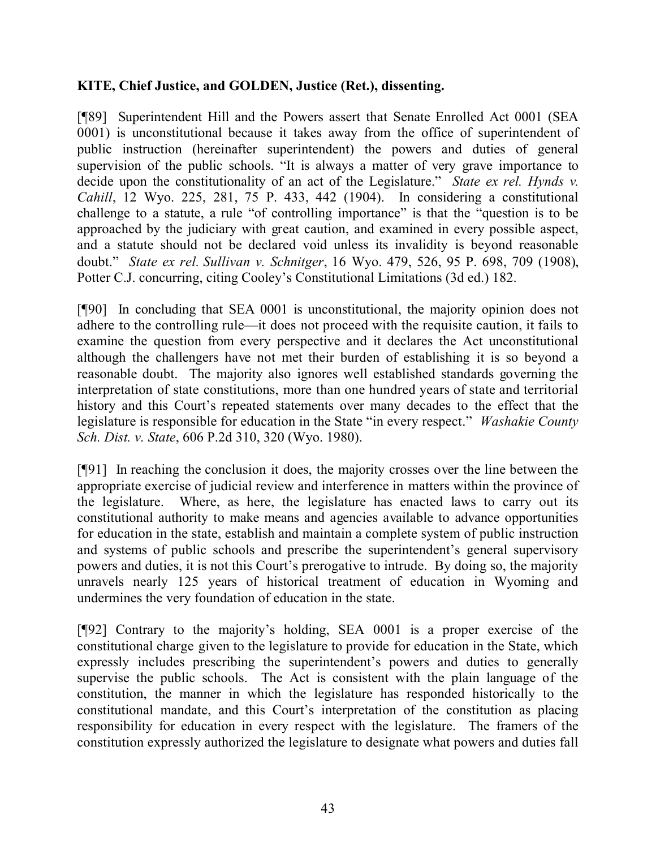## **KITE, Chief Justice, and GOLDEN, Justice (Ret.), dissenting.**

[¶89] Superintendent Hill and the Powers assert that Senate Enrolled Act 0001 (SEA 0001) is unconstitutional because it takes away from the office of superintendent of public instruction (hereinafter superintendent) the powers and duties of general supervision of the public schools. "It is always a matter of very grave importance to decide upon the constitutionality of an act of the Legislature." *State ex rel. Hynds v. Cahill*, 12 Wyo. 225, 281, 75 P. 433, 442 (1904). In considering a constitutional challenge to a statute, a rule "of controlling importance" is that the "question is to be approached by the judiciary with great caution, and examined in every possible aspect, and a statute should not be declared void unless its invalidity is beyond reasonable doubt." *State ex rel. Sullivan v. Schnitger*, 16 Wyo. 479, 526, 95 P. 698, 709 (1908), Potter C.J. concurring, citing Cooley's Constitutional Limitations (3d ed.) 182.

[¶90] In concluding that SEA 0001 is unconstitutional, the majority opinion does not adhere to the controlling rule—it does not proceed with the requisite caution, it fails to examine the question from every perspective and it declares the Act unconstitutional although the challengers have not met their burden of establishing it is so beyond a reasonable doubt. The majority also ignores well established standards governing the interpretation of state constitutions, more than one hundred years of state and territorial history and this Court's repeated statements over many decades to the effect that the legislature is responsible for education in the State "in every respect." *Washakie County Sch. Dist. v. State*, 606 P.2d 310, 320 (Wyo. 1980).

[¶91] In reaching the conclusion it does, the majority crosses over the line between the appropriate exercise of judicial review and interference in matters within the province of the legislature. Where, as here, the legislature has enacted laws to carry out its constitutional authority to make means and agencies available to advance opportunities for education in the state, establish and maintain a complete system of public instruction and systems of public schools and prescribe the superintendent's general supervisory powers and duties, it is not this Court's prerogative to intrude. By doing so, the majority unravels nearly 125 years of historical treatment of education in Wyoming and undermines the very foundation of education in the state.

[¶92] Contrary to the majority's holding, SEA 0001 is a proper exercise of the constitutional charge given to the legislature to provide for education in the State, which expressly includes prescribing the superintendent's powers and duties to generally supervise the public schools. The Act is consistent with the plain language of the constitution, the manner in which the legislature has responded historically to the constitutional mandate, and this Court's interpretation of the constitution as placing responsibility for education in every respect with the legislature. The framers of the constitution expressly authorized the legislature to designate what powers and duties fall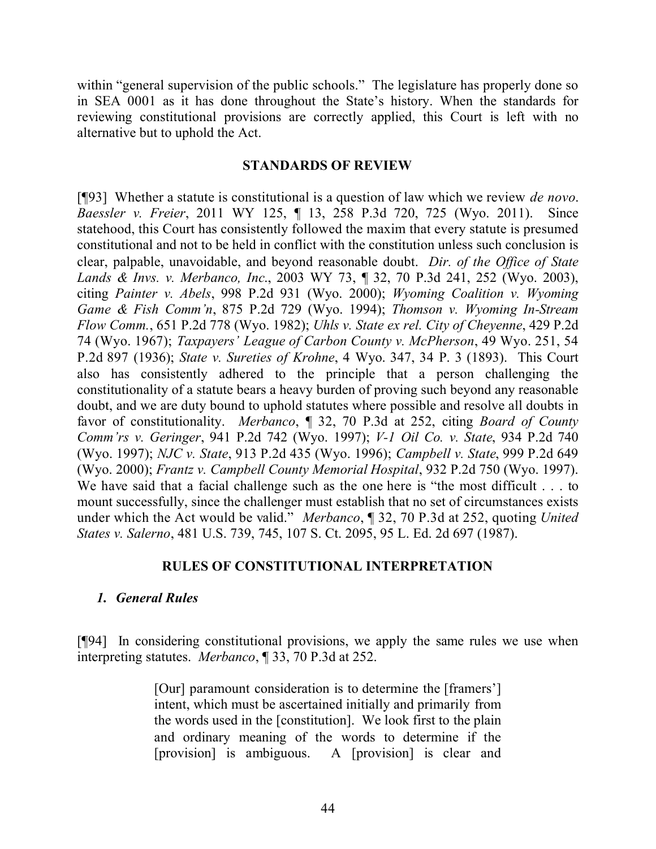within "general supervision of the public schools." The legislature has properly done so in SEA 0001 as it has done throughout the State's history. When the standards for reviewing constitutional provisions are correctly applied, this Court is left with no alternative but to uphold the Act.

#### **STANDARDS OF REVIEW**

[¶93] Whether a statute is constitutional is a question of law which we review *de novo*. *Baessler v. Freier*, 2011 WY 125, ¶ 13, 258 P.3d 720, 725 (Wyo. 2011). Since statehood, this Court has consistently followed the maxim that every statute is presumed constitutional and not to be held in conflict with the constitution unless such conclusion is clear, palpable, unavoidable, and beyond reasonable doubt. *Dir. of the Office of State Lands & Invs. v. Merbanco, Inc*., 2003 WY 73, ¶ 32, 70 P.3d 241, 252 (Wyo. 2003), citing *Painter v. Abels*, 998 P.2d 931 (Wyo. 2000); *Wyoming Coalition v. Wyoming Game & Fish Comm'n*, 875 P.2d 729 (Wyo. 1994); *Thomson v. Wyoming In-Stream Flow Comm.*, 651 P.2d 778 (Wyo. 1982); *Uhls v. State ex rel. City of Cheyenne*, 429 P.2d 74 (Wyo. 1967); *Taxpayers' League of Carbon County v. McPherson*, 49 Wyo. 251, 54 P.2d 897 (1936); *State v. Sureties of Krohne*, 4 Wyo. 347, 34 P. 3 (1893). This Court also has consistently adhered to the principle that a person challenging the constitutionality of a statute bears a heavy burden of proving such beyond any reasonable doubt, and we are duty bound to uphold statutes where possible and resolve all doubts in favor of constitutionality. *Merbanco*, ¶ 32, 70 P.3d at 252, citing *Board of County Comm'rs v. Geringer*, 941 P.2d 742 (Wyo. 1997); *V-1 Oil Co. v. State*, 934 P.2d 740 (Wyo. 1997); *NJC v. State*, 913 P.2d 435 (Wyo. 1996); *Campbell v. State*, 999 P.2d 649 (Wyo. 2000); *Frantz v. Campbell County Memorial Hospital*, 932 P.2d 750 (Wyo. 1997). We have said that a facial challenge such as the one here is "the most difficult . . . to mount successfully, since the challenger must establish that no set of circumstances exists under which the Act would be valid." *Merbanco*, ¶ 32, 70 P.3d at 252, quoting *United States v. Salerno*, 481 U.S. 739, 745, 107 S. Ct. 2095, 95 L. Ed. 2d 697 (1987).

### **RULES OF CONSTITUTIONAL INTERPRETATION**

### *1. General Rules*

[¶94] In considering constitutional provisions, we apply the same rules we use when interpreting statutes. *Merbanco*, ¶ 33, 70 P.3d at 252.

> [Our] paramount consideration is to determine the [framers'] intent, which must be ascertained initially and primarily from the words used in the [constitution]. We look first to the plain and ordinary meaning of the words to determine if the [provision] is ambiguous. A [provision] is clear and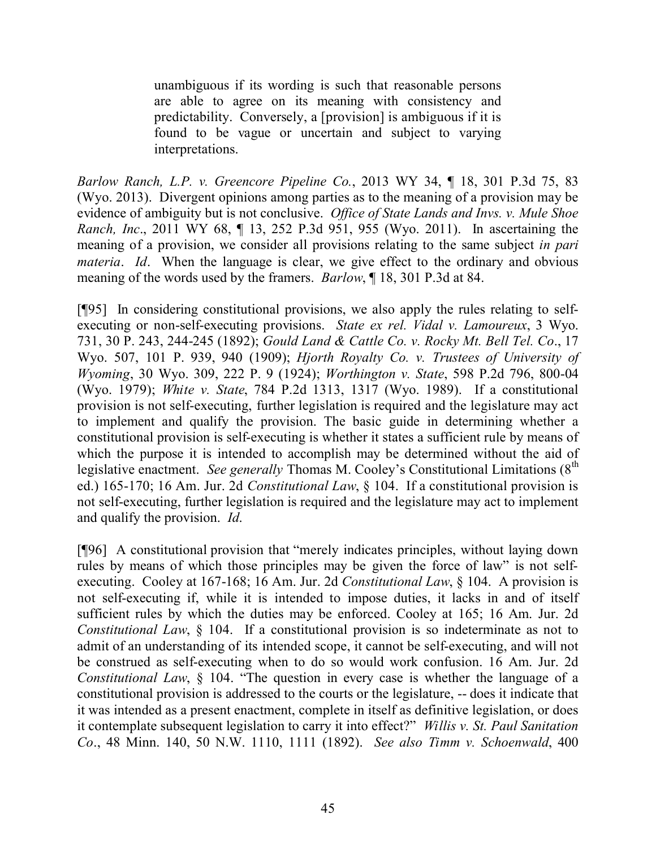unambiguous if its wording is such that reasonable persons are able to agree on its meaning with consistency and predictability. Conversely, a [provision] is ambiguous if it is found to be vague or uncertain and subject to varying interpretations.

*Barlow Ranch, L.P. v. Greencore Pipeline Co.*, 2013 WY 34, ¶ 18, 301 P.3d 75, 83 (Wyo. 2013). Divergent opinions among parties as to the meaning of a provision may be evidence of ambiguity but is not conclusive. *Office of State Lands and Invs. v. Mule Shoe Ranch, Inc*., 2011 WY 68, ¶ 13, 252 P.3d 951, 955 (Wyo. 2011). In ascertaining the meaning of a provision, we consider all provisions relating to the same subject *in pari materia. Id.* When the language is clear, we give effect to the ordinary and obvious meaning of the words used by the framers. *Barlow*, ¶ 18, 301 P.3d at 84.

[¶95] In considering constitutional provisions, we also apply the rules relating to selfexecuting or non-self-executing provisions. *State ex rel. Vidal v. Lamoureux*, 3 Wyo. 731, 30 P. 243, 244-245 (1892); *Gould Land & Cattle Co. v. Rocky Mt. Bell Tel. Co*., 17 Wyo. 507, 101 P. 939, 940 (1909); *Hjorth Royalty Co. v. Trustees of University of Wyoming*, 30 Wyo. 309, 222 P. 9 (1924); *Worthington v. State*, 598 P.2d 796, 800-04 (Wyo. 1979); *White v. State*, 784 P.2d 1313, 1317 (Wyo. 1989). If a constitutional provision is not self-executing, further legislation is required and the legislature may act to implement and qualify the provision. The basic guide in determining whether a constitutional provision is self-executing is whether it states a sufficient rule by means of which the purpose it is intended to accomplish may be determined without the aid of legislative enactment. *See generally* Thomas M. Cooley's Constitutional Limitations (8<sup>th</sup>) ed.) 165-170; 16 Am. Jur. 2d *Constitutional Law*, § 104. If a constitutional provision is not self-executing, further legislation is required and the legislature may act to implement and qualify the provision. *Id*.

[¶96] A constitutional provision that "merely indicates principles, without laying down rules by means of which those principles may be given the force of law" is not selfexecuting. Cooley at 167-168; 16 Am. Jur. 2d *Constitutional Law*, § 104. A provision is not self-executing if, while it is intended to impose duties, it lacks in and of itself sufficient rules by which the duties may be enforced. Cooley at 165; 16 Am. Jur. 2d *Constitutional Law*,  $\S$  104. If a constitutional provision is so indeterminate as not to admit of an understanding of its intended scope, it cannot be self-executing, and will not be construed as self-executing when to do so would work confusion. 16 Am. Jur. 2d *Constitutional Law*, § 104. "The question in every case is whether the language of a constitutional provision is addressed to the courts or the legislature, -- does it indicate that it was intended as a present enactment, complete in itself as definitive legislation, or does it contemplate subsequent legislation to carry it into effect?" *Willis v. St. Paul Sanitation Co*., 48 Minn. 140, 50 N.W. 1110, 1111 (1892). *See also Timm v. Schoenwald*, 400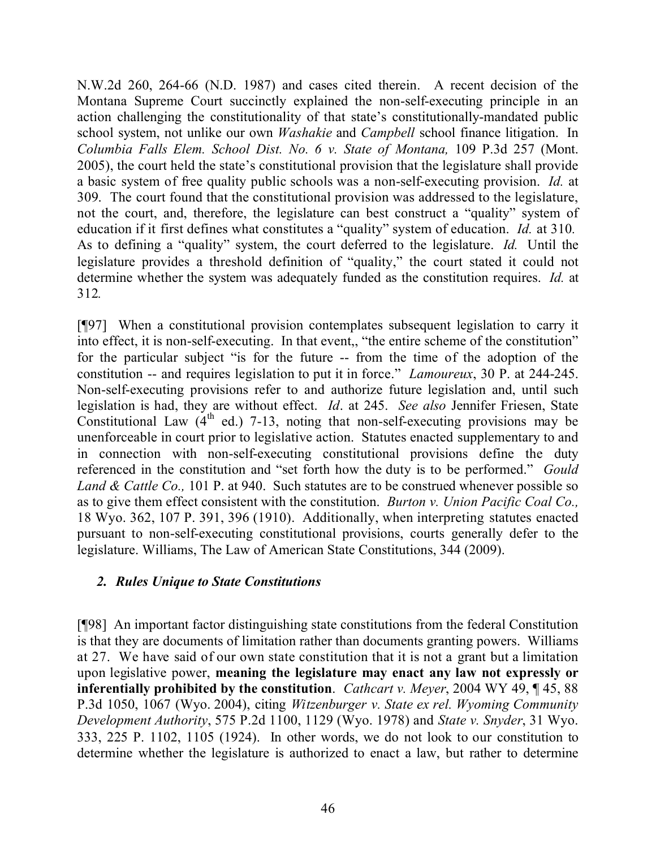N.W.2d 260, 264-66 (N.D. 1987) and cases cited therein. A recent decision of the Montana Supreme Court succinctly explained the non-self-executing principle in an action challenging the constitutionality of that state's constitutionally-mandated public school system, not unlike our own *Washakie* and *Campbell* school finance litigation. In *Columbia Falls Elem. School Dist. No. 6 v. State of Montana,* 109 P.3d 257 (Mont. 2005), the court held the state's constitutional provision that the legislature shall provide a basic system of free quality public schools was a non-self-executing provision. *Id.* at 309. The court found that the constitutional provision was addressed to the legislature, not the court, and, therefore, the legislature can best construct a "quality" system of education if it first defines what constitutes a "quality" system of education. *Id.* at 310*.* As to defining a "quality" system, the court deferred to the legislature. *Id.* Until the legislature provides a threshold definition of "quality," the court stated it could not determine whether the system was adequately funded as the constitution requires. *Id.* at 312*.*

[¶97] When a constitutional provision contemplates subsequent legislation to carry it into effect, it is non-self-executing. In that event,, "the entire scheme of the constitution" for the particular subject "is for the future -- from the time of the adoption of the constitution -- and requires legislation to put it in force." *Lamoureux*, 30 P. at 244-245. Non-self-executing provisions refer to and authorize future legislation and, until such legislation is had, they are without effect. *Id*. at 245. *See also* Jennifer Friesen, State Constitutional Law  $(4<sup>th</sup>$  ed.) 7-13, noting that non-self-executing provisions may be unenforceable in court prior to legislative action. Statutes enacted supplementary to and in connection with non-self-executing constitutional provisions define the duty referenced in the constitution and "set forth how the duty is to be performed." *Gould Land & Cattle Co.,* 101 P. at 940. Such statutes are to be construed whenever possible so as to give them effect consistent with the constitution. *Burton v. Union Pacific Coal Co.,* 18 Wyo. 362, 107 P. 391, 396 (1910). Additionally, when interpreting statutes enacted pursuant to non-self-executing constitutional provisions, courts generally defer to the legislature. Williams, The Law of American State Constitutions, 344 (2009).

### *2. Rules Unique to State Constitutions*

[¶98] An important factor distinguishing state constitutions from the federal Constitution is that they are documents of limitation rather than documents granting powers. Williams at 27. We have said of our own state constitution that it is not a grant but a limitation upon legislative power, **meaning the legislature may enact any law not expressly or inferentially prohibited by the constitution**. *Cathcart v. Meyer*, 2004 WY 49, ¶ 45, 88 P.3d 1050, 1067 (Wyo. 2004), citing *Witzenburger v. State ex rel. Wyoming Community Development Authority*, 575 P.2d 1100, 1129 (Wyo. 1978) and *State v. Snyder*, 31 Wyo. 333, 225 P. 1102, 1105 (1924). In other words, we do not look to our constitution to determine whether the legislature is authorized to enact a law, but rather to determine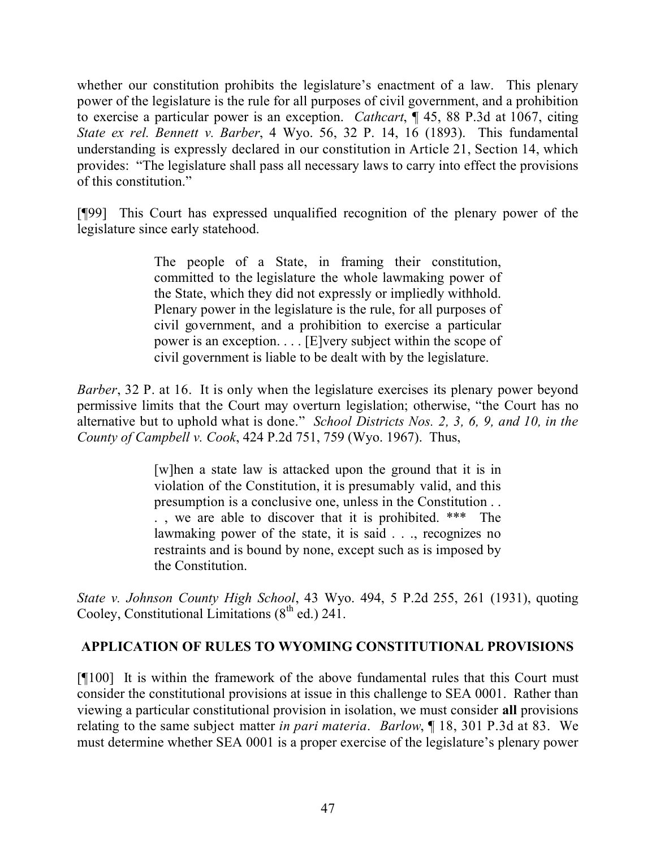whether our constitution prohibits the legislature's enactment of a law. This plenary power of the legislature is the rule for all purposes of civil government, and a prohibition to exercise a particular power is an exception. *Cathcart*, ¶ 45, 88 P.3d at 1067, citing *State ex rel. Bennett v. Barber*, 4 Wyo. 56, 32 P. 14, 16 (1893). This fundamental understanding is expressly declared in our constitution in Article 21, Section 14, which provides: "The legislature shall pass all necessary laws to carry into effect the provisions of this constitution."

[¶99] This Court has expressed unqualified recognition of the plenary power of the legislature since early statehood.

> The people of a State, in framing their constitution, committed to the legislature the whole lawmaking power of the State, which they did not expressly or impliedly withhold. Plenary power in the legislature is the rule, for all purposes of civil government, and a prohibition to exercise a particular power is an exception. . . . [E]very subject within the scope of civil government is liable to be dealt with by the legislature.

*Barber*, 32 P. at 16. It is only when the legislature exercises its plenary power beyond permissive limits that the Court may overturn legislation; otherwise, "the Court has no alternative but to uphold what is done." *School Districts Nos. 2, 3, 6, 9, and 10, in the County of Campbell v. Cook*, 424 P.2d 751, 759 (Wyo. 1967). Thus,

> [w]hen a state law is attacked upon the ground that it is in violation of the Constitution, it is presumably valid, and this presumption is a conclusive one, unless in the Constitution . . . , we are able to discover that it is prohibited. \*\*\* The lawmaking power of the state, it is said . . ., recognizes no restraints and is bound by none, except such as is imposed by the Constitution.

*State v. Johnson County High School*, 43 Wyo. 494, 5 P.2d 255, 261 (1931), quoting Cooley, Constitutional Limitations  $(8^{th}$  ed.) 241.

# **APPLICATION OF RULES TO WYOMING CONSTITUTIONAL PROVISIONS**

[¶100] It is within the framework of the above fundamental rules that this Court must consider the constitutional provisions at issue in this challenge to SEA 0001. Rather than viewing a particular constitutional provision in isolation, we must consider **all** provisions relating to the same subject matter *in pari materia*. *Barlow*, ¶ 18, 301 P.3d at 83. We must determine whether SEA 0001 is a proper exercise of the legislature's plenary power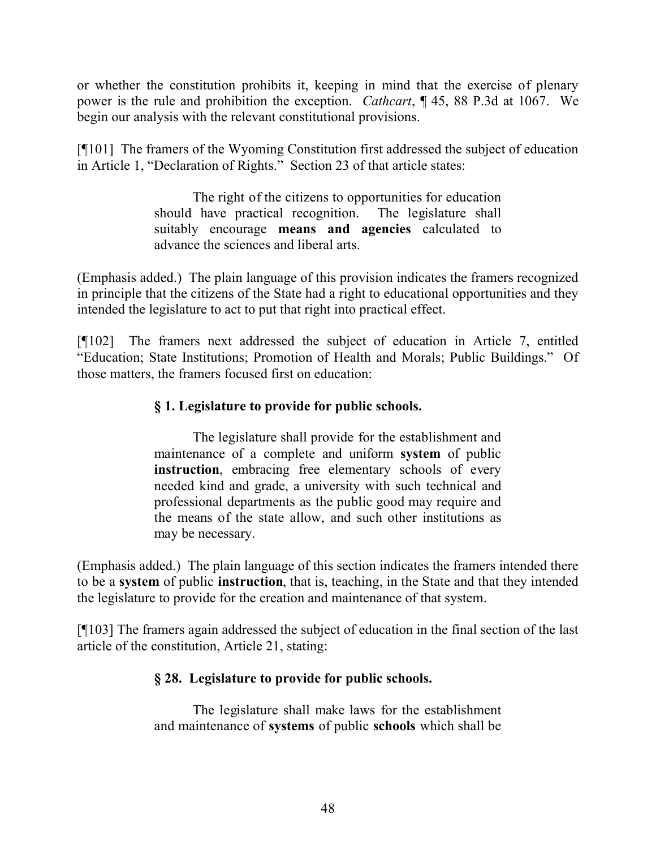or whether the constitution prohibits it, keeping in mind that the exercise of plenary power is the rule and prohibition the exception. *Cathcart*, ¶ 45, 88 P.3d at 1067. We begin our analysis with the relevant constitutional provisions.

[¶101] The framers of the Wyoming Constitution first addressed the subject of education in Article 1, "Declaration of Rights." Section 23 of that article states:

> The right of the citizens to opportunities for education should have practical recognition. The legislature shall suitably encourage **means and agencies** calculated to advance the sciences and liberal arts.

(Emphasis added.) The plain language of this provision indicates the framers recognized in principle that the citizens of the State had a right to educational opportunities and they intended the legislature to act to put that right into practical effect.

[¶102] The framers next addressed the subject of education in Article 7, entitled "Education; State Institutions; Promotion of Health and Morals; Public Buildings." Of those matters, the framers focused first on education:

# **§ 1. Legislature to provide for public schools.**

The legislature shall provide for the establishment and maintenance of a complete and uniform **system** of public **instruction**, embracing free elementary schools of every needed kind and grade, a university with such technical and professional departments as the public good may require and the means of the state allow, and such other institutions as may be necessary.

(Emphasis added.) The plain language of this section indicates the framers intended there to be a **system** of public **instruction**, that is, teaching, in the State and that they intended the legislature to provide for the creation and maintenance of that system.

[¶103] The framers again addressed the subject of education in the final section of the last article of the constitution, Article 21, stating:

# **§ 28. Legislature to provide for public schools.**

The legislature shall make laws for the establishment and maintenance of **systems** of public **schools** which shall be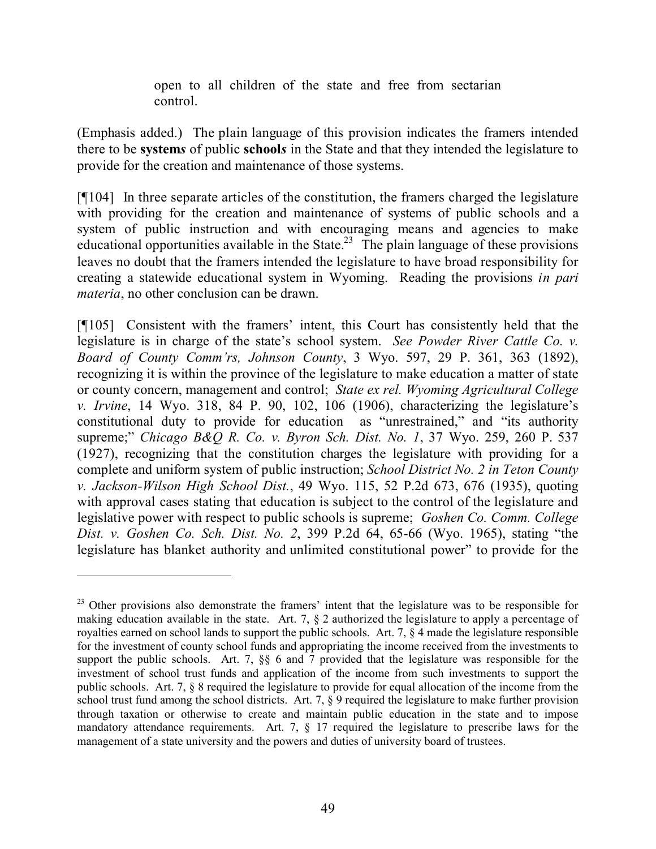open to all children of the state and free from sectarian control.

(Emphasis added.) The plain language of this provision indicates the framers intended there to be **system***s* of public **school***s* in the State and that they intended the legislature to provide for the creation and maintenance of those systems.

[¶104] In three separate articles of the constitution, the framers charged the legislature with providing for the creation and maintenance of systems of public schools and a system of public instruction and with encouraging means and agencies to make educational opportunities available in the State.<sup>23</sup> The plain language of these provisions leaves no doubt that the framers intended the legislature to have broad responsibility for creating a statewide educational system in Wyoming. Reading the provisions *in pari materia*, no other conclusion can be drawn.

[¶105] Consistent with the framers' intent, this Court has consistently held that the legislature is in charge of the state's school system. *See Powder River Cattle Co. v. Board of County Comm'rs, Johnson County*, 3 Wyo. 597, 29 P. 361, 363 (1892), recognizing it is within the province of the legislature to make education a matter of state or county concern, management and control; *State ex rel. Wyoming Agricultural College v. Irvine*, 14 Wyo. 318, 84 P. 90, 102, 106 (1906), characterizing the legislature's constitutional duty to provide for education as "unrestrained," and "its authority supreme;" *Chicago B&Q R. Co. v. Byron Sch. Dist. No. 1*, 37 Wyo. 259, 260 P. 537 (1927), recognizing that the constitution charges the legislature with providing for a complete and uniform system of public instruction; *School District No. 2 in Teton County v. Jackson-Wilson High School Dist.*, 49 Wyo. 115, 52 P.2d 673, 676 (1935), quoting with approval cases stating that education is subject to the control of the legislature and legislative power with respect to public schools is supreme; *Goshen Co. Comm. College Dist. v. Goshen Co. Sch. Dist. No. 2*, 399 P.2d 64, 65-66 (Wyo. 1965), stating "the legislature has blanket authority and unlimited constitutional power" to provide for the

 $23$  Other provisions also demonstrate the framers' intent that the legislature was to be responsible for making education available in the state. Art. 7, § 2 authorized the legislature to apply a percentage of royalties earned on school lands to support the public schools. Art. 7, § 4 made the legislature responsible for the investment of county school funds and appropriating the income received from the investments to support the public schools. Art. 7, §§ 6 and 7 provided that the legislature was responsible for the investment of school trust funds and application of the income from such investments to support the public schools. Art. 7, § 8 required the legislature to provide for equal allocation of the income from the school trust fund among the school districts. Art. 7, § 9 required the legislature to make further provision through taxation or otherwise to create and maintain public education in the state and to impose mandatory attendance requirements. Art. 7, § 17 required the legislature to prescribe laws for the management of a state university and the powers and duties of university board of trustees.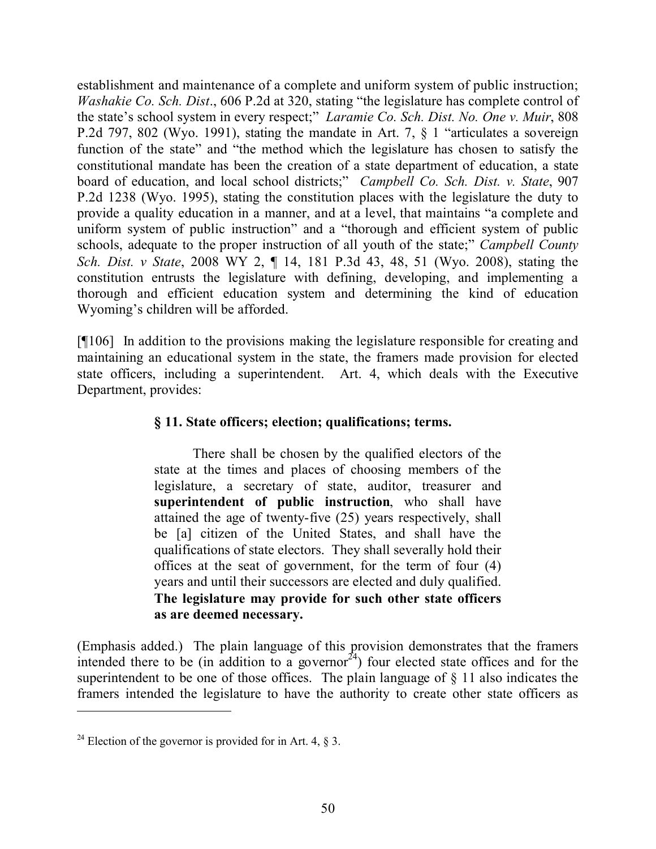establishment and maintenance of a complete and uniform system of public instruction; *Washakie Co. Sch. Dist*., 606 P.2d at 320, stating "the legislature has complete control of the state's school system in every respect;" *Laramie Co. Sch. Dist. No. One v. Muir*, 808 P.2d 797, 802 (Wyo. 1991), stating the mandate in Art. 7, § 1 "articulates a sovereign function of the state" and "the method which the legislature has chosen to satisfy the constitutional mandate has been the creation of a state department of education, a state board of education, and local school districts;" *Campbell Co. Sch. Dist. v. State*, 907 P.2d 1238 (Wyo. 1995), stating the constitution places with the legislature the duty to provide a quality education in a manner, and at a level, that maintains "a complete and uniform system of public instruction" and a "thorough and efficient system of public schools, adequate to the proper instruction of all youth of the state;" *Campbell County Sch. Dist. v State*, 2008 WY 2, ¶ 14, 181 P.3d 43, 48, 51 (Wyo. 2008), stating the constitution entrusts the legislature with defining, developing, and implementing a thorough and efficient education system and determining the kind of education Wyoming's children will be afforded.

[¶106] In addition to the provisions making the legislature responsible for creating and maintaining an educational system in the state, the framers made provision for elected state officers, including a superintendent. Art. 4, which deals with the Executive Department, provides:

#### **§ 11. State officers; election; qualifications; terms.**

There shall be chosen by the qualified electors of the state at the times and places of choosing members of the legislature, a secretary of state, auditor, treasurer and **superintendent of public instruction**, who shall have attained the age of twenty-five (25) years respectively, shall be [a] citizen of the United States, and shall have the qualifications of state electors. They shall severally hold their offices at the seat of government, for the term of four (4) years and until their successors are elected and duly qualified. **The legislature may provide for such other state officers as are deemed necessary.**

(Emphasis added.) The plain language of this provision demonstrates that the framers intended there to be (in addition to a governor<sup>24</sup>) four elected state offices and for the superintendent to be one of those offices. The plain language of § 11 also indicates the framers intended the legislature to have the authority to create other state officers as

<sup>&</sup>lt;sup>24</sup> Election of the governor is provided for in Art. 4,  $\S$  3.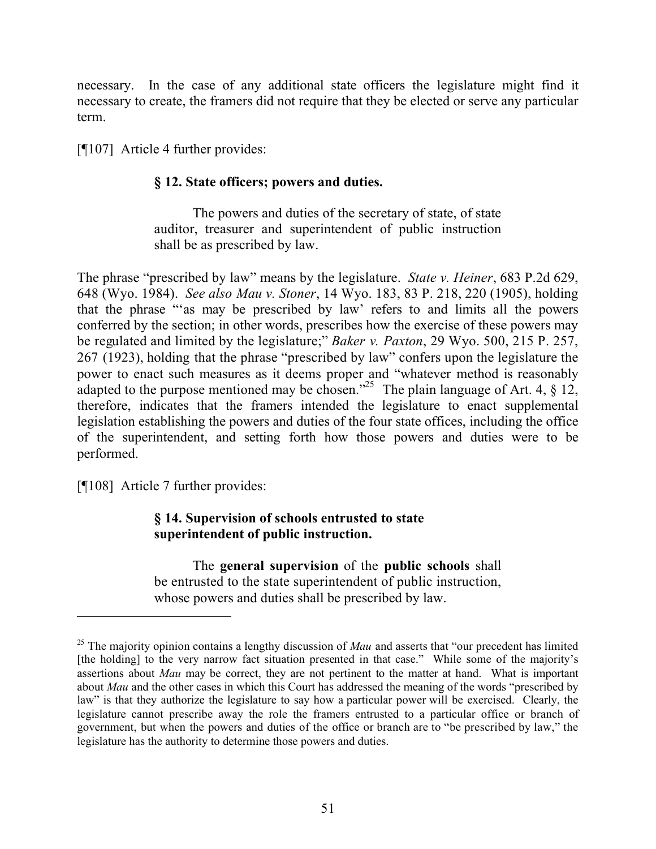necessary. In the case of any additional state officers the legislature might find it necessary to create, the framers did not require that they be elected or serve any particular term.

[¶107] Article 4 further provides:

## **§ 12. State officers; powers and duties.**

The powers and duties of the secretary of state, of state auditor, treasurer and superintendent of public instruction shall be as prescribed by law.

The phrase "prescribed by law" means by the legislature. *State v. Heiner*, 683 P.2d 629, 648 (Wyo. 1984). *See also Mau v. Stoner*, 14 Wyo. 183, 83 P. 218, 220 (1905), holding that the phrase "'as may be prescribed by law' refers to and limits all the powers conferred by the section; in other words, prescribes how the exercise of these powers may be regulated and limited by the legislature;" *Baker v. Paxton*, 29 Wyo. 500, 215 P. 257, 267 (1923), holding that the phrase "prescribed by law" confers upon the legislature the power to enact such measures as it deems proper and "whatever method is reasonably adapted to the purpose mentioned may be chosen.<sup>325</sup> The plain language of Art. 4,  $\S$  12, therefore, indicates that the framers intended the legislature to enact supplemental legislation establishing the powers and duties of the four state offices, including the office of the superintendent, and setting forth how those powers and duties were to be performed.

[¶108] Article 7 further provides:

## **§ 14. Supervision of schools entrusted to state superintendent of public instruction.**

The **general supervision** of the **public schools** shall be entrusted to the state superintendent of public instruction, whose powers and duties shall be prescribed by law.

<sup>&</sup>lt;sup>25</sup> The majority opinion contains a lengthy discussion of *Mau* and asserts that "our precedent has limited [the holding] to the very narrow fact situation presented in that case." While some of the majority's assertions about *Mau* may be correct, they are not pertinent to the matter at hand. What is important about *Mau* and the other cases in which this Court has addressed the meaning of the words "prescribed by law" is that they authorize the legislature to say how a particular power will be exercised. Clearly, the legislature cannot prescribe away the role the framers entrusted to a particular office or branch of government, but when the powers and duties of the office or branch are to "be prescribed by law," the legislature has the authority to determine those powers and duties.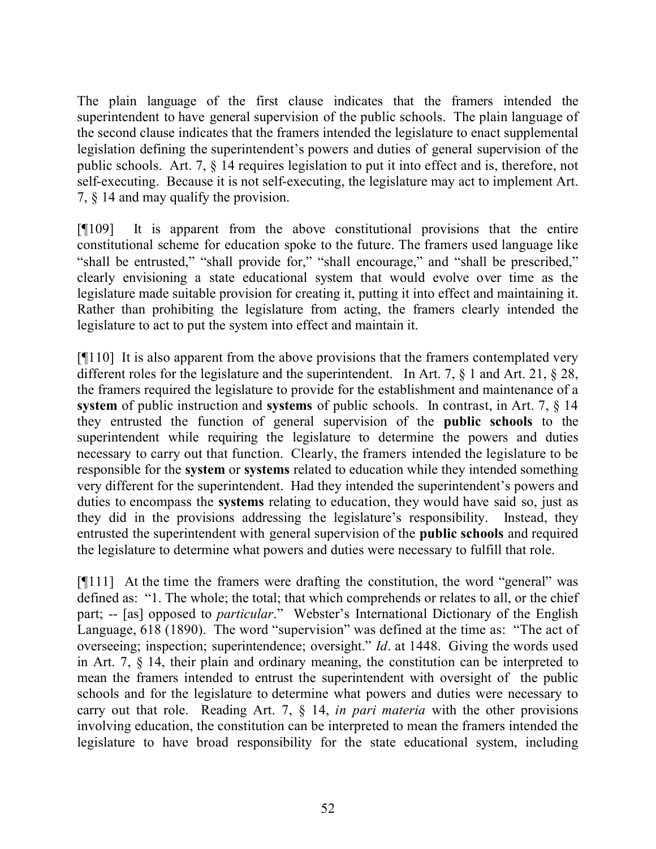The plain language of the first clause indicates that the framers intended the superintendent to have general supervision of the public schools. The plain language of the second clause indicates that the framers intended the legislature to enact supplemental legislation defining the superintendent's powers and duties of general supervision of the public schools. Art. 7, § 14 requires legislation to put it into effect and is, therefore, not self-executing. Because it is not self-executing, the legislature may act to implement Art. 7, § 14 and may qualify the provision.

[¶109] It is apparent from the above constitutional provisions that the entire constitutional scheme for education spoke to the future. The framers used language like "shall be entrusted," "shall provide for," "shall encourage," and "shall be prescribed," clearly envisioning a state educational system that would evolve over time as the legislature made suitable provision for creating it, putting it into effect and maintaining it. Rather than prohibiting the legislature from acting, the framers clearly intended the legislature to act to put the system into effect and maintain it.

[¶110] It is also apparent from the above provisions that the framers contemplated very different roles for the legislature and the superintendent. In Art. 7, § 1 and Art. 21, § 28, the framers required the legislature to provide for the establishment and maintenance of a **system** of public instruction and **systems** of public schools. In contrast, in Art. 7, § 14 they entrusted the function of general supervision of the **public schools** to the superintendent while requiring the legislature to determine the powers and duties necessary to carry out that function. Clearly, the framers intended the legislature to be responsible for the **system** or **systems** related to education while they intended something very different for the superintendent. Had they intended the superintendent's powers and duties to encompass the **systems** relating to education, they would have said so, just as they did in the provisions addressing the legislature's responsibility. Instead, they entrusted the superintendent with general supervision of the **public schools** and required the legislature to determine what powers and duties were necessary to fulfill that role.

[¶111] At the time the framers were drafting the constitution, the word "general" was defined as: "1. The whole; the total; that which comprehends or relates to all, or the chief part; -- [as] opposed to *particular*." Webster's International Dictionary of the English Language, 618 (1890). The word "supervision" was defined at the time as: "The act of overseeing; inspection; superintendence; oversight." *Id*. at 1448. Giving the words used in Art. 7, § 14, their plain and ordinary meaning, the constitution can be interpreted to mean the framers intended to entrust the superintendent with oversight of the public schools and for the legislature to determine what powers and duties were necessary to carry out that role. Reading Art. 7, § 14, *in pari materia* with the other provisions involving education, the constitution can be interpreted to mean the framers intended the legislature to have broad responsibility for the state educational system, including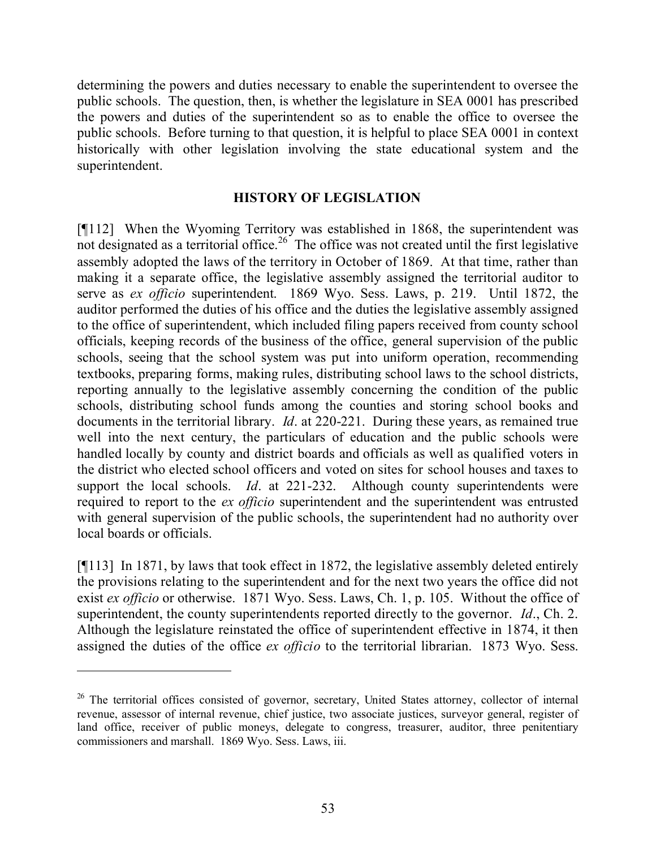determining the powers and duties necessary to enable the superintendent to oversee the public schools. The question, then, is whether the legislature in SEA 0001 has prescribed the powers and duties of the superintendent so as to enable the office to oversee the public schools. Before turning to that question, it is helpful to place SEA 0001 in context historically with other legislation involving the state educational system and the superintendent.

#### **HISTORY OF LEGISLATION**

[¶112] When the Wyoming Territory was established in 1868, the superintendent was not designated as a territorial office.<sup>26</sup> The office was not created until the first legislative assembly adopted the laws of the territory in October of 1869. At that time, rather than making it a separate office, the legislative assembly assigned the territorial auditor to serve as *ex officio* superintendent. 1869 Wyo. Sess. Laws, p. 219. Until 1872, the auditor performed the duties of his office and the duties the legislative assembly assigned to the office of superintendent, which included filing papers received from county school officials, keeping records of the business of the office, general supervision of the public schools, seeing that the school system was put into uniform operation, recommending textbooks, preparing forms, making rules, distributing school laws to the school districts, reporting annually to the legislative assembly concerning the condition of the public schools, distributing school funds among the counties and storing school books and documents in the territorial library. *Id*. at 220-221. During these years, as remained true well into the next century, the particulars of education and the public schools were handled locally by county and district boards and officials as well as qualified voters in the district who elected school officers and voted on sites for school houses and taxes to support the local schools. *Id*. at 221-232. Although county superintendents were required to report to the *ex officio* superintendent and the superintendent was entrusted with general supervision of the public schools, the superintendent had no authority over local boards or officials.

[¶113] In 1871, by laws that took effect in 1872, the legislative assembly deleted entirely the provisions relating to the superintendent and for the next two years the office did not exist *ex officio* or otherwise. 1871 Wyo. Sess. Laws, Ch. 1, p. 105. Without the office of superintendent, the county superintendents reported directly to the governor. *Id*., Ch. 2. Although the legislature reinstated the office of superintendent effective in 1874, it then assigned the duties of the office *ex officio* to the territorial librarian. 1873 Wyo. Sess.

<sup>&</sup>lt;sup>26</sup> The territorial offices consisted of governor, secretary, United States attorney, collector of internal revenue, assessor of internal revenue, chief justice, two associate justices, surveyor general, register of land office, receiver of public moneys, delegate to congress, treasurer, auditor, three penitentiary commissioners and marshall. 1869 Wyo. Sess. Laws, iii.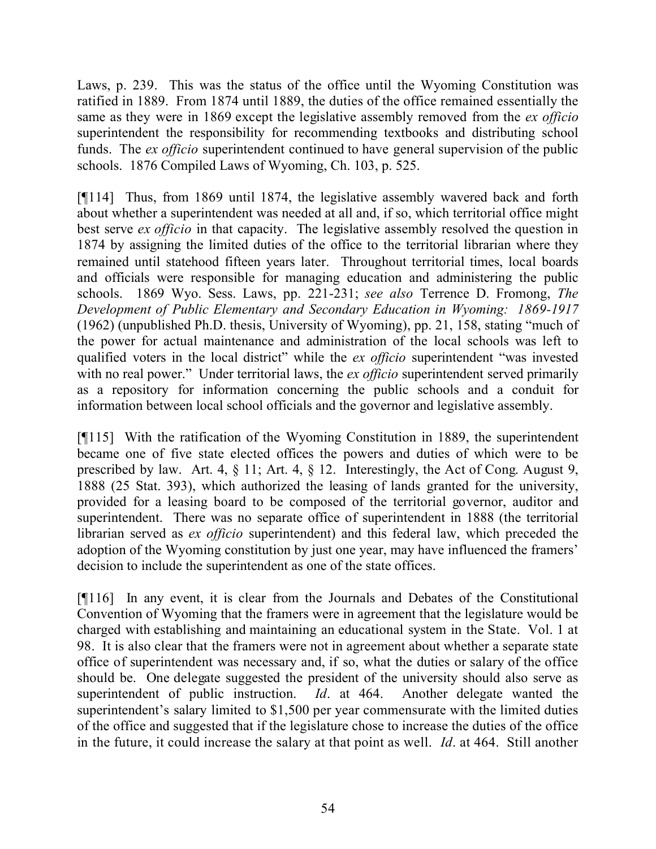Laws, p. 239. This was the status of the office until the Wyoming Constitution was ratified in 1889. From 1874 until 1889, the duties of the office remained essentially the same as they were in 1869 except the legislative assembly removed from the *ex officio* superintendent the responsibility for recommending textbooks and distributing school funds. The *ex officio* superintendent continued to have general supervision of the public schools. 1876 Compiled Laws of Wyoming, Ch. 103, p. 525.

[¶114] Thus, from 1869 until 1874, the legislative assembly wavered back and forth about whether a superintendent was needed at all and, if so, which territorial office might best serve *ex officio* in that capacity. The legislative assembly resolved the question in 1874 by assigning the limited duties of the office to the territorial librarian where they remained until statehood fifteen years later. Throughout territorial times, local boards and officials were responsible for managing education and administering the public schools. 1869 Wyo. Sess. Laws, pp. 221-231; *see also* Terrence D. Fromong, *The Development of Public Elementary and Secondary Education in Wyoming: 1869-1917* (1962) (unpublished Ph.D. thesis, University of Wyoming), pp. 21, 158, stating "much of the power for actual maintenance and administration of the local schools was left to qualified voters in the local district" while the *ex officio* superintendent "was invested with no real power." Under territorial laws, the *ex officio* superintendent served primarily as a repository for information concerning the public schools and a conduit for information between local school officials and the governor and legislative assembly.

[¶115] With the ratification of the Wyoming Constitution in 1889, the superintendent became one of five state elected offices the powers and duties of which were to be prescribed by law. Art. 4, § 11; Art. 4, § 12. Interestingly, the Act of Cong. August 9, 1888 (25 Stat. 393), which authorized the leasing of lands granted for the university, provided for a leasing board to be composed of the territorial governor, auditor and superintendent. There was no separate office of superintendent in 1888 (the territorial librarian served as *ex officio* superintendent) and this federal law, which preceded the adoption of the Wyoming constitution by just one year, may have influenced the framers' decision to include the superintendent as one of the state offices.

[¶116] In any event, it is clear from the Journals and Debates of the Constitutional Convention of Wyoming that the framers were in agreement that the legislature would be charged with establishing and maintaining an educational system in the State. Vol. 1 at 98. It is also clear that the framers were not in agreement about whether a separate state office of superintendent was necessary and, if so, what the duties or salary of the office should be. One delegate suggested the president of the university should also serve as superintendent of public instruction. *Id*. at 464. Another delegate wanted the superintendent's salary limited to \$1,500 per year commensurate with the limited duties of the office and suggested that if the legislature chose to increase the duties of the office in the future, it could increase the salary at that point as well. *Id*. at 464. Still another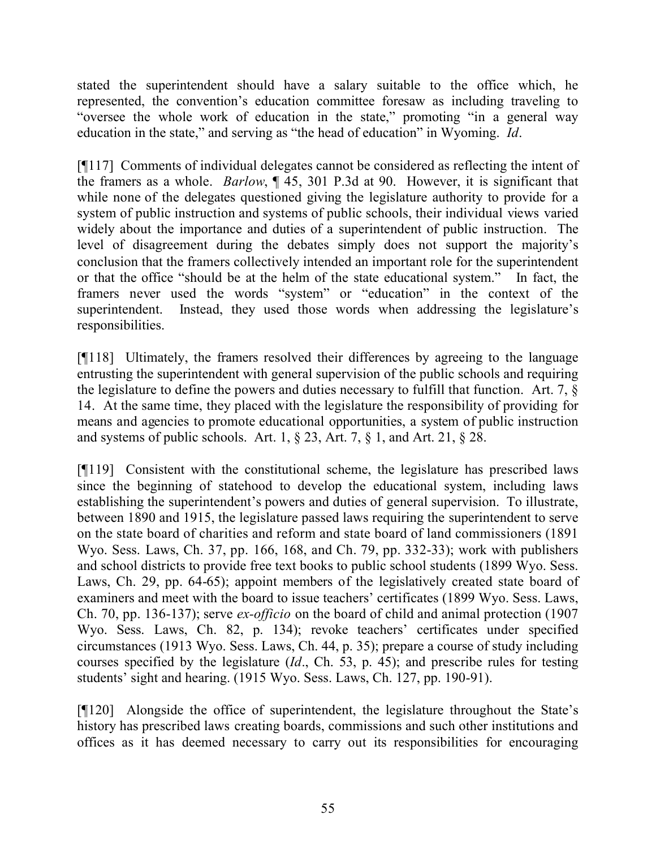stated the superintendent should have a salary suitable to the office which, he represented, the convention's education committee foresaw as including traveling to "oversee the whole work of education in the state," promoting "in a general way education in the state," and serving as "the head of education" in Wyoming. *Id*.

[¶117] Comments of individual delegates cannot be considered as reflecting the intent of the framers as a whole. *Barlow*, ¶ 45, 301 P.3d at 90. However, it is significant that while none of the delegates questioned giving the legislature authority to provide for a system of public instruction and systems of public schools, their individual views varied widely about the importance and duties of a superintendent of public instruction. The level of disagreement during the debates simply does not support the majority's conclusion that the framers collectively intended an important role for the superintendent or that the office "should be at the helm of the state educational system." In fact, the framers never used the words "system" or "education" in the context of the superintendent. Instead, they used those words when addressing the legislature's responsibilities.

[¶118] Ultimately, the framers resolved their differences by agreeing to the language entrusting the superintendent with general supervision of the public schools and requiring the legislature to define the powers and duties necessary to fulfill that function. Art. 7, § 14. At the same time, they placed with the legislature the responsibility of providing for means and agencies to promote educational opportunities, a system of public instruction and systems of public schools. Art. 1,  $\S 23$ , Art. 7,  $\S 1$ , and Art. 21,  $\S 28$ .

[¶119] Consistent with the constitutional scheme, the legislature has prescribed laws since the beginning of statehood to develop the educational system, including laws establishing the superintendent's powers and duties of general supervision. To illustrate, between 1890 and 1915, the legislature passed laws requiring the superintendent to serve on the state board of charities and reform and state board of land commissioners (1891 Wyo. Sess. Laws, Ch. 37, pp. 166, 168, and Ch. 79, pp. 332-33); work with publishers and school districts to provide free text books to public school students (1899 Wyo. Sess. Laws, Ch. 29, pp. 64-65); appoint members of the legislatively created state board of examiners and meet with the board to issue teachers' certificates (1899 Wyo. Sess. Laws, Ch. 70, pp. 136-137); serve *ex-officio* on the board of child and animal protection (1907 Wyo. Sess. Laws, Ch. 82, p. 134); revoke teachers' certificates under specified circumstances (1913 Wyo. Sess. Laws, Ch. 44, p. 35); prepare a course of study including courses specified by the legislature (*Id*., Ch. 53, p. 45); and prescribe rules for testing students' sight and hearing. (1915 Wyo. Sess. Laws, Ch. 127, pp. 190-91).

[¶120] Alongside the office of superintendent, the legislature throughout the State's history has prescribed laws creating boards, commissions and such other institutions and offices as it has deemed necessary to carry out its responsibilities for encouraging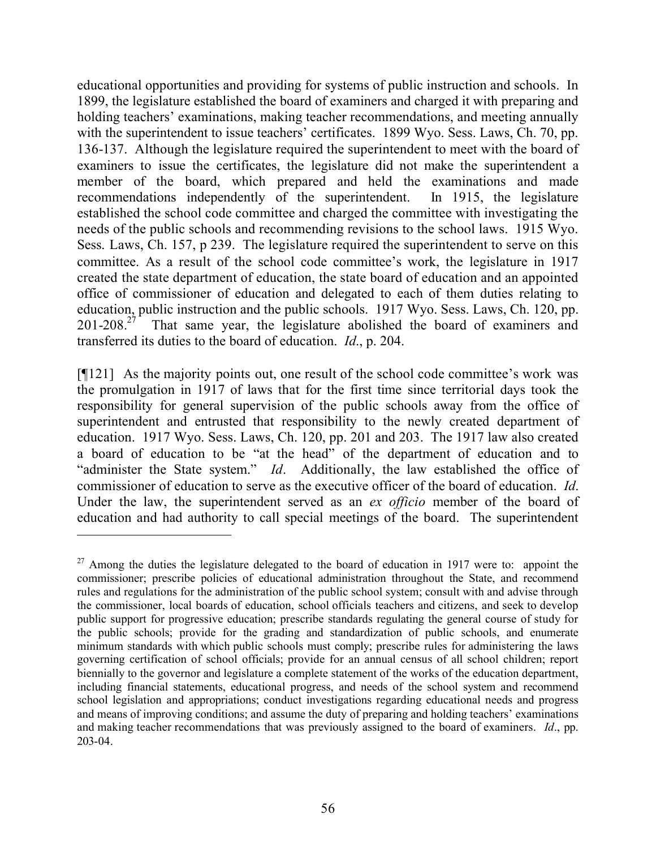educational opportunities and providing for systems of public instruction and schools. In 1899, the legislature established the board of examiners and charged it with preparing and holding teachers' examinations, making teacher recommendations, and meeting annually with the superintendent to issue teachers' certificates. 1899 Wyo. Sess. Laws, Ch. 70, pp. 136-137. Although the legislature required the superintendent to meet with the board of examiners to issue the certificates, the legislature did not make the superintendent a member of the board, which prepared and held the examinations and made recommendations independently of the superintendent. In 1915, the legislature established the school code committee and charged the committee with investigating the needs of the public schools and recommending revisions to the school laws. 1915 Wyo. Sess. Laws, Ch. 157, p 239. The legislature required the superintendent to serve on this committee. As a result of the school code committee's work, the legislature in 1917 created the state department of education, the state board of education and an appointed office of commissioner of education and delegated to each of them duties relating to education, public instruction and the public schools. 1917 Wyo. Sess. Laws, Ch. 120, pp. 201-208. $27$  That same year, the legislature abolished the board of examiners and transferred its duties to the board of education. *Id*., p. 204.

[¶121] As the majority points out, one result of the school code committee's work was the promulgation in 1917 of laws that for the first time since territorial days took the responsibility for general supervision of the public schools away from the office of superintendent and entrusted that responsibility to the newly created department of education. 1917 Wyo. Sess. Laws, Ch. 120, pp. 201 and 203. The 1917 law also created a board of education to be "at the head" of the department of education and to "administer the State system." *Id*. Additionally, the law established the office of commissioner of education to serve as the executive officer of the board of education. *Id*. Under the law, the superintendent served as an *ex officio* member of the board of education and had authority to call special meetings of the board. The superintendent

 $27$  Among the duties the legislature delegated to the board of education in 1917 were to: appoint the commissioner; prescribe policies of educational administration throughout the State, and recommend rules and regulations for the administration of the public school system; consult with and advise through the commissioner, local boards of education, school officials teachers and citizens, and seek to develop public support for progressive education; prescribe standards regulating the general course of study for the public schools; provide for the grading and standardization of public schools, and enumerate minimum standards with which public schools must comply; prescribe rules for administering the laws governing certification of school officials; provide for an annual census of all school children; report biennially to the governor and legislature a complete statement of the works of the education department, including financial statements, educational progress, and needs of the school system and recommend school legislation and appropriations; conduct investigations regarding educational needs and progress and means of improving conditions; and assume the duty of preparing and holding teachers' examinations and making teacher recommendations that was previously assigned to the board of examiners. *Id*., pp. 203-04.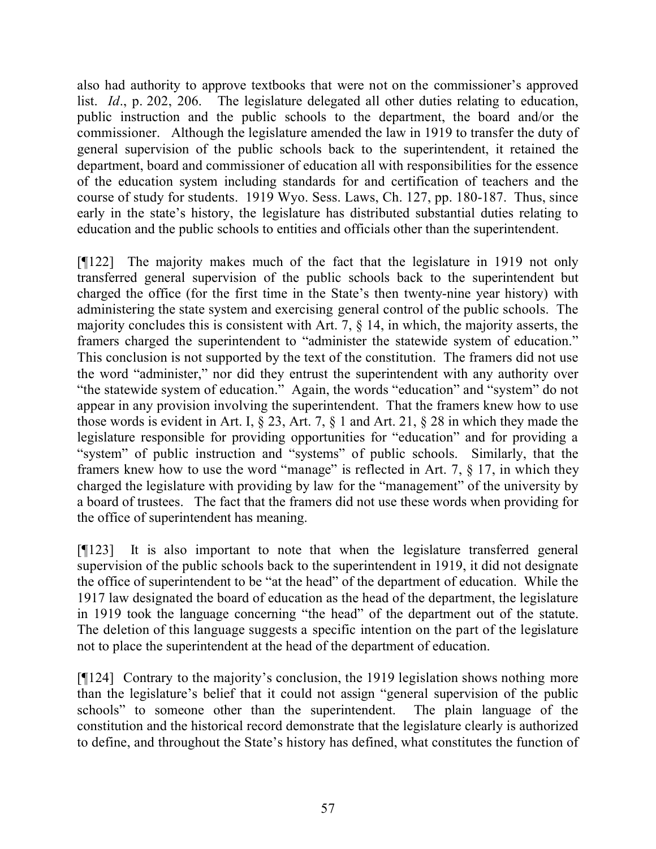also had authority to approve textbooks that were not on the commissioner's approved list. *Id*., p. 202, 206. The legislature delegated all other duties relating to education, public instruction and the public schools to the department, the board and/or the commissioner. Although the legislature amended the law in 1919 to transfer the duty of general supervision of the public schools back to the superintendent, it retained the department, board and commissioner of education all with responsibilities for the essence of the education system including standards for and certification of teachers and the course of study for students. 1919 Wyo. Sess. Laws, Ch. 127, pp. 180-187. Thus, since early in the state's history, the legislature has distributed substantial duties relating to education and the public schools to entities and officials other than the superintendent.

[¶122] The majority makes much of the fact that the legislature in 1919 not only transferred general supervision of the public schools back to the superintendent but charged the office (for the first time in the State's then twenty-nine year history) with administering the state system and exercising general control of the public schools. The majority concludes this is consistent with Art. 7, § 14, in which, the majority asserts, the framers charged the superintendent to "administer the statewide system of education." This conclusion is not supported by the text of the constitution. The framers did not use the word "administer," nor did they entrust the superintendent with any authority over "the statewide system of education." Again, the words "education" and "system" do not appear in any provision involving the superintendent. That the framers knew how to use those words is evident in Art. I, § 23, Art. 7, § 1 and Art. 21, § 28 in which they made the legislature responsible for providing opportunities for "education" and for providing a "system" of public instruction and "systems" of public schools. Similarly, that the framers knew how to use the word "manage" is reflected in Art. 7, § 17, in which they charged the legislature with providing by law for the "management" of the university by a board of trustees. The fact that the framers did not use these words when providing for the office of superintendent has meaning.

[¶123] It is also important to note that when the legislature transferred general supervision of the public schools back to the superintendent in 1919, it did not designate the office of superintendent to be "at the head" of the department of education. While the 1917 law designated the board of education as the head of the department, the legislature in 1919 took the language concerning "the head" of the department out of the statute. The deletion of this language suggests a specific intention on the part of the legislature not to place the superintendent at the head of the department of education.

[¶124] Contrary to the majority's conclusion, the 1919 legislation shows nothing more than the legislature's belief that it could not assign "general supervision of the public schools" to someone other than the superintendent. The plain language of the constitution and the historical record demonstrate that the legislature clearly is authorized to define, and throughout the State's history has defined, what constitutes the function of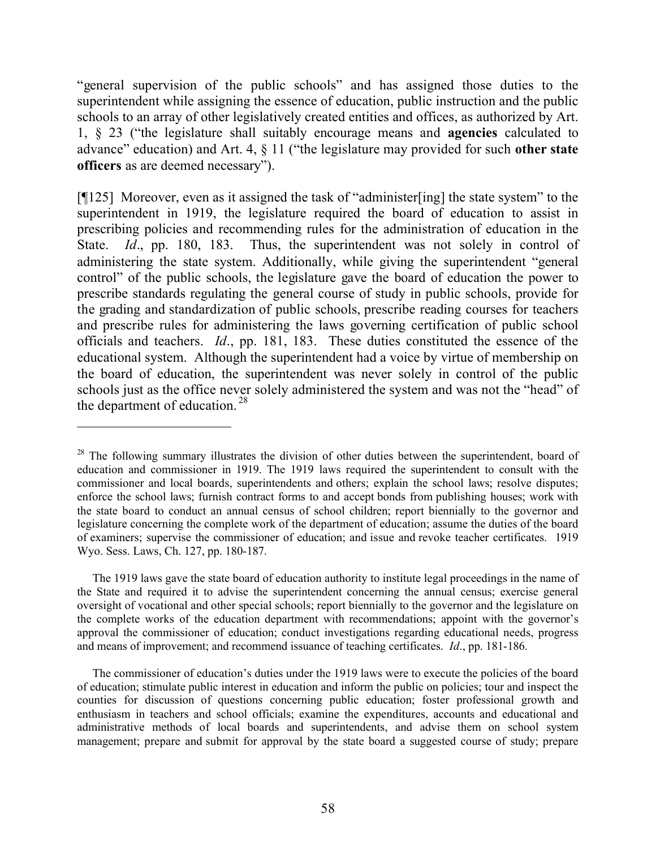"general supervision of the public schools" and has assigned those duties to the superintendent while assigning the essence of education, public instruction and the public schools to an array of other legislatively created entities and offices, as authorized by Art. 1, § 23 ("the legislature shall suitably encourage means and **agencies** calculated to advance" education) and Art. 4, § 11 ("the legislature may provided for such **other state officers** as are deemed necessary").

[¶125] Moreover, even as it assigned the task of "administer[ing] the state system" to the superintendent in 1919, the legislature required the board of education to assist in prescribing policies and recommending rules for the administration of education in the State. *Id*., pp. 180, 183. Thus, the superintendent was not solely in control of administering the state system. Additionally, while giving the superintendent "general control" of the public schools, the legislature gave the board of education the power to prescribe standards regulating the general course of study in public schools, provide for the grading and standardization of public schools, prescribe reading courses for teachers and prescribe rules for administering the laws governing certification of public school officials and teachers. *Id*., pp. 181, 183. These duties constituted the essence of the educational system. Although the superintendent had a voice by virtue of membership on the board of education, the superintendent was never solely in control of the public schools just as the office never solely administered the system and was not the "head" of the department of education. <sup>28</sup>

<sup>&</sup>lt;sup>28</sup> The following summary illustrates the division of other duties between the superintendent, board of education and commissioner in 1919. The 1919 laws required the superintendent to consult with the commissioner and local boards, superintendents and others; explain the school laws; resolve disputes; enforce the school laws; furnish contract forms to and accept bonds from publishing houses; work with the state board to conduct an annual census of school children; report biennially to the governor and legislature concerning the complete work of the department of education; assume the duties of the board of examiners; supervise the commissioner of education; and issue and revoke teacher certificates. 1919 Wyo. Sess. Laws, Ch. 127, pp. 180-187.

The 1919 laws gave the state board of education authority to institute legal proceedings in the name of the State and required it to advise the superintendent concerning the annual census; exercise general oversight of vocational and other special schools; report biennially to the governor and the legislature on the complete works of the education department with recommendations; appoint with the governor's approval the commissioner of education; conduct investigations regarding educational needs, progress and means of improvement; and recommend issuance of teaching certificates. *Id*., pp. 181-186.

The commissioner of education's duties under the 1919 laws were to execute the policies of the board of education; stimulate public interest in education and inform the public on policies; tour and inspect the counties for discussion of questions concerning public education; foster professional growth and enthusiasm in teachers and school officials; examine the expenditures, accounts and educational and administrative methods of local boards and superintendents, and advise them on school system management; prepare and submit for approval by the state board a suggested course of study; prepare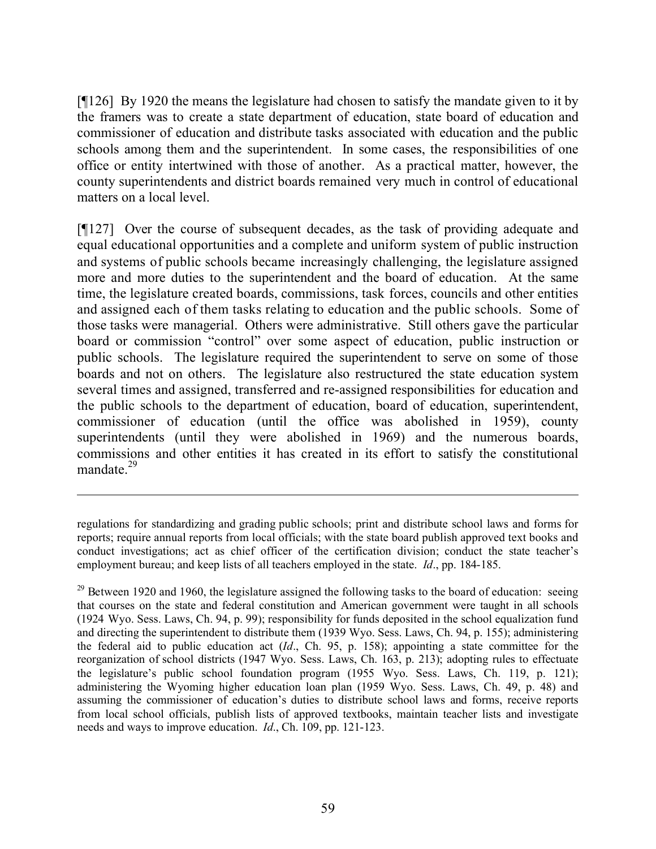[¶126] By 1920 the means the legislature had chosen to satisfy the mandate given to it by the framers was to create a state department of education, state board of education and commissioner of education and distribute tasks associated with education and the public schools among them and the superintendent. In some cases, the responsibilities of one office or entity intertwined with those of another. As a practical matter, however, the county superintendents and district boards remained very much in control of educational matters on a local level.

[¶127] Over the course of subsequent decades, as the task of providing adequate and equal educational opportunities and a complete and uniform system of public instruction and systems of public schools became increasingly challenging, the legislature assigned more and more duties to the superintendent and the board of education. At the same time, the legislature created boards, commissions, task forces, councils and other entities and assigned each of them tasks relating to education and the public schools. Some of those tasks were managerial. Others were administrative. Still others gave the particular board or commission "control" over some aspect of education, public instruction or public schools. The legislature required the superintendent to serve on some of those boards and not on others. The legislature also restructured the state education system several times and assigned, transferred and re-assigned responsibilities for education and the public schools to the department of education, board of education, superintendent, commissioner of education (until the office was abolished in 1959), county superintendents (until they were abolished in 1969) and the numerous boards, commissions and other entities it has created in its effort to satisfy the constitutional mandate. $29$ 

regulations for standardizing and grading public schools; print and distribute school laws and forms for reports; require annual reports from local officials; with the state board publish approved text books and conduct investigations; act as chief officer of the certification division; conduct the state teacher's employment bureau; and keep lists of all teachers employed in the state. *Id*., pp. 184-185.

 $29$  Between 1920 and 1960, the legislature assigned the following tasks to the board of education: seeing that courses on the state and federal constitution and American government were taught in all schools (1924 Wyo. Sess. Laws, Ch. 94, p. 99); responsibility for funds deposited in the school equalization fund and directing the superintendent to distribute them (1939 Wyo. Sess. Laws, Ch. 94, p. 155); administering the federal aid to public education act (*Id*., Ch. 95, p. 158); appointing a state committee for the reorganization of school districts (1947 Wyo. Sess. Laws, Ch. 163, p. 213); adopting rules to effectuate the legislature's public school foundation program (1955 Wyo. Sess. Laws, Ch. 119, p. 121); administering the Wyoming higher education loan plan (1959 Wyo. Sess. Laws, Ch. 49, p. 48) and assuming the commissioner of education's duties to distribute school laws and forms, receive reports from local school officials, publish lists of approved textbooks, maintain teacher lists and investigate needs and ways to improve education. *Id*., Ch. 109, pp. 121-123.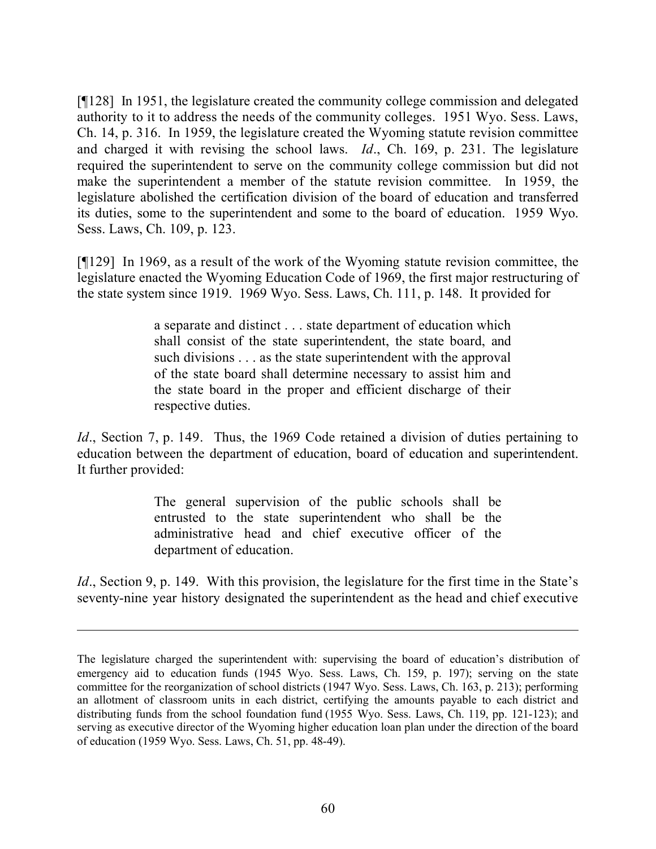[¶128] In 1951, the legislature created the community college commission and delegated authority to it to address the needs of the community colleges. 1951 Wyo. Sess. Laws, Ch. 14, p. 316. In 1959, the legislature created the Wyoming statute revision committee and charged it with revising the school laws. *Id*., Ch. 169, p. 231. The legislature required the superintendent to serve on the community college commission but did not make the superintendent a member of the statute revision committee. In 1959, the legislature abolished the certification division of the board of education and transferred its duties, some to the superintendent and some to the board of education. 1959 Wyo. Sess. Laws, Ch. 109, p. 123.

[¶129] In 1969, as a result of the work of the Wyoming statute revision committee, the legislature enacted the Wyoming Education Code of 1969, the first major restructuring of the state system since 1919. 1969 Wyo. Sess. Laws, Ch. 111, p. 148. It provided for

> a separate and distinct . . . state department of education which shall consist of the state superintendent, the state board, and such divisions . . . as the state superintendent with the approval of the state board shall determine necessary to assist him and the state board in the proper and efficient discharge of their respective duties.

*Id.*, Section 7, p. 149. Thus, the 1969 Code retained a division of duties pertaining to education between the department of education, board of education and superintendent. It further provided:

> The general supervision of the public schools shall be entrusted to the state superintendent who shall be the administrative head and chief executive officer of the department of education.

*Id.*, Section 9, p. 149. With this provision, the legislature for the first time in the State's seventy-nine year history designated the superintendent as the head and chief executive

The legislature charged the superintendent with: supervising the board of education's distribution of emergency aid to education funds (1945 Wyo. Sess. Laws, Ch. 159, p. 197); serving on the state committee for the reorganization of school districts (1947 Wyo. Sess. Laws, Ch. 163, p. 213); performing an allotment of classroom units in each district, certifying the amounts payable to each district and distributing funds from the school foundation fund (1955 Wyo. Sess. Laws, Ch. 119, pp. 121-123); and serving as executive director of the Wyoming higher education loan plan under the direction of the board of education (1959 Wyo. Sess. Laws, Ch. 51, pp. 48-49).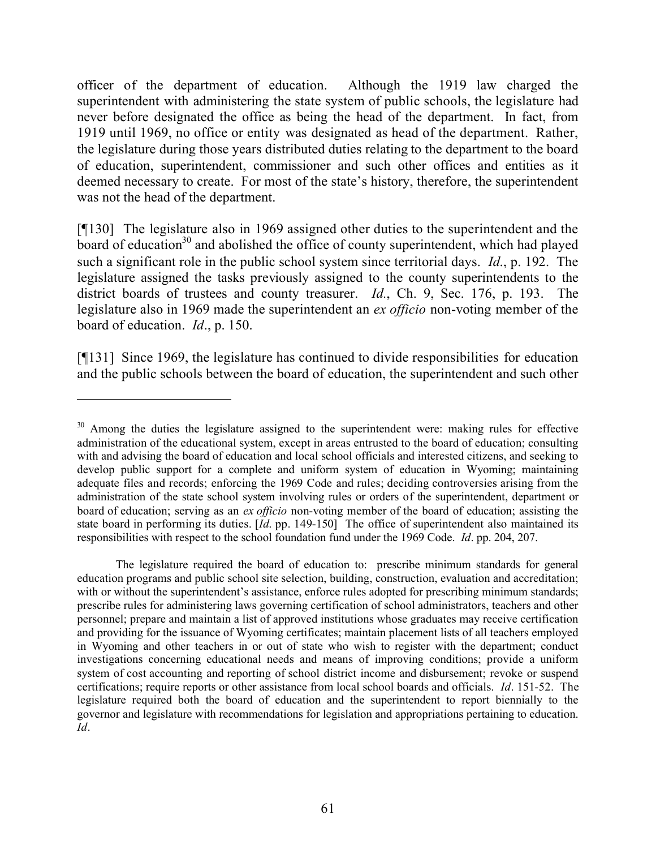officer of the department of education. Although the 1919 law charged the superintendent with administering the state system of public schools, the legislature had never before designated the office as being the head of the department. In fact, from 1919 until 1969, no office or entity was designated as head of the department. Rather, the legislature during those years distributed duties relating to the department to the board of education, superintendent, commissioner and such other offices and entities as it deemed necessary to create. For most of the state's history, therefore, the superintendent was not the head of the department.

[¶130] The legislature also in 1969 assigned other duties to the superintendent and the  $\frac{1}{2}$  board of education<sup>30</sup> and abolished the office of county superintendent, which had played such a significant role in the public school system since territorial days. *Id*., p. 192. The legislature assigned the tasks previously assigned to the county superintendents to the district boards of trustees and county treasurer. *Id.*, Ch. 9, Sec. 176, p. 193. The legislature also in 1969 made the superintendent an *ex officio* non-voting member of the board of education. *Id*., p. 150.

[¶131] Since 1969, the legislature has continued to divide responsibilities for education and the public schools between the board of education, the superintendent and such other

 $\overline{a}$ 

The legislature required the board of education to: prescribe minimum standards for general education programs and public school site selection, building, construction, evaluation and accreditation; with or without the superintendent's assistance, enforce rules adopted for prescribing minimum standards; prescribe rules for administering laws governing certification of school administrators, teachers and other personnel; prepare and maintain a list of approved institutions whose graduates may receive certification and providing for the issuance of Wyoming certificates; maintain placement lists of all teachers employed in Wyoming and other teachers in or out of state who wish to register with the department; conduct investigations concerning educational needs and means of improving conditions; provide a uniform system of cost accounting and reporting of school district income and disbursement; revoke or suspend certifications; require reports or other assistance from local school boards and officials. *Id*. 151-52. The legislature required both the board of education and the superintendent to report biennially to the governor and legislature with recommendations for legislation and appropriations pertaining to education. *Id*.

<sup>&</sup>lt;sup>30</sup> Among the duties the legislature assigned to the superintendent were: making rules for effective administration of the educational system, except in areas entrusted to the board of education; consulting with and advising the board of education and local school officials and interested citizens, and seeking to develop public support for a complete and uniform system of education in Wyoming; maintaining adequate files and records; enforcing the 1969 Code and rules; deciding controversies arising from the administration of the state school system involving rules or orders of the superintendent, department or board of education; serving as an *ex officio* non-voting member of the board of education; assisting the state board in performing its duties. [*Id*. pp. 149-150] The office of superintendent also maintained its responsibilities with respect to the school foundation fund under the 1969 Code. *Id*. pp. 204, 207.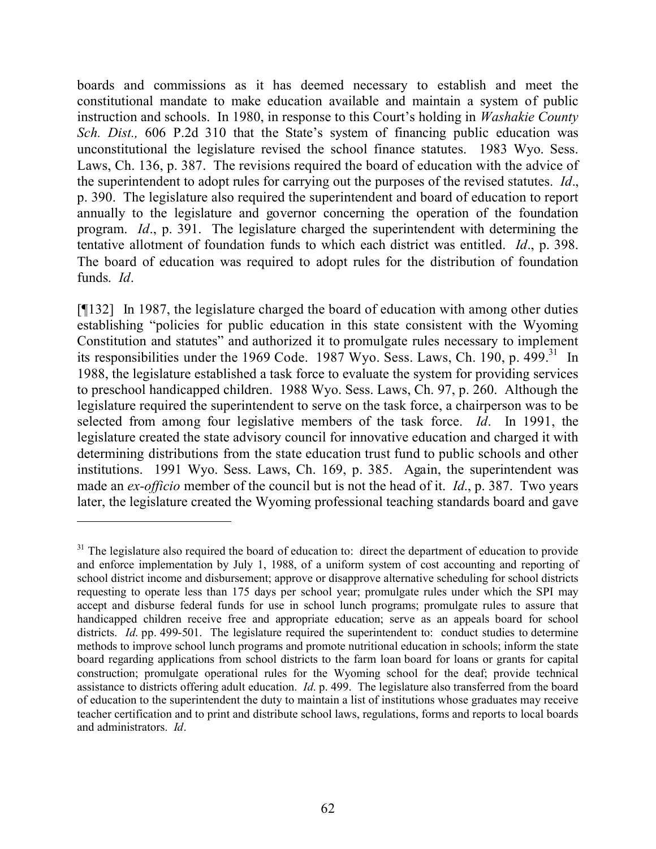boards and commissions as it has deemed necessary to establish and meet the constitutional mandate to make education available and maintain a system of public instruction and schools. In 1980, in response to this Court's holding in *Washakie County Sch. Dist.,* 606 P.2d 310 that the State's system of financing public education was unconstitutional the legislature revised the school finance statutes. 1983 Wyo. Sess. Laws, Ch. 136, p. 387. The revisions required the board of education with the advice of the superintendent to adopt rules for carrying out the purposes of the revised statutes. *Id*., p. 390. The legislature also required the superintendent and board of education to report annually to the legislature and governor concerning the operation of the foundation program. *Id*., p. 391. The legislature charged the superintendent with determining the tentative allotment of foundation funds to which each district was entitled. *Id*., p. 398. The board of education was required to adopt rules for the distribution of foundation funds. *Id*.

[¶132] In 1987, the legislature charged the board of education with among other duties establishing "policies for public education in this state consistent with the Wyoming Constitution and statutes" and authorized it to promulgate rules necessary to implement its responsibilities under the 1969 Code. 1987 Wyo. Sess. Laws, Ch. 190, p. 499.<sup>31</sup> In 1988, the legislature established a task force to evaluate the system for providing services to preschool handicapped children. 1988 Wyo. Sess. Laws, Ch. 97, p. 260. Although the legislature required the superintendent to serve on the task force, a chairperson was to be selected from among four legislative members of the task force. *Id*. In 1991, the legislature created the state advisory council for innovative education and charged it with determining distributions from the state education trust fund to public schools and other institutions. 1991 Wyo. Sess. Laws, Ch. 169, p. 385. Again, the superintendent was made an *ex-officio* member of the council but is not the head of it. *Id*., p. 387. Two years later, the legislature created the Wyoming professional teaching standards board and gave

 $31$  The legislature also required the board of education to: direct the department of education to provide and enforce implementation by July 1, 1988, of a uniform system of cost accounting and reporting of school district income and disbursement; approve or disapprove alternative scheduling for school districts requesting to operate less than 175 days per school year; promulgate rules under which the SPI may accept and disburse federal funds for use in school lunch programs; promulgate rules to assure that handicapped children receive free and appropriate education; serve as an appeals board for school districts. *Id.* pp. 499-501. The legislature required the superintendent to: conduct studies to determine methods to improve school lunch programs and promote nutritional education in schools; inform the state board regarding applications from school districts to the farm loan board for loans or grants for capital construction; promulgate operational rules for the Wyoming school for the deaf; provide technical assistance to districts offering adult education. *Id*. p. 499. The legislature also transferred from the board of education to the superintendent the duty to maintain a list of institutions whose graduates may receive teacher certification and to print and distribute school laws, regulations, forms and reports to local boards and administrators. *Id*.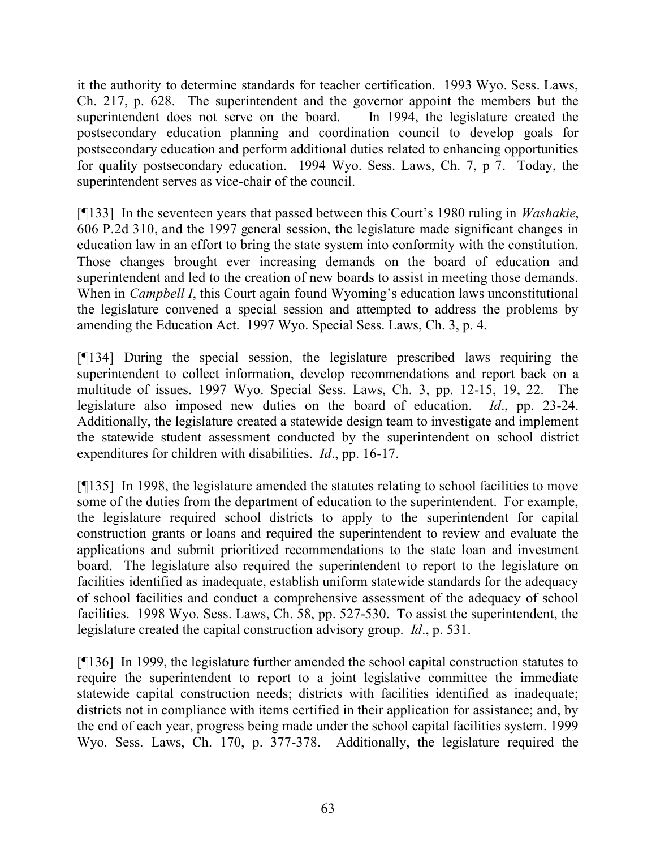it the authority to determine standards for teacher certification. 1993 Wyo. Sess. Laws, Ch. 217, p. 628. The superintendent and the governor appoint the members but the superintendent does not serve on the board. In 1994, the legislature created the postsecondary education planning and coordination council to develop goals for postsecondary education and perform additional duties related to enhancing opportunities for quality postsecondary education. 1994 Wyo. Sess. Laws, Ch. 7, p 7. Today, the superintendent serves as vice-chair of the council.

[¶133] In the seventeen years that passed between this Court's 1980 ruling in *Washakie*, 606 P.2d 310, and the 1997 general session, the legislature made significant changes in education law in an effort to bring the state system into conformity with the constitution. Those changes brought ever increasing demands on the board of education and superintendent and led to the creation of new boards to assist in meeting those demands. When in *Campbell I*, this Court again found Wyoming's education laws unconstitutional the legislature convened a special session and attempted to address the problems by amending the Education Act. 1997 Wyo. Special Sess. Laws, Ch. 3, p. 4.

[¶134] During the special session, the legislature prescribed laws requiring the superintendent to collect information, develop recommendations and report back on a multitude of issues. 1997 Wyo. Special Sess. Laws, Ch. 3, pp. 12-15, 19, 22. The legislature also imposed new duties on the board of education. *Id*., pp. 23-24. Additionally, the legislature created a statewide design team to investigate and implement the statewide student assessment conducted by the superintendent on school district expenditures for children with disabilities. *Id*., pp. 16-17.

[¶135] In 1998, the legislature amended the statutes relating to school facilities to move some of the duties from the department of education to the superintendent. For example, the legislature required school districts to apply to the superintendent for capital construction grants or loans and required the superintendent to review and evaluate the applications and submit prioritized recommendations to the state loan and investment board. The legislature also required the superintendent to report to the legislature on facilities identified as inadequate, establish uniform statewide standards for the adequacy of school facilities and conduct a comprehensive assessment of the adequacy of school facilities. 1998 Wyo. Sess. Laws, Ch. 58, pp. 527-530. To assist the superintendent, the legislature created the capital construction advisory group. *Id*., p. 531.

[¶136] In 1999, the legislature further amended the school capital construction statutes to require the superintendent to report to a joint legislative committee the immediate statewide capital construction needs; districts with facilities identified as inadequate; districts not in compliance with items certified in their application for assistance; and, by the end of each year, progress being made under the school capital facilities system. 1999 Wyo. Sess. Laws, Ch. 170, p. 377-378. Additionally, the legislature required the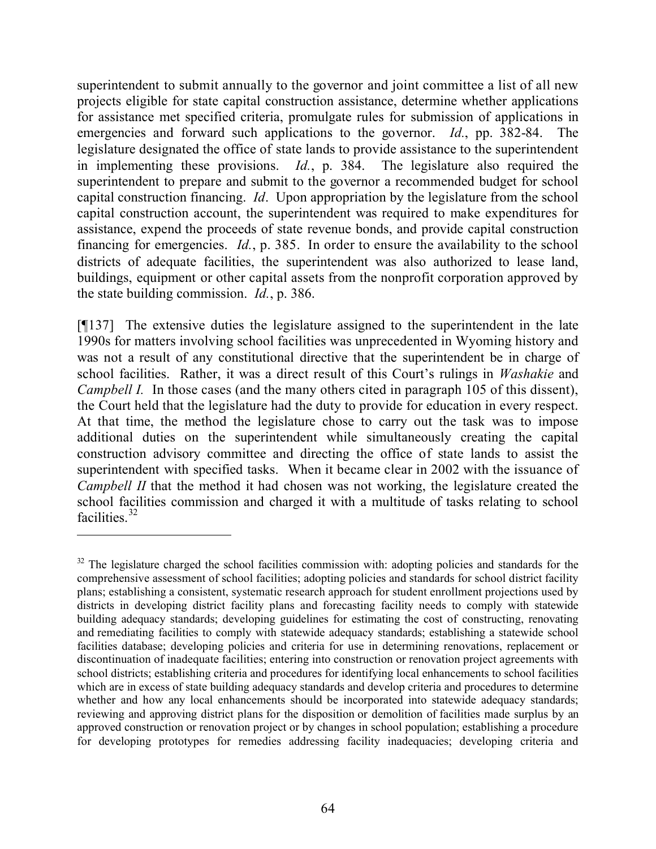superintendent to submit annually to the governor and joint committee a list of all new projects eligible for state capital construction assistance, determine whether applications for assistance met specified criteria, promulgate rules for submission of applications in emergencies and forward such applications to the governor. *Id.*, pp. 382-84. The legislature designated the office of state lands to provide assistance to the superintendent in implementing these provisions. *Id.*, p. 384. The legislature also required the superintendent to prepare and submit to the governor a recommended budget for school capital construction financing. *Id*. Upon appropriation by the legislature from the school capital construction account, the superintendent was required to make expenditures for assistance, expend the proceeds of state revenue bonds, and provide capital construction financing for emergencies. *Id.*, p. 385. In order to ensure the availability to the school districts of adequate facilities, the superintendent was also authorized to lease land, buildings, equipment or other capital assets from the nonprofit corporation approved by the state building commission. *Id.*, p. 386.

[¶137] The extensive duties the legislature assigned to the superintendent in the late 1990s for matters involving school facilities was unprecedented in Wyoming history and was not a result of any constitutional directive that the superintendent be in charge of school facilities. Rather, it was a direct result of this Court's rulings in *Washakie* and *Campbell I.* In those cases (and the many others cited in paragraph 105 of this dissent), the Court held that the legislature had the duty to provide for education in every respect. At that time, the method the legislature chose to carry out the task was to impose additional duties on the superintendent while simultaneously creating the capital construction advisory committee and directing the office of state lands to assist the superintendent with specified tasks. When it became clear in 2002 with the issuance of *Campbell II* that the method it had chosen was not working, the legislature created the school facilities commission and charged it with a multitude of tasks relating to school facilities.<sup>32</sup>

<sup>&</sup>lt;sup>32</sup> The legislature charged the school facilities commission with: adopting policies and standards for the comprehensive assessment of school facilities; adopting policies and standards for school district facility plans; establishing a consistent, systematic research approach for student enrollment projections used by districts in developing district facility plans and forecasting facility needs to comply with statewide building adequacy standards; developing guidelines for estimating the cost of constructing, renovating and remediating facilities to comply with statewide adequacy standards; establishing a statewide school facilities database; developing policies and criteria for use in determining renovations, replacement or discontinuation of inadequate facilities; entering into construction or renovation project agreements with school districts; establishing criteria and procedures for identifying local enhancements to school facilities which are in excess of state building adequacy standards and develop criteria and procedures to determine whether and how any local enhancements should be incorporated into statewide adequacy standards; reviewing and approving district plans for the disposition or demolition of facilities made surplus by an approved construction or renovation project or by changes in school population; establishing a procedure for developing prototypes for remedies addressing facility inadequacies; developing criteria and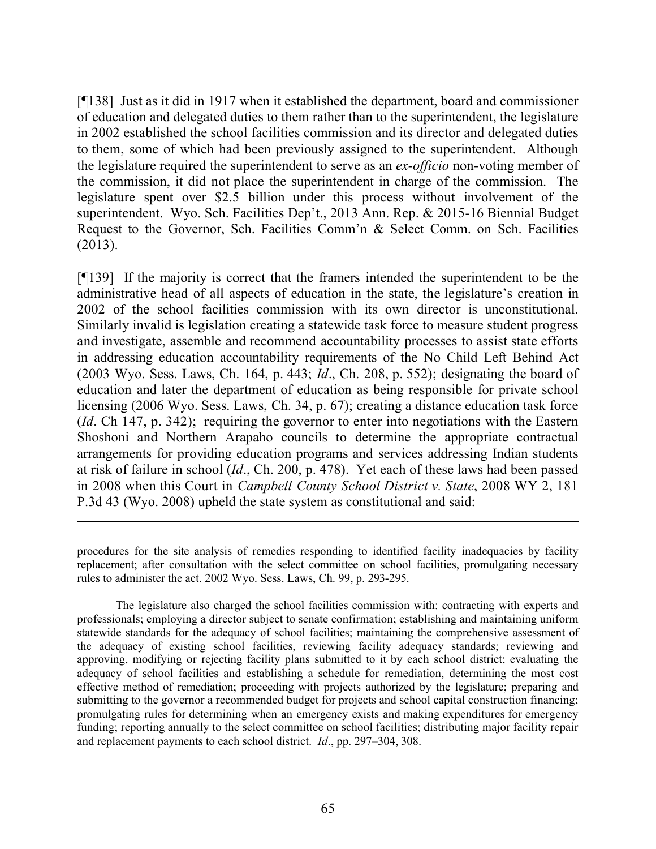[¶138] Just as it did in 1917 when it established the department, board and commissioner of education and delegated duties to them rather than to the superintendent, the legislature in 2002 established the school facilities commission and its director and delegated duties to them, some of which had been previously assigned to the superintendent. Although the legislature required the superintendent to serve as an *ex-officio* non-voting member of the commission, it did not place the superintendent in charge of the commission. The legislature spent over \$2.5 billion under this process without involvement of the superintendent. Wyo. Sch. Facilities Dep't., 2013 Ann. Rep. & 2015-16 Biennial Budget Request to the Governor, Sch. Facilities Comm'n & Select Comm. on Sch. Facilities (2013).

[¶139] If the majority is correct that the framers intended the superintendent to be the administrative head of all aspects of education in the state, the legislature's creation in 2002 of the school facilities commission with its own director is unconstitutional. Similarly invalid is legislation creating a statewide task force to measure student progress and investigate, assemble and recommend accountability processes to assist state efforts in addressing education accountability requirements of the No Child Left Behind Act (2003 Wyo. Sess. Laws, Ch. 164, p. 443; *Id*., Ch. 208, p. 552); designating the board of education and later the department of education as being responsible for private school licensing (2006 Wyo. Sess. Laws, Ch. 34, p. 67); creating a distance education task force (*Id*. Ch 147, p. 342); requiring the governor to enter into negotiations with the Eastern Shoshoni and Northern Arapaho councils to determine the appropriate contractual arrangements for providing education programs and services addressing Indian students at risk of failure in school (*Id*., Ch. 200, p. 478). Yet each of these laws had been passed in 2008 when this Court in *Campbell County School District v. State*, 2008 WY 2, 181 P.3d 43 (Wyo. 2008) upheld the state system as constitutional and said:

The legislature also charged the school facilities commission with: contracting with experts and professionals; employing a director subject to senate confirmation; establishing and maintaining uniform statewide standards for the adequacy of school facilities; maintaining the comprehensive assessment of the adequacy of existing school facilities, reviewing facility adequacy standards; reviewing and approving, modifying or rejecting facility plans submitted to it by each school district; evaluating the adequacy of school facilities and establishing a schedule for remediation, determining the most cost effective method of remediation; proceeding with projects authorized by the legislature; preparing and submitting to the governor a recommended budget for projects and school capital construction financing; promulgating rules for determining when an emergency exists and making expenditures for emergency funding; reporting annually to the select committee on school facilities; distributing major facility repair and replacement payments to each school district. *Id*., pp. 297–304, 308.

procedures for the site analysis of remedies responding to identified facility inadequacies by facility replacement; after consultation with the select committee on school facilities, promulgating necessary rules to administer the act. 2002 Wyo. Sess. Laws, Ch. 99, p. 293-295.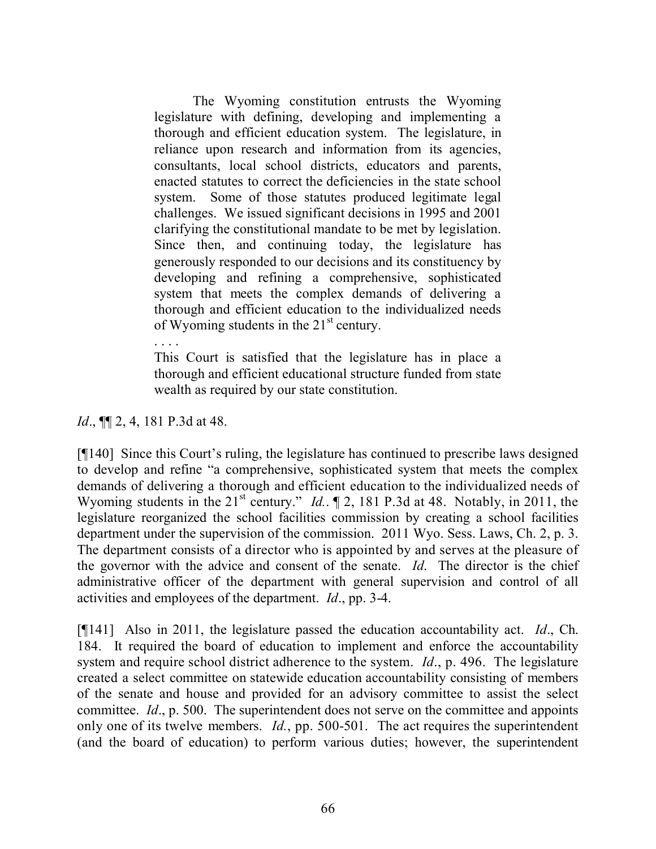The Wyoming constitution entrusts the Wyoming legislature with defining, developing and implementing a thorough and efficient education system. The legislature, in reliance upon research and information from its agencies, consultants, local school districts, educators and parents, enacted statutes to correct the deficiencies in the state school system. Some of those statutes produced legitimate legal challenges. We issued significant decisions in 1995 and 2001 clarifying the constitutional mandate to be met by legislation. Since then, and continuing today, the legislature has generously responded to our decisions and its constituency by developing and refining a comprehensive, sophisticated system that meets the complex demands of delivering a thorough and efficient education to the individualized needs of Wyoming students in the  $21<sup>st</sup>$  century.

This Court is satisfied that the legislature has in place a thorough and efficient educational structure funded from state wealth as required by our state constitution.

*Id.*, **¶** 2, 4, 181 P.3d at 48.

. . . .

[¶140] Since this Court's ruling, the legislature has continued to prescribe laws designed to develop and refine "a comprehensive, sophisticated system that meets the complex demands of delivering a thorough and efficient education to the individualized needs of Wyoming students in the 21<sup>st</sup> century." *Id.*. 12, 181 P.3d at 48. Notably, in 2011, the legislature reorganized the school facilities commission by creating a school facilities department under the supervision of the commission. 2011 Wyo. Sess. Laws, Ch. 2, p. 3. The department consists of a director who is appointed by and serves at the pleasure of the governor with the advice and consent of the senate. *Id*. The director is the chief administrative officer of the department with general supervision and control of all activities and employees of the department. *Id*., pp. 3-4.

[¶141] Also in 2011, the legislature passed the education accountability act. *Id*., Ch. 184. It required the board of education to implement and enforce the accountability system and require school district adherence to the system. *Id*., p. 496. The legislature created a select committee on statewide education accountability consisting of members of the senate and house and provided for an advisory committee to assist the select committee. *Id*., p. 500. The superintendent does not serve on the committee and appoints only one of its twelve members. *Id.*, pp. 500-501. The act requires the superintendent (and the board of education) to perform various duties; however, the superintendent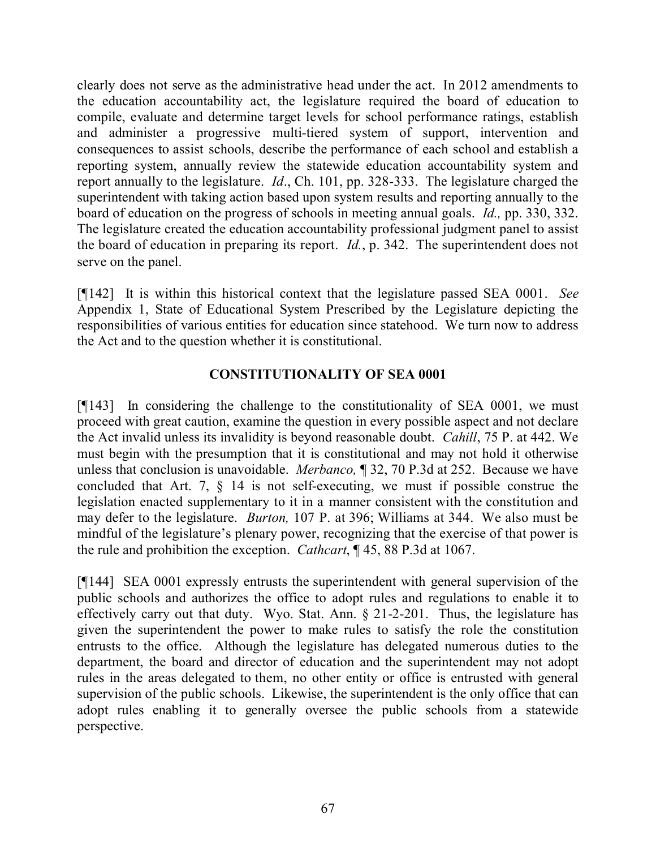clearly does not serve as the administrative head under the act. In 2012 amendments to the education accountability act, the legislature required the board of education to compile, evaluate and determine target levels for school performance ratings, establish and administer a progressive multi-tiered system of support, intervention and consequences to assist schools, describe the performance of each school and establish a reporting system, annually review the statewide education accountability system and report annually to the legislature. *Id*., Ch. 101, pp. 328-333. The legislature charged the superintendent with taking action based upon system results and reporting annually to the board of education on the progress of schools in meeting annual goals. *Id.,* pp. 330, 332. The legislature created the education accountability professional judgment panel to assist the board of education in preparing its report. *Id.*, p. 342. The superintendent does not serve on the panel.

[¶142] It is within this historical context that the legislature passed SEA 0001. *See* Appendix 1, State of Educational System Prescribed by the Legislature depicting the responsibilities of various entities for education since statehood. We turn now to address the Act and to the question whether it is constitutional.

## **CONSTITUTIONALITY OF SEA 0001**

[¶143] In considering the challenge to the constitutionality of SEA 0001, we must proceed with great caution, examine the question in every possible aspect and not declare the Act invalid unless its invalidity is beyond reasonable doubt. *Cahill*, 75 P. at 442. We must begin with the presumption that it is constitutional and may not hold it otherwise unless that conclusion is unavoidable. *Merbanco,* ¶ 32, 70 P.3d at 252. Because we have concluded that Art. 7, § 14 is not self-executing, we must if possible construe the legislation enacted supplementary to it in a manner consistent with the constitution and may defer to the legislature. *Burton,* 107 P. at 396; Williams at 344. We also must be mindful of the legislature's plenary power, recognizing that the exercise of that power is the rule and prohibition the exception. *Cathcart*, ¶ 45, 88 P.3d at 1067.

[¶144] SEA 0001 expressly entrusts the superintendent with general supervision of the public schools and authorizes the office to adopt rules and regulations to enable it to effectively carry out that duty. Wyo. Stat. Ann. § 21-2-201. Thus, the legislature has given the superintendent the power to make rules to satisfy the role the constitution entrusts to the office. Although the legislature has delegated numerous duties to the department, the board and director of education and the superintendent may not adopt rules in the areas delegated to them, no other entity or office is entrusted with general supervision of the public schools. Likewise, the superintendent is the only office that can adopt rules enabling it to generally oversee the public schools from a statewide perspective.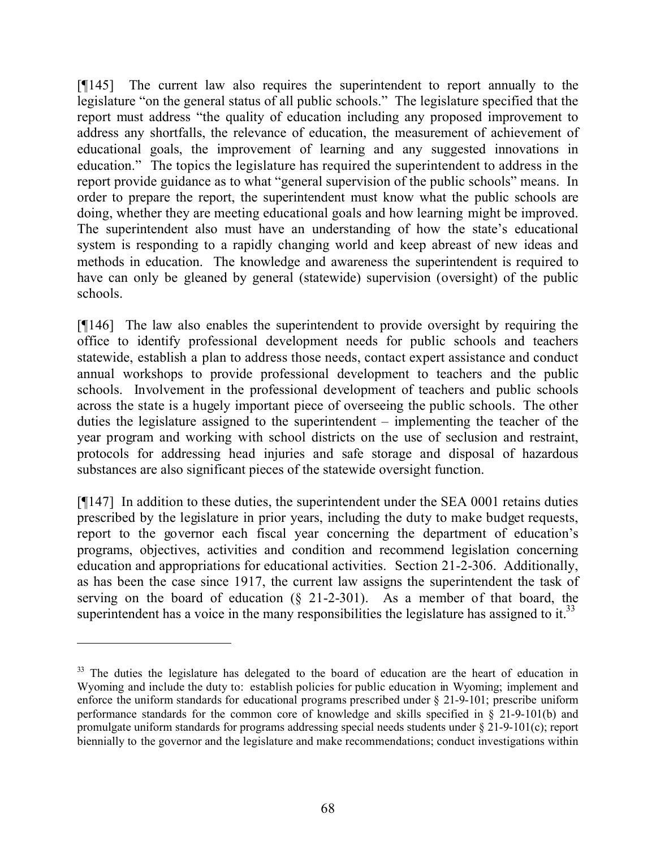[¶145] The current law also requires the superintendent to report annually to the legislature "on the general status of all public schools." The legislature specified that the report must address "the quality of education including any proposed improvement to address any shortfalls, the relevance of education, the measurement of achievement of educational goals, the improvement of learning and any suggested innovations in education." The topics the legislature has required the superintendent to address in the report provide guidance as to what "general supervision of the public schools" means. In order to prepare the report, the superintendent must know what the public schools are doing, whether they are meeting educational goals and how learning might be improved. The superintendent also must have an understanding of how the state's educational system is responding to a rapidly changing world and keep abreast of new ideas and methods in education. The knowledge and awareness the superintendent is required to have can only be gleaned by general (statewide) supervision (oversight) of the public schools.

[¶146] The law also enables the superintendent to provide oversight by requiring the office to identify professional development needs for public schools and teachers statewide, establish a plan to address those needs, contact expert assistance and conduct annual workshops to provide professional development to teachers and the public schools. Involvement in the professional development of teachers and public schools across the state is a hugely important piece of overseeing the public schools. The other duties the legislature assigned to the superintendent – implementing the teacher of the year program and working with school districts on the use of seclusion and restraint, protocols for addressing head injuries and safe storage and disposal of hazardous substances are also significant pieces of the statewide oversight function.

[¶147] In addition to these duties, the superintendent under the SEA 0001 retains duties prescribed by the legislature in prior years, including the duty to make budget requests, report to the governor each fiscal year concerning the department of education's programs, objectives, activities and condition and recommend legislation concerning education and appropriations for educational activities. Section 21-2-306. Additionally, as has been the case since 1917, the current law assigns the superintendent the task of serving on the board of education  $(\S$  21-2-301). As a member of that board, the superintendent has a voice in the many responsibilities the legislature has assigned to it.<sup>33</sup>

<sup>&</sup>lt;sup>33</sup> The duties the legislature has delegated to the board of education are the heart of education in Wyoming and include the duty to: establish policies for public education in Wyoming; implement and enforce the uniform standards for educational programs prescribed under § 21-9-101; prescribe uniform performance standards for the common core of knowledge and skills specified in § 21-9-101(b) and promulgate uniform standards for programs addressing special needs students under § 21-9-101(c); report biennially to the governor and the legislature and make recommendations; conduct investigations within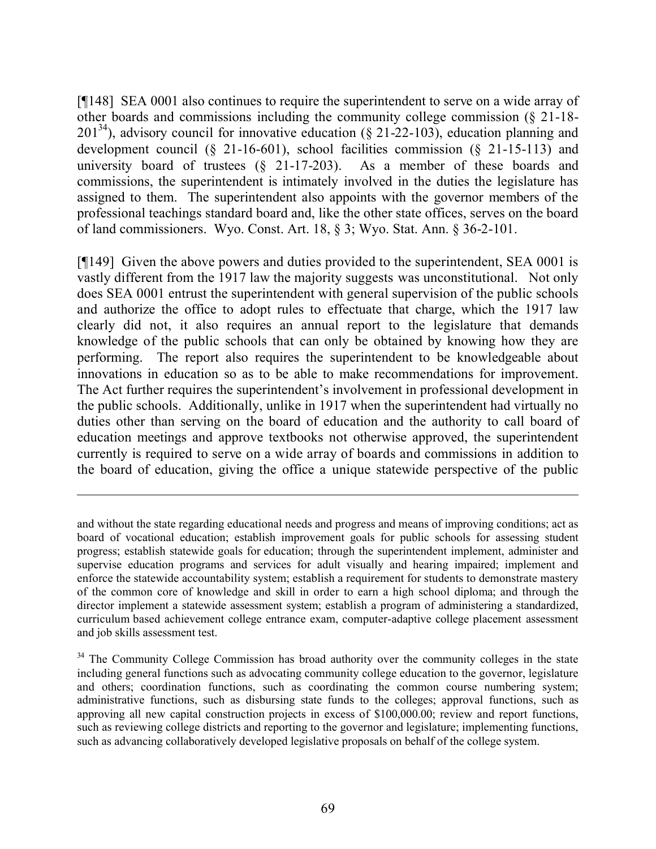[¶148] SEA 0001 also continues to require the superintendent to serve on a wide array of other boards and commissions including the community college commission (§ 21-18-  $201^{34}$ ), advisory council for innovative education (§ 21-22-103), education planning and development council (§ 21-16-601), school facilities commission (§ 21-15-113) and university board of trustees (§ 21-17-203). As a member of these boards and commissions, the superintendent is intimately involved in the duties the legislature has assigned to them. The superintendent also appoints with the governor members of the professional teachings standard board and, like the other state offices, serves on the board of land commissioners. Wyo. Const. Art. 18, § 3; Wyo. Stat. Ann. § 36-2-101.

[¶149] Given the above powers and duties provided to the superintendent, SEA 0001 is vastly different from the 1917 law the majority suggests was unconstitutional. Not only does SEA 0001 entrust the superintendent with general supervision of the public schools and authorize the office to adopt rules to effectuate that charge, which the 1917 law clearly did not, it also requires an annual report to the legislature that demands knowledge of the public schools that can only be obtained by knowing how they are performing. The report also requires the superintendent to be knowledgeable about innovations in education so as to be able to make recommendations for improvement. The Act further requires the superintendent's involvement in professional development in the public schools. Additionally, unlike in 1917 when the superintendent had virtually no duties other than serving on the board of education and the authority to call board of education meetings and approve textbooks not otherwise approved, the superintendent currently is required to serve on a wide array of boards and commissions in addition to the board of education, giving the office a unique statewide perspective of the public

and without the state regarding educational needs and progress and means of improving conditions; act as board of vocational education; establish improvement goals for public schools for assessing student progress; establish statewide goals for education; through the superintendent implement, administer and supervise education programs and services for adult visually and hearing impaired; implement and enforce the statewide accountability system; establish a requirement for students to demonstrate mastery of the common core of knowledge and skill in order to earn a high school diploma; and through the director implement a statewide assessment system; establish a program of administering a standardized, curriculum based achievement college entrance exam, computer-adaptive college placement assessment and job skills assessment test.

<sup>&</sup>lt;sup>34</sup> The Community College Commission has broad authority over the community colleges in the state including general functions such as advocating community college education to the governor, legislature and others; coordination functions, such as coordinating the common course numbering system; administrative functions, such as disbursing state funds to the colleges; approval functions, such as approving all new capital construction projects in excess of \$100,000.00; review and report functions, such as reviewing college districts and reporting to the governor and legislature; implementing functions, such as advancing collaboratively developed legislative proposals on behalf of the college system.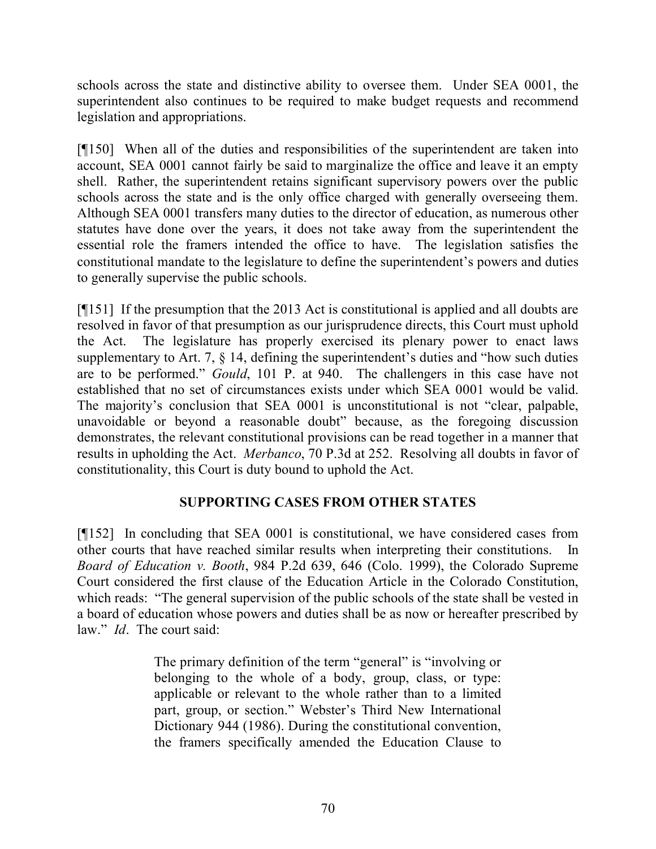schools across the state and distinctive ability to oversee them. Under SEA 0001, the superintendent also continues to be required to make budget requests and recommend legislation and appropriations.

[¶150] When all of the duties and responsibilities of the superintendent are taken into account, SEA 0001 cannot fairly be said to marginalize the office and leave it an empty shell. Rather, the superintendent retains significant supervisory powers over the public schools across the state and is the only office charged with generally overseeing them. Although SEA 0001 transfers many duties to the director of education, as numerous other statutes have done over the years, it does not take away from the superintendent the essential role the framers intended the office to have. The legislation satisfies the constitutional mandate to the legislature to define the superintendent's powers and duties to generally supervise the public schools.

[¶151] If the presumption that the 2013 Act is constitutional is applied and all doubts are resolved in favor of that presumption as our jurisprudence directs, this Court must uphold the Act. The legislature has properly exercised its plenary power to enact laws supplementary to Art. 7, § 14, defining the superintendent's duties and "how such duties are to be performed." *Gould*, 101 P. at 940. The challengers in this case have not established that no set of circumstances exists under which SEA 0001 would be valid. The majority's conclusion that SEA 0001 is unconstitutional is not "clear, palpable, unavoidable or beyond a reasonable doubt" because, as the foregoing discussion demonstrates, the relevant constitutional provisions can be read together in a manner that results in upholding the Act. *Merbanco*, 70 P.3d at 252. Resolving all doubts in favor of constitutionality, this Court is duty bound to uphold the Act.

# **SUPPORTING CASES FROM OTHER STATES**

[¶152] In concluding that SEA 0001 is constitutional, we have considered cases from other courts that have reached similar results when interpreting their constitutions. In *Board of Education v. Booth*, 984 P.2d 639, 646 (Colo. 1999), the Colorado Supreme Court considered the first clause of the Education Article in the Colorado Constitution, which reads: "The general supervision of the public schools of the state shall be vested in a board of education whose powers and duties shall be as now or hereafter prescribed by law." *Id*. The court said:

> The primary definition of the term "general" is "involving or belonging to the whole of a body, group, class, or type: applicable or relevant to the whole rather than to a limited part, group, or section." Webster's Third New International Dictionary 944 (1986). During the constitutional convention, the framers specifically amended the Education Clause to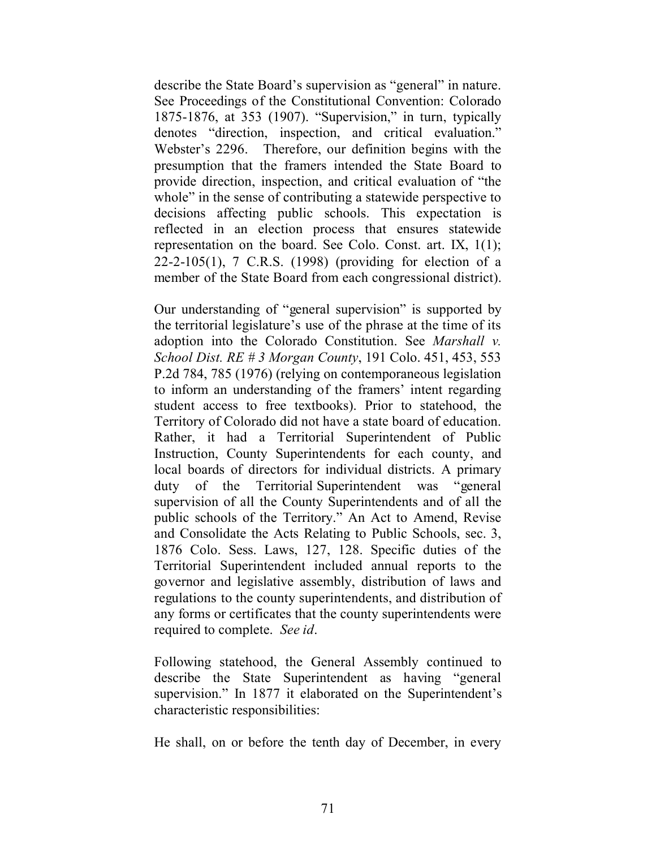describe the State Board's supervision as "general" in nature. See Proceedings of the Constitutional Convention: Colorado 1875-1876, at 353 (1907). "Supervision," in turn, typically denotes "direction, inspection, and critical evaluation." Webster's 2296. Therefore, our definition begins with the presumption that the framers intended the State Board to provide direction, inspection, and critical evaluation of "the whole" in the sense of contributing a statewide perspective to decisions affecting public schools. This expectation is reflected in an election process that ensures statewide representation on the board. See Colo. Const. art. IX, 1(1); 22-2-105(1), 7 C.R.S. (1998) (providing for election of a member of the State Board from each congressional district).

Our understanding of "general supervision" is supported by the territorial legislature's use of the phrase at the time of its adoption into the Colorado Constitution. See *Marshall v. School Dist. RE # 3 Morgan County*, 191 Colo. 451, 453, 553 P.2d 784, 785 (1976) (relying on contemporaneous legislation to inform an understanding of the framers' intent regarding student access to free textbooks). Prior to statehood, the Territory of Colorado did not have a state board of education. Rather, it had a Territorial Superintendent of Public Instruction, County Superintendents for each county, and local boards of directors for individual districts. A primary duty of the Territorial Superintendent was "general supervision of all the County Superintendents and of all the public schools of the Territory." An Act to Amend, Revise and Consolidate the Acts Relating to Public Schools, sec. 3, 1876 Colo. Sess. Laws, 127, 128. Specific duties of the Territorial Superintendent included annual reports to the governor and legislative assembly, distribution of laws and regulations to the county superintendents, and distribution of any forms or certificates that the county superintendents were required to complete. *See id*.

Following statehood, the General Assembly continued to describe the State Superintendent as having "general supervision." In 1877 it elaborated on the Superintendent's characteristic responsibilities:

He shall, on or before the tenth day of December, in every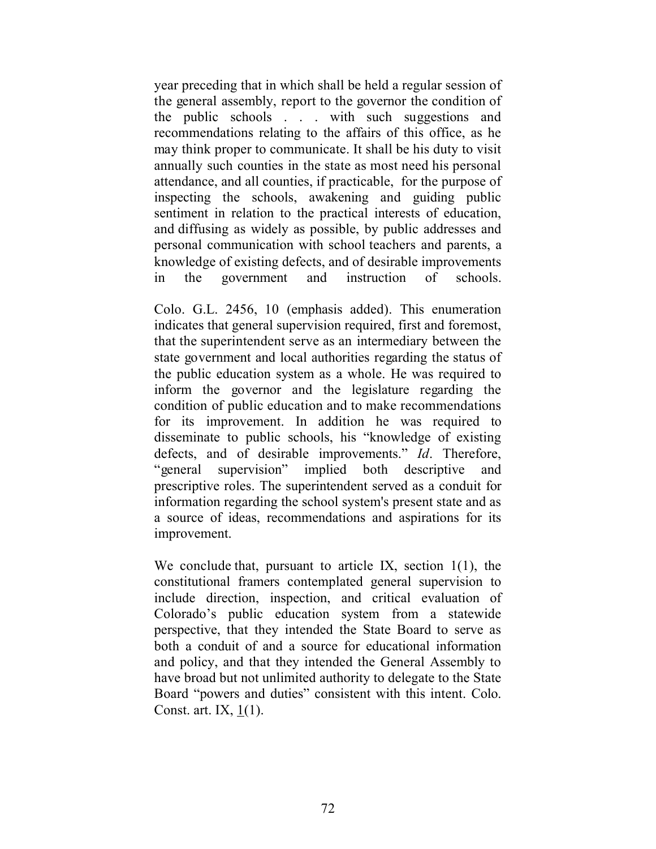year preceding that in which shall be held a regular session of the general assembly, report to the governor the condition of the public schools . . . with such suggestions and recommendations relating to the affairs of this office, as he may think proper to communicate. It shall be his duty to visit annually such counties in the state as most need his personal attendance, and all counties, if practicable, for the purpose of inspecting the schools, awakening and guiding public sentiment in relation to the practical interests of education, and diffusing as widely as possible, by public addresses and personal communication with school teachers and parents, a knowledge of existing defects, and of desirable improvements in the government and instruction of schools.

Colo. G.L. 2456, 10 (emphasis added). This enumeration indicates that general supervision required, first and foremost, that the superintendent serve as an intermediary between the state government and local authorities regarding the status of the public education system as a whole. He was required to inform the governor and the legislature regarding the condition of public education and to make recommendations for its improvement. In addition he was required to disseminate to public schools, his "knowledge of existing defects, and of desirable improvements." *Id*. Therefore, "general supervision" implied both descriptive and prescriptive roles. The superintendent served as a conduit for information regarding the school system's present state and as a source of ideas, recommendations and aspirations for its improvement.

We conclude that, pursuant to article IX, section 1(1), the constitutional framers contemplated general supervision to include direction, inspection, and critical evaluation of Colorado's public education system from a statewide perspective, that they intended the State Board to serve as both a conduit of and a source for educational information and policy, and that they intended the General Assembly to have broad but not unlimited authority to delegate to the State Board "powers and duties" consistent with this intent. Colo. Const. art. IX,  $\underline{1}(1)$ .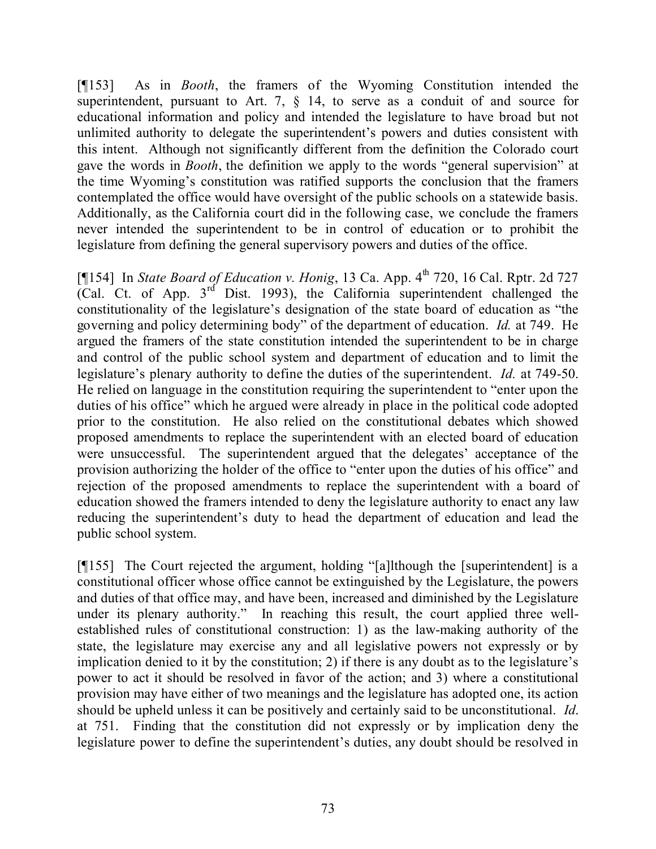[¶153] As in *Booth*, the framers of the Wyoming Constitution intended the superintendent, pursuant to Art. 7, § 14, to serve as a conduit of and source for educational information and policy and intended the legislature to have broad but not unlimited authority to delegate the superintendent's powers and duties consistent with this intent. Although not significantly different from the definition the Colorado court gave the words in *Booth*, the definition we apply to the words "general supervision" at the time Wyoming's constitution was ratified supports the conclusion that the framers contemplated the office would have oversight of the public schools on a statewide basis. Additionally, as the California court did in the following case, we conclude the framers never intended the superintendent to be in control of education or to prohibit the legislature from defining the general supervisory powers and duties of the office.

[¶154] In *State Board of Education v. Honig*, 13 Ca. App. 4<sup>th</sup> 720, 16 Cal. Rptr. 2d 727 (Cal. Ct. of App.  $3<sup>rd</sup>$  Dist. 1993), the California superintendent challenged the constitutionality of the legislature's designation of the state board of education as "the governing and policy determining body" of the department of education. *Id.* at 749. He argued the framers of the state constitution intended the superintendent to be in charge and control of the public school system and department of education and to limit the legislature's plenary authority to define the duties of the superintendent. *Id.* at 749-50. He relied on language in the constitution requiring the superintendent to "enter upon the duties of his office" which he argued were already in place in the political code adopted prior to the constitution. He also relied on the constitutional debates which showed proposed amendments to replace the superintendent with an elected board of education were unsuccessful. The superintendent argued that the delegates' acceptance of the provision authorizing the holder of the office to "enter upon the duties of his office" and rejection of the proposed amendments to replace the superintendent with a board of education showed the framers intended to deny the legislature authority to enact any law reducing the superintendent's duty to head the department of education and lead the public school system.

[¶155] The Court rejected the argument, holding "[a]lthough the [superintendent] is a constitutional officer whose office cannot be extinguished by the Legislature, the powers and duties of that office may, and have been, increased and diminished by the Legislature under its plenary authority." In reaching this result, the court applied three wellestablished rules of constitutional construction: 1) as the law-making authority of the state, the legislature may exercise any and all legislative powers not expressly or by implication denied to it by the constitution; 2) if there is any doubt as to the legislature's power to act it should be resolved in favor of the action; and 3) where a constitutional provision may have either of two meanings and the legislature has adopted one, its action should be upheld unless it can be positively and certainly said to be unconstitutional. *Id*. at 751. Finding that the constitution did not expressly or by implication deny the legislature power to define the superintendent's duties, any doubt should be resolved in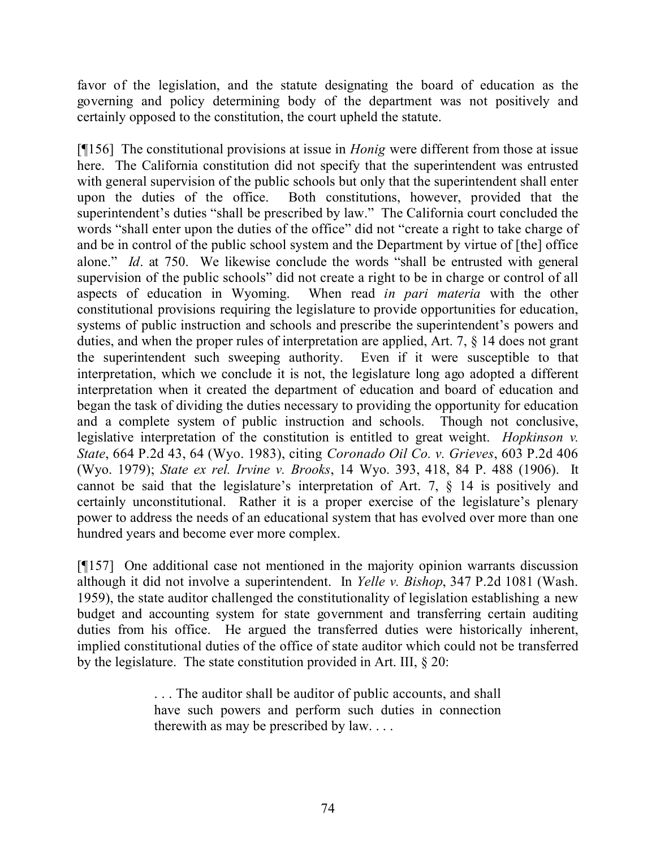favor of the legislation, and the statute designating the board of education as the governing and policy determining body of the department was not positively and certainly opposed to the constitution, the court upheld the statute.

[¶156] The constitutional provisions at issue in *Honig* were different from those at issue here. The California constitution did not specify that the superintendent was entrusted with general supervision of the public schools but only that the superintendent shall enter upon the duties of the office. Both constitutions, however, provided that the superintendent's duties "shall be prescribed by law." The California court concluded the words "shall enter upon the duties of the office" did not "create a right to take charge of and be in control of the public school system and the Department by virtue of [the] office alone." *Id*. at 750. We likewise conclude the words "shall be entrusted with general supervision of the public schools" did not create a right to be in charge or control of all aspects of education in Wyoming. When read *in pari materia* with the other constitutional provisions requiring the legislature to provide opportunities for education, systems of public instruction and schools and prescribe the superintendent's powers and duties, and when the proper rules of interpretation are applied, Art. 7, § 14 does not grant the superintendent such sweeping authority. Even if it were susceptible to that interpretation, which we conclude it is not, the legislature long ago adopted a different interpretation when it created the department of education and board of education and began the task of dividing the duties necessary to providing the opportunity for education and a complete system of public instruction and schools. Though not conclusive, legislative interpretation of the constitution is entitled to great weight. *Hopkinson v. State*, 664 P.2d 43, 64 (Wyo. 1983), citing *Coronado Oil Co. v. Grieves*, 603 P.2d 406 (Wyo. 1979); *State ex rel. Irvine v. Brooks*, 14 Wyo. 393, 418, 84 P. 488 (1906). It cannot be said that the legislature's interpretation of Art. 7, § 14 is positively and certainly unconstitutional. Rather it is a proper exercise of the legislature's plenary power to address the needs of an educational system that has evolved over more than one hundred years and become ever more complex.

[¶157] One additional case not mentioned in the majority opinion warrants discussion although it did not involve a superintendent. In *Yelle v. Bishop*, 347 P.2d 1081 (Wash. 1959), the state auditor challenged the constitutionality of legislation establishing a new budget and accounting system for state government and transferring certain auditing duties from his office. He argued the transferred duties were historically inherent, implied constitutional duties of the office of state auditor which could not be transferred by the legislature. The state constitution provided in Art. III, § 20:

> . . . The auditor shall be auditor of public accounts, and shall have such powers and perform such duties in connection therewith as may be prescribed by law. . . .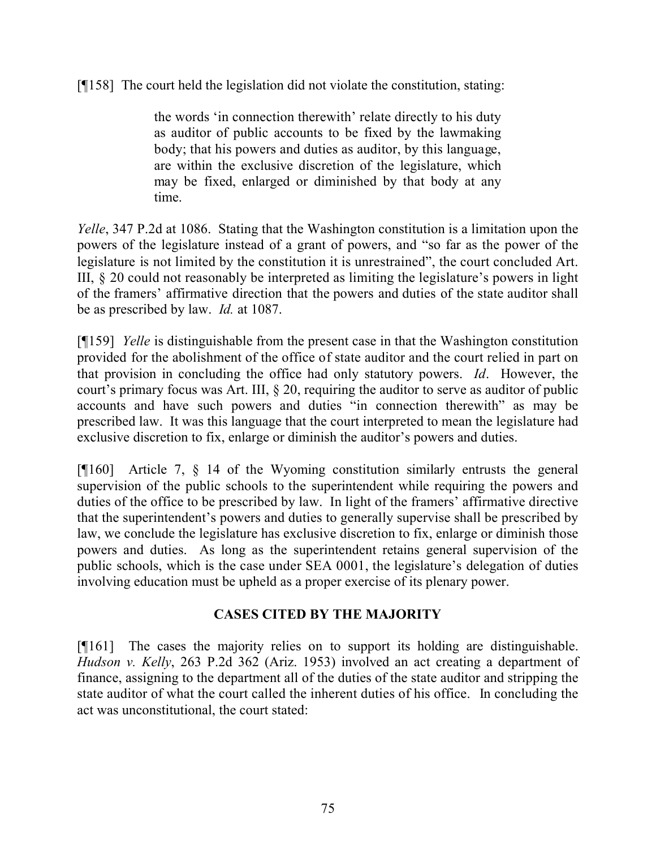[¶158] The court held the legislation did not violate the constitution, stating:

the words 'in connection therewith' relate directly to his duty as auditor of public accounts to be fixed by the lawmaking body; that his powers and duties as auditor, by this language, are within the exclusive discretion of the legislature, which may be fixed, enlarged or diminished by that body at any time.

*Yelle*, 347 P.2d at 1086. Stating that the Washington constitution is a limitation upon the powers of the legislature instead of a grant of powers, and "so far as the power of the legislature is not limited by the constitution it is unrestrained", the court concluded Art. III, § 20 could not reasonably be interpreted as limiting the legislature's powers in light of the framers' affirmative direction that the powers and duties of the state auditor shall be as prescribed by law. *Id.* at 1087.

[¶159] *Yelle* is distinguishable from the present case in that the Washington constitution provided for the abolishment of the office of state auditor and the court relied in part on that provision in concluding the office had only statutory powers. *Id*. However, the court's primary focus was Art. III, § 20, requiring the auditor to serve as auditor of public accounts and have such powers and duties "in connection therewith" as may be prescribed law. It was this language that the court interpreted to mean the legislature had exclusive discretion to fix, enlarge or diminish the auditor's powers and duties.

[¶160] Article 7, § 14 of the Wyoming constitution similarly entrusts the general supervision of the public schools to the superintendent while requiring the powers and duties of the office to be prescribed by law. In light of the framers' affirmative directive that the superintendent's powers and duties to generally supervise shall be prescribed by law, we conclude the legislature has exclusive discretion to fix, enlarge or diminish those powers and duties. As long as the superintendent retains general supervision of the public schools, which is the case under SEA 0001, the legislature's delegation of duties involving education must be upheld as a proper exercise of its plenary power.

## **CASES CITED BY THE MAJORITY**

[¶161] The cases the majority relies on to support its holding are distinguishable. *Hudson v. Kelly*, 263 P.2d 362 (Ariz. 1953) involved an act creating a department of finance, assigning to the department all of the duties of the state auditor and stripping the state auditor of what the court called the inherent duties of his office. In concluding the act was unconstitutional, the court stated: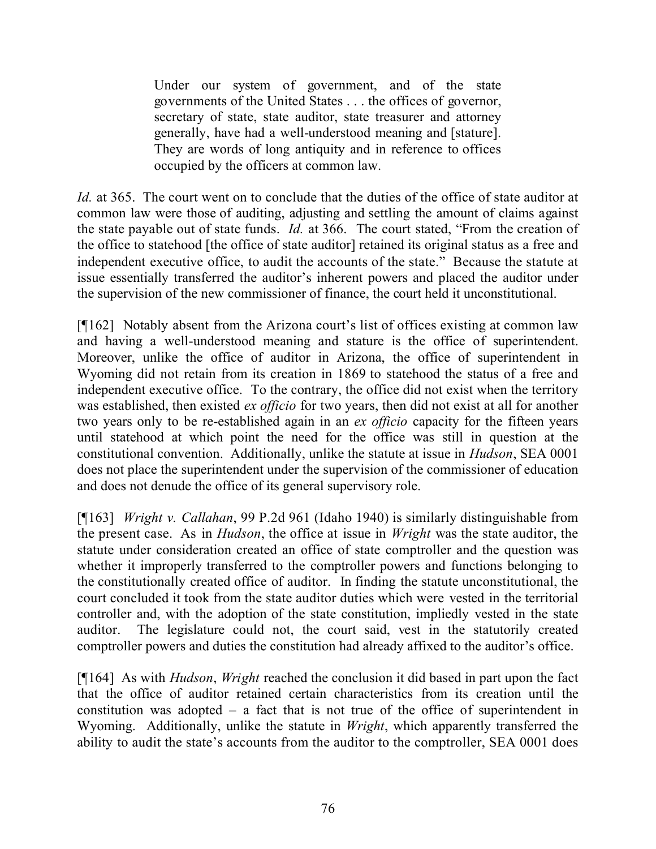Under our system of government, and of the state governments of the United States . . . the offices of governor, secretary of state, state auditor, state treasurer and attorney generally, have had a well-understood meaning and [stature]. They are words of long antiquity and in reference to offices occupied by the officers at common law.

*Id.* at 365. The court went on to conclude that the duties of the office of state auditor at common law were those of auditing, adjusting and settling the amount of claims against the state payable out of state funds. *Id.* at 366. The court stated, "From the creation of the office to statehood [the office of state auditor] retained its original status as a free and independent executive office, to audit the accounts of the state." Because the statute at issue essentially transferred the auditor's inherent powers and placed the auditor under the supervision of the new commissioner of finance, the court held it unconstitutional.

[¶162] Notably absent from the Arizona court's list of offices existing at common law and having a well-understood meaning and stature is the office of superintendent. Moreover, unlike the office of auditor in Arizona, the office of superintendent in Wyoming did not retain from its creation in 1869 to statehood the status of a free and independent executive office. To the contrary, the office did not exist when the territory was established, then existed *ex officio* for two years, then did not exist at all for another two years only to be re-established again in an *ex officio* capacity for the fifteen years until statehood at which point the need for the office was still in question at the constitutional convention. Additionally, unlike the statute at issue in *Hudson*, SEA 0001 does not place the superintendent under the supervision of the commissioner of education and does not denude the office of its general supervisory role.

[¶163] *Wright v. Callahan*, 99 P.2d 961 (Idaho 1940) is similarly distinguishable from the present case. As in *Hudson*, the office at issue in *Wright* was the state auditor, the statute under consideration created an office of state comptroller and the question was whether it improperly transferred to the comptroller powers and functions belonging to the constitutionally created office of auditor. In finding the statute unconstitutional, the court concluded it took from the state auditor duties which were vested in the territorial controller and, with the adoption of the state constitution, impliedly vested in the state auditor. The legislature could not, the court said, vest in the statutorily created comptroller powers and duties the constitution had already affixed to the auditor's office.

[¶164] As with *Hudson*, *Wright* reached the conclusion it did based in part upon the fact that the office of auditor retained certain characteristics from its creation until the constitution was adopted – a fact that is not true of the office of superintendent in Wyoming. Additionally, unlike the statute in *Wright*, which apparently transferred the ability to audit the state's accounts from the auditor to the comptroller, SEA 0001 does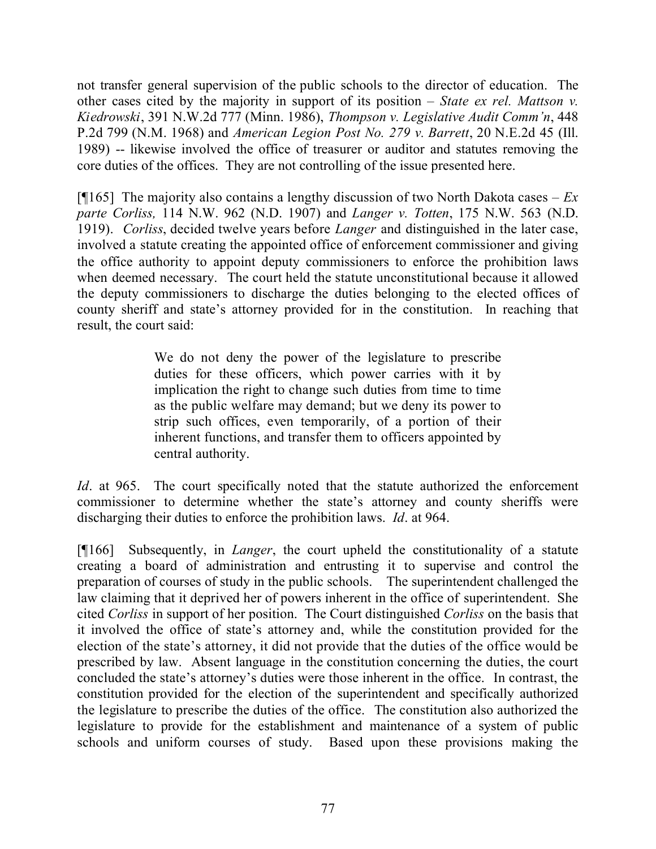not transfer general supervision of the public schools to the director of education. The other cases cited by the majority in support of its position – *State ex rel. Mattson v. Kiedrowski*, 391 N.W.2d 777 (Minn. 1986), *Thompson v. Legislative Audit Comm'n*, 448 P.2d 799 (N.M. 1968) and *American Legion Post No. 279 v. Barrett*, 20 N.E.2d 45 (Ill. 1989) -- likewise involved the office of treasurer or auditor and statutes removing the core duties of the offices. They are not controlling of the issue presented here.

[¶165] The majority also contains a lengthy discussion of two North Dakota cases – *Ex parte Corliss,* 114 N.W. 962 (N.D. 1907) and *Langer v. Totten*, 175 N.W. 563 (N.D. 1919). *Corliss*, decided twelve years before *Langer* and distinguished in the later case, involved a statute creating the appointed office of enforcement commissioner and giving the office authority to appoint deputy commissioners to enforce the prohibition laws when deemed necessary. The court held the statute unconstitutional because it allowed the deputy commissioners to discharge the duties belonging to the elected offices of county sheriff and state's attorney provided for in the constitution. In reaching that result, the court said:

> We do not deny the power of the legislature to prescribe duties for these officers, which power carries with it by implication the right to change such duties from time to time as the public welfare may demand; but we deny its power to strip such offices, even temporarily, of a portion of their inherent functions, and transfer them to officers appointed by central authority.

*Id*. at 965. The court specifically noted that the statute authorized the enforcement commissioner to determine whether the state's attorney and county sheriffs were discharging their duties to enforce the prohibition laws. *Id*. at 964.

[¶166] Subsequently, in *Langer*, the court upheld the constitutionality of a statute creating a board of administration and entrusting it to supervise and control the preparation of courses of study in the public schools. The superintendent challenged the law claiming that it deprived her of powers inherent in the office of superintendent. She cited *Corliss* in support of her position. The Court distinguished *Corliss* on the basis that it involved the office of state's attorney and, while the constitution provided for the election of the state's attorney, it did not provide that the duties of the office would be prescribed by law. Absent language in the constitution concerning the duties, the court concluded the state's attorney's duties were those inherent in the office. In contrast, the constitution provided for the election of the superintendent and specifically authorized the legislature to prescribe the duties of the office. The constitution also authorized the legislature to provide for the establishment and maintenance of a system of public schools and uniform courses of study. Based upon these provisions making the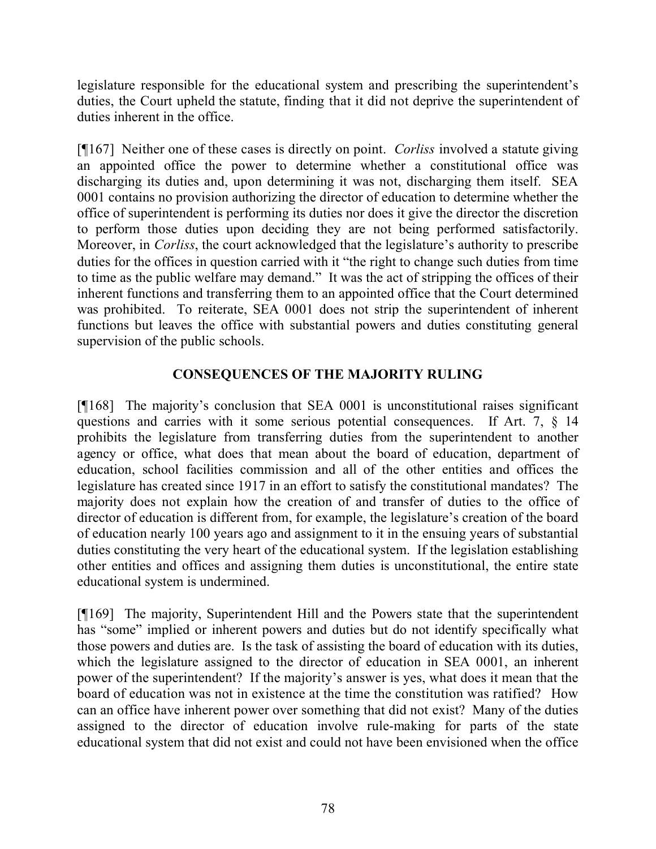legislature responsible for the educational system and prescribing the superintendent's duties, the Court upheld the statute, finding that it did not deprive the superintendent of duties inherent in the office.

[¶167] Neither one of these cases is directly on point. *Corliss* involved a statute giving an appointed office the power to determine whether a constitutional office was discharging its duties and, upon determining it was not, discharging them itself. SEA 0001 contains no provision authorizing the director of education to determine whether the office of superintendent is performing its duties nor does it give the director the discretion to perform those duties upon deciding they are not being performed satisfactorily. Moreover, in *Corliss*, the court acknowledged that the legislature's authority to prescribe duties for the offices in question carried with it "the right to change such duties from time to time as the public welfare may demand." It was the act of stripping the offices of their inherent functions and transferring them to an appointed office that the Court determined was prohibited. To reiterate, SEA 0001 does not strip the superintendent of inherent functions but leaves the office with substantial powers and duties constituting general supervision of the public schools.

## **CONSEQUENCES OF THE MAJORITY RULING**

[¶168] The majority's conclusion that SEA 0001 is unconstitutional raises significant questions and carries with it some serious potential consequences. If Art. 7, § 14 prohibits the legislature from transferring duties from the superintendent to another agency or office, what does that mean about the board of education, department of education, school facilities commission and all of the other entities and offices the legislature has created since 1917 in an effort to satisfy the constitutional mandates? The majority does not explain how the creation of and transfer of duties to the office of director of education is different from, for example, the legislature's creation of the board of education nearly 100 years ago and assignment to it in the ensuing years of substantial duties constituting the very heart of the educational system. If the legislation establishing other entities and offices and assigning them duties is unconstitutional, the entire state educational system is undermined.

[¶169] The majority, Superintendent Hill and the Powers state that the superintendent has "some" implied or inherent powers and duties but do not identify specifically what those powers and duties are. Is the task of assisting the board of education with its duties, which the legislature assigned to the director of education in SEA 0001, an inherent power of the superintendent? If the majority's answer is yes, what does it mean that the board of education was not in existence at the time the constitution was ratified? How can an office have inherent power over something that did not exist? Many of the duties assigned to the director of education involve rule-making for parts of the state educational system that did not exist and could not have been envisioned when the office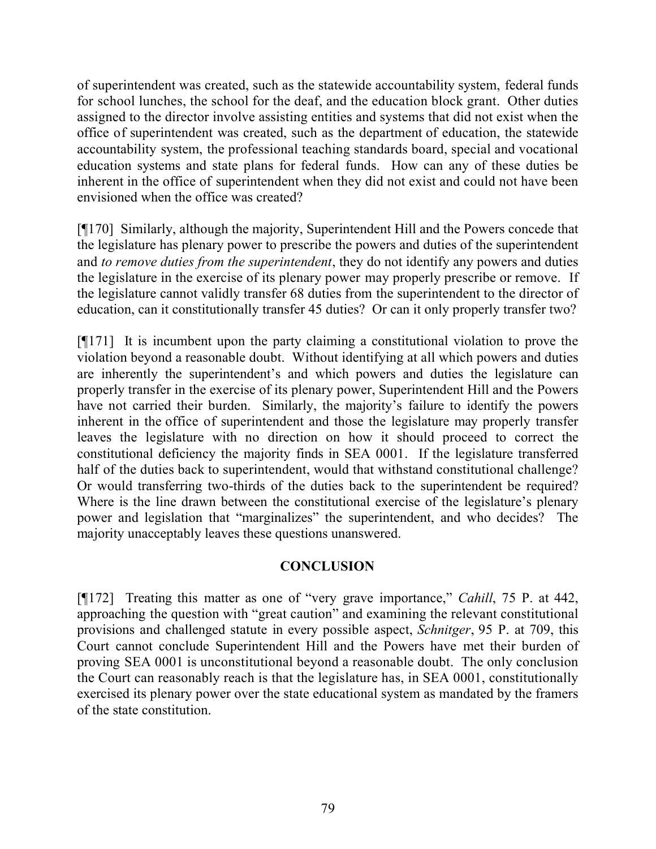of superintendent was created, such as the statewide accountability system, federal funds for school lunches, the school for the deaf, and the education block grant. Other duties assigned to the director involve assisting entities and systems that did not exist when the office of superintendent was created, such as the department of education, the statewide accountability system, the professional teaching standards board, special and vocational education systems and state plans for federal funds. How can any of these duties be inherent in the office of superintendent when they did not exist and could not have been envisioned when the office was created?

[¶170] Similarly, although the majority, Superintendent Hill and the Powers concede that the legislature has plenary power to prescribe the powers and duties of the superintendent and *to remove duties from the superintendent*, they do not identify any powers and duties the legislature in the exercise of its plenary power may properly prescribe or remove. If the legislature cannot validly transfer 68 duties from the superintendent to the director of education, can it constitutionally transfer 45 duties? Or can it only properly transfer two?

[¶171] It is incumbent upon the party claiming a constitutional violation to prove the violation beyond a reasonable doubt. Without identifying at all which powers and duties are inherently the superintendent's and which powers and duties the legislature can properly transfer in the exercise of its plenary power, Superintendent Hill and the Powers have not carried their burden. Similarly, the majority's failure to identify the powers inherent in the office of superintendent and those the legislature may properly transfer leaves the legislature with no direction on how it should proceed to correct the constitutional deficiency the majority finds in SEA 0001. If the legislature transferred half of the duties back to superintendent, would that withstand constitutional challenge? Or would transferring two-thirds of the duties back to the superintendent be required? Where is the line drawn between the constitutional exercise of the legislature's plenary power and legislation that "marginalizes" the superintendent, and who decides? The majority unacceptably leaves these questions unanswered.

## **CONCLUSION**

[¶172] Treating this matter as one of "very grave importance," *Cahill*, 75 P. at 442, approaching the question with "great caution" and examining the relevant constitutional provisions and challenged statute in every possible aspect, *Schnitger*, 95 P. at 709, this Court cannot conclude Superintendent Hill and the Powers have met their burden of proving SEA 0001 is unconstitutional beyond a reasonable doubt. The only conclusion the Court can reasonably reach is that the legislature has, in SEA 0001, constitutionally exercised its plenary power over the state educational system as mandated by the framers of the state constitution.